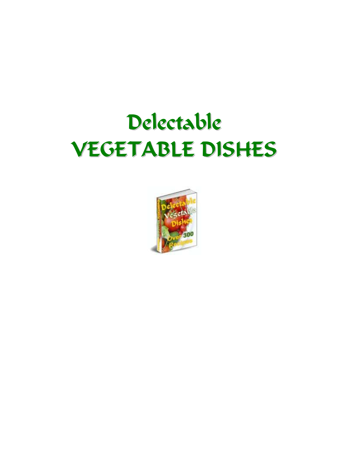# Delectable VEGETABLE DISHES

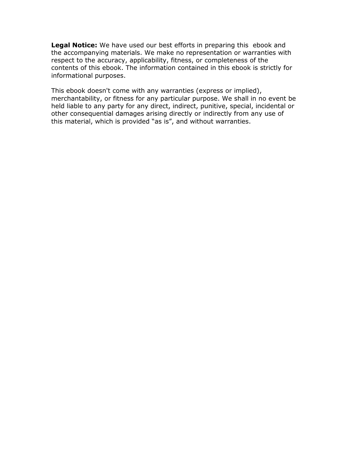Legal Notice: We have used our best efforts in preparing this ebook and the accompanying materials. We make no representation or warranties with respect to the accuracy, applicability, fitness, or completeness of the contents of this ebook. The information contained in this ebook is strictly for informational purposes.

This ebook doesn't come with any warranties (express or implied), merchantability, or fitness for any particular purpose. We shall in no event be held liable to any party for any direct, indirect, punitive, special, incidental or other consequential damages arising directly or indirectly from any use of this material, which is provided "as is", and without warranties.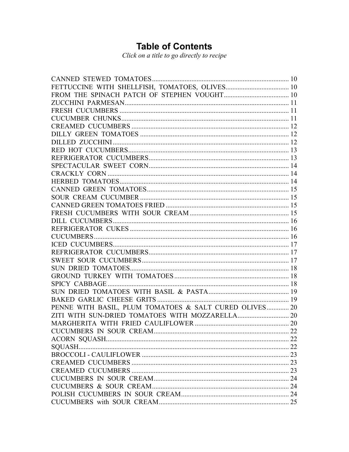# **Table of Contents**

Click on a title to go directly to recipe

| PENNE WITH BASIL, PLUM TOMATOES & SALT CURED OLIVES 20 |  |
|--------------------------------------------------------|--|
|                                                        |  |
|                                                        |  |
|                                                        |  |
|                                                        |  |
|                                                        |  |
|                                                        |  |
|                                                        |  |
|                                                        |  |
|                                                        |  |
|                                                        |  |
|                                                        |  |
|                                                        |  |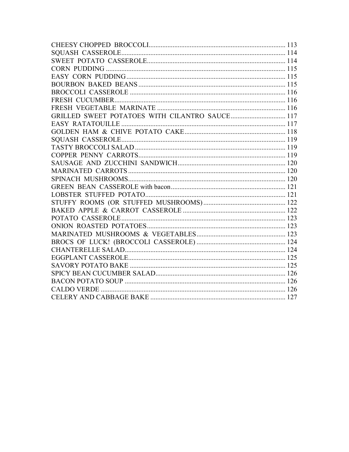| GRILLED SWEET POTATOES WITH CILANTRO SAUCE 117 |  |
|------------------------------------------------|--|
|                                                |  |
|                                                |  |
|                                                |  |
|                                                |  |
|                                                |  |
|                                                |  |
|                                                |  |
|                                                |  |
|                                                |  |
|                                                |  |
|                                                |  |
|                                                |  |
|                                                |  |
|                                                |  |
|                                                |  |
|                                                |  |
|                                                |  |
|                                                |  |
|                                                |  |
|                                                |  |
|                                                |  |
|                                                |  |
|                                                |  |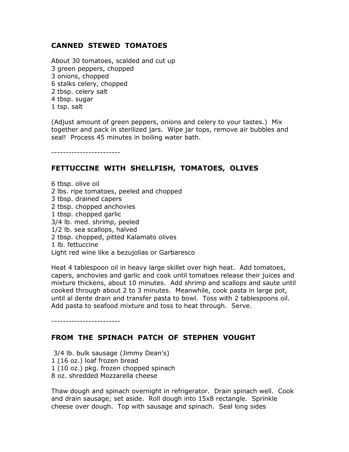# <span id="page-9-0"></span>CANNED STEWED TOMATOES

About 30 tomatoes, scalded and cut up 3 green peppers, chopped 3 onions, chopped 6 stalks celery, chopped 2 tbsp. celery salt 4 tbsp. sugar 1 tsp. salt

(Adjust amount of green peppers, onions and celery to your tastes.) Mix together and pack in sterilized jars. Wipe jar tops, remove air bubbles and seal! Process 45 minutes in boiling water bath.

------------------------

#### FETTUCCINE WITH SHELLFISH, TOMATOES, OLIVES

6 tbsp. olive oil 2 lbs. ripe tomatoes, peeled and chopped 3 tbsp. drained capers 2 tbsp. chopped anchovies 1 tbsp. chopped garlic 3/4 lb. med. shrimp, peeled 1/2 lb. sea scallops, halved 2 tbsp. chopped, pitted Kalamato olives 1 lb. fettuccine Light red wine like a bezujolias or Garbaresco

Heat 4 tablespoon oil in heavy large skillet over high heat. Add tomatoes, capers, anchovies and garlic and cook until tomatoes release their juices and mixture thickens, about 10 minutes. Add shrimp and scallops and saute until cooked through about 2 to 3 minutes. Meanwhile, cook pasta in large pot, until al dente drain and transfer pasta to bowl. Toss with 2 tablespoons oil. Add pasta to seafood mixture and toss to heat through. Serve.

------------------------

#### FROM THE SPINACH PATCH OF STEPHEN VOUGHT

 3/4 lb. bulk sausage (Jimmy Dean's) 1 (16 oz.) loaf frozen bread 1 (10 oz.) pkg. frozen chopped spinach 8 oz. shredded Mozzarella cheese

Thaw dough and spinach overnight in refrigerator. Drain spinach well. Cook and drain sausage; set aside. Roll dough into 15x8 rectangle. Sprinkle cheese over dough. Top with sausage and spinach. Seal long sides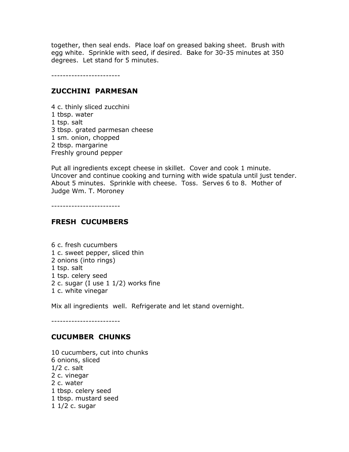<span id="page-10-0"></span>together, then seal ends. Place loaf on greased baking sheet. Brush with egg white. Sprinkle with seed, if desired. Bake for 30-35 minutes at 350 degrees. Let stand for 5 minutes.

------------------------

#### ZUCCHINI PARMESAN

4 c. thinly sliced zucchini 1 tbsp. water 1 tsp. salt 3 tbsp. grated parmesan cheese 1 sm. onion, chopped 2 tbsp. margarine Freshly ground pepper

Put all ingredients except cheese in skillet. Cover and cook 1 minute. Uncover and continue cooking and turning with wide spatula until just tender. About 5 minutes. Sprinkle with cheese. Toss. Serves 6 to 8. Mother of Judge Wm. T. Moroney

------------------------

#### FRESH CUCUMBERS

6 c. fresh cucumbers 1 c. sweet pepper, sliced thin 2 onions (into rings) 1 tsp. salt 1 tsp. celery seed 2 c. sugar (I use  $1 \frac{1}{2}$ ) works fine 1 c. white vinegar

Mix all ingredients well. Refrigerate and let stand overnight.

------------------------

#### CUCUMBER CHUNKS

10 cucumbers, cut into chunks 6 onions, sliced 1/2 c. salt 2 c. vinegar 2 c. water 1 tbsp. celery seed 1 tbsp. mustard seed 1 1/2 c. sugar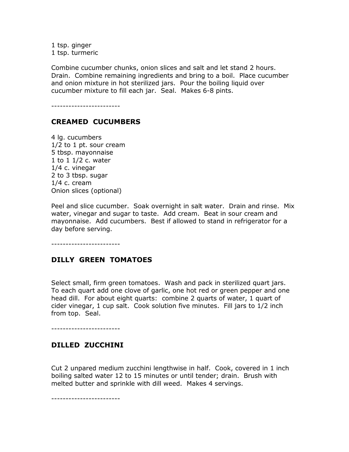<span id="page-11-0"></span>1 tsp. ginger 1 tsp. turmeric

Combine cucumber chunks, onion slices and salt and let stand 2 hours. Drain. Combine remaining ingredients and bring to a boil. Place cucumber and onion mixture in hot sterilized jars. Pour the boiling liquid over cucumber mixture to fill each jar. Seal. Makes 6-8 pints.

------------------------

#### CREAMED CUCUMBERS

4 lg. cucumbers 1/2 to 1 pt. sour cream 5 tbsp. mayonnaise 1 to 1 1/2 c. water 1/4 c. vinegar 2 to 3 tbsp. sugar 1/4 c. cream Onion slices (optional)

Peel and slice cucumber. Soak overnight in salt water. Drain and rinse. Mix water, vinegar and sugar to taste. Add cream. Beat in sour cream and mayonnaise. Add cucumbers. Best if allowed to stand in refrigerator for a day before serving.

------------------------

#### DILLY GREEN TOMATOES

Select small, firm green tomatoes. Wash and pack in sterilized quart jars. To each quart add one clove of garlic, one hot red or green pepper and one head dill. For about eight quarts: combine 2 quarts of water, 1 quart of cider vinegar, 1 cup salt. Cook solution five minutes. Fill jars to 1/2 inch from top. Seal.

------------------------

#### DILLED ZUCCHINI

Cut 2 unpared medium zucchini lengthwise in half. Cook, covered in 1 inch boiling salted water 12 to 15 minutes or until tender; drain. Brush with melted butter and sprinkle with dill weed. Makes 4 servings.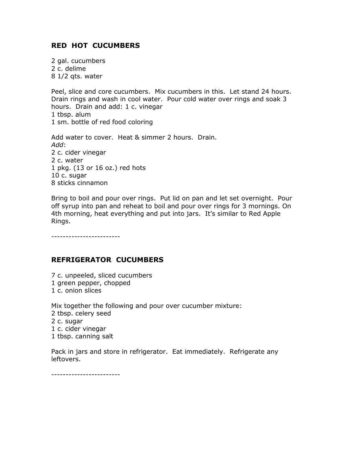# <span id="page-12-0"></span>RED HOT CUCUMBERS

2 gal. cucumbers 2 c. delime 8 1/2 qts. water

Peel, slice and core cucumbers. Mix cucumbers in this. Let stand 24 hours. Drain rings and wash in cool water. Pour cold water over rings and soak 3 hours. Drain and add: 1 c. vinegar 1 tbsp. alum 1 sm. bottle of red food coloring

Add water to cover. Heat & simmer 2 hours. Drain. Add: 2 c. cider vinegar 2 c. water 1 pkg. (13 or 16 oz.) red hots 10 c. sugar 8 sticks cinnamon

Bring to boil and pour over rings. Put lid on pan and let set overnight. Pour off syrup into pan and reheat to boil and pour over rings for 3 mornings. On 4th morning, heat everything and put into jars. It's similar to Red Apple Rings.

------------------------

# REFRIGERATOR CUCUMBERS

- 7 c. unpeeled, sliced cucumbers
- 1 green pepper, chopped
- 1 c. onion slices

Mix together the following and pour over cucumber mixture:

- 2 tbsp. celery seed
- 2 c. sugar
- 1 c. cider vinegar
- 1 tbsp. canning salt

Pack in jars and store in refrigerator. Eat immediately. Refrigerate any leftovers.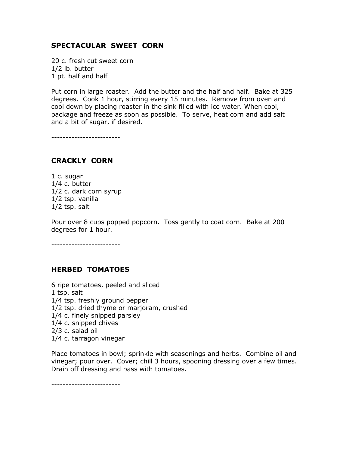# <span id="page-13-0"></span>SPECTACULAR SWEET CORN

20 c. fresh cut sweet corn 1/2 lb. butter 1 pt. half and half

Put corn in large roaster. Add the butter and the half and half. Bake at 325 degrees. Cook 1 hour, stirring every 15 minutes. Remove from oven and cool down by placing roaster in the sink filled with ice water. When cool, package and freeze as soon as possible. To serve, heat corn and add salt and a bit of sugar, if desired.

------------------------

#### CRACKLY CORN

1 c. sugar 1/4 c. butter 1/2 c. dark corn syrup 1/2 tsp. vanilla 1/2 tsp. salt

Pour over 8 cups popped popcorn. Toss gently to coat corn. Bake at 200 degrees for 1 hour.

------------------------

#### HERBED TOMATOES

6 ripe tomatoes, peeled and sliced 1 tsp. salt 1/4 tsp. freshly ground pepper 1/2 tsp. dried thyme or marjoram, crushed 1/4 c. finely snipped parsley 1/4 c. snipped chives 2/3 c. salad oil 1/4 c. tarragon vinegar

Place tomatoes in bowl; sprinkle with seasonings and herbs. Combine oil and vinegar; pour over. Cover; chill 3 hours, spooning dressing over a few times. Drain off dressing and pass with tomatoes.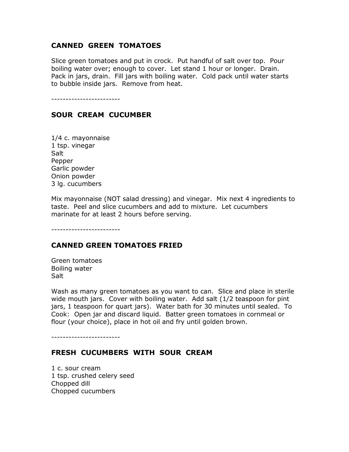#### <span id="page-14-0"></span>CANNED GREEN TOMATOES

Slice green tomatoes and put in crock. Put handful of salt over top. Pour boiling water over; enough to cover. Let stand 1 hour or longer. Drain. Pack in jars, drain. Fill jars with boiling water. Cold pack until water starts to bubble inside jars. Remove from heat.

------------------------

#### SOUR CREAM CUCUMBER

1/4 c. mayonnaise 1 tsp. vinegar Salt Pepper Garlic powder Onion powder 3 lg. cucumbers

Mix mayonnaise (NOT salad dressing) and vinegar. Mix next 4 ingredients to taste. Peel and slice cucumbers and add to mixture. Let cucumbers marinate for at least 2 hours before serving.

------------------------

#### CANNED GREEN TOMATOES FRIED

Green tomatoes Boiling water Salt

Wash as many green tomatoes as you want to can. Slice and place in sterile wide mouth jars. Cover with boiling water. Add salt (1/2 teaspoon for pint jars, 1 teaspoon for quart jars). Water bath for 30 minutes until sealed. To Cook: Open jar and discard liquid. Batter green tomatoes in cornmeal or flour (your choice), place in hot oil and fry until golden brown.

------------------------

#### FRESH CUCUMBERS WITH SOUR CREAM

1 c. sour cream 1 tsp. crushed celery seed Chopped dill Chopped cucumbers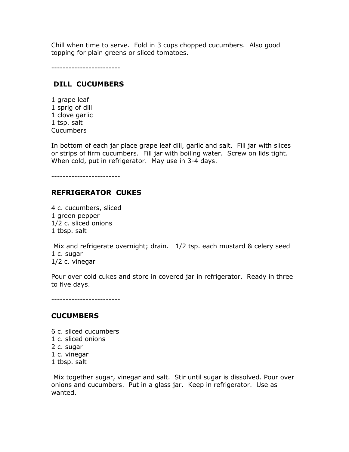<span id="page-15-0"></span>Chill when time to serve. Fold in 3 cups chopped cucumbers. Also good topping for plain greens or sliced tomatoes.

------------------------

# DILL CUCUMBERS

1 grape leaf 1 sprig of dill 1 clove garlic 1 tsp. salt Cucumbers

In bottom of each jar place grape leaf dill, garlic and salt. Fill jar with slices or strips of firm cucumbers. Fill jar with boiling water. Screw on lids tight. When cold, put in refrigerator. May use in 3-4 days.

------------------------

# REFRIGERATOR CUKES

4 c. cucumbers, sliced 1 green pepper 1/2 c. sliced onions 1 tbsp. salt

 Mix and refrigerate overnight; drain. 1/2 tsp. each mustard & celery seed 1 c. sugar 1/2 c. vinegar

Pour over cold cukes and store in covered jar in refrigerator. Ready in three to five days.

------------------------

#### **CUCUMBERS**

- 6 c. sliced cucumbers
- 1 c. sliced onions
- 2 c. sugar
- 1 c. vinegar
- 1 tbsp. salt

 Mix together sugar, vinegar and salt. Stir until sugar is dissolved. Pour over onions and cucumbers. Put in a glass jar. Keep in refrigerator. Use as wanted.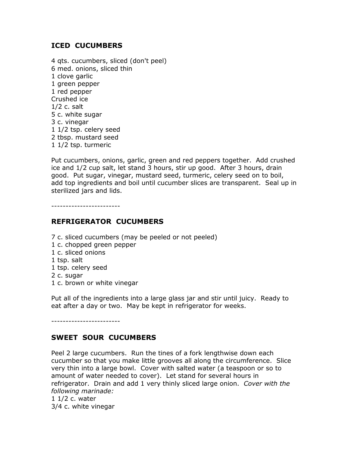# <span id="page-16-0"></span>ICED CUCUMBERS

4 qts. cucumbers, sliced (don't peel) 6 med. onions, sliced thin 1 clove garlic 1 green pepper 1 red pepper Crushed ice 1/2 c. salt 5 c. white sugar 3 c. vinegar 1 1/2 tsp. celery seed 2 tbsp. mustard seed 1 1/2 tsp. turmeric

Put cucumbers, onions, garlic, green and red peppers together. Add crushed ice and 1/2 cup salt, let stand 3 hours, stir up good. After 3 hours, drain good. Put sugar, vinegar, mustard seed, turmeric, celery seed on to boil, add top ingredients and boil until cucumber slices are transparent. Seal up in sterilized jars and lids.

------------------------

# REFRIGERATOR CUCUMBERS

- 7 c. sliced cucumbers (may be peeled or not peeled)
- 1 c. chopped green pepper
- 1 c. sliced onions
- 1 tsp. salt
- 1 tsp. celery seed
- 2 c. sugar
- 1 c. brown or white vinegar

Put all of the ingredients into a large glass jar and stir until juicy. Ready to eat after a day or two. May be kept in refrigerator for weeks.

------------------------

# SWEET SOUR CUCUMBERS

Peel 2 large cucumbers. Run the tines of a fork lengthwise down each cucumber so that you make little grooves all along the circumference. Slice very thin into a large bowl. Cover with salted water (a teaspoon or so to amount of water needed to cover). Let stand for several hours in refrigerator. Drain and add 1 very thinly sliced large onion. Cover with the following marinade:

1 1/2 c. water 3/4 c. white vinegar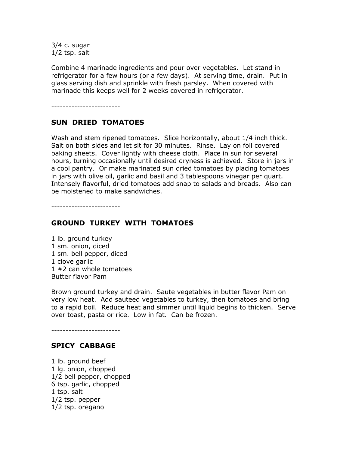<span id="page-17-0"></span>3/4 c. sugar 1/2 tsp. salt

Combine 4 marinade ingredients and pour over vegetables. Let stand in refrigerator for a few hours (or a few days). At serving time, drain. Put in glass serving dish and sprinkle with fresh parsley. When covered with marinade this keeps well for 2 weeks covered in refrigerator.

------------------------

#### SUN DRIED TOMATOES

Wash and stem ripened tomatoes. Slice horizontally, about 1/4 inch thick. Salt on both sides and let sit for 30 minutes. Rinse. Lay on foil covered baking sheets. Cover lightly with cheese cloth. Place in sun for several hours, turning occasionally until desired dryness is achieved. Store in jars in a cool pantry. Or make marinated sun dried tomatoes by placing tomatoes in jars with olive oil, garlic and basil and 3 tablespoons vinegar per quart. Intensely flavorful, dried tomatoes add snap to salads and breads. Also can be moistened to make sandwiches.

------------------------

#### GROUND TURKEY WITH TOMATOES

1 lb. ground turkey 1 sm. onion, diced 1 sm. bell pepper, diced 1 clove garlic 1 #2 can whole tomatoes Butter flavor Pam

Brown ground turkey and drain. Saute vegetables in butter flavor Pam on very low heat. Add sauteed vegetables to turkey, then tomatoes and bring to a rapid boil. Reduce heat and simmer until liquid begins to thicken. Serve over toast, pasta or rice. Low in fat. Can be frozen.

#### SPICY CABBAGE

------------------------

1 lb. ground beef 1 lg. onion, chopped 1/2 bell pepper, chopped 6 tsp. garlic, chopped 1 tsp. salt 1/2 tsp. pepper 1/2 tsp. oregano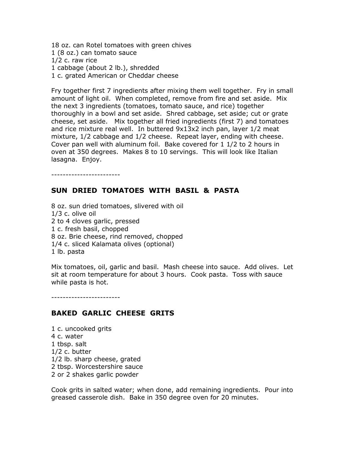<span id="page-18-0"></span>18 oz. can Rotel tomatoes with green chives 1 (8 oz.) can tomato sauce 1/2 c. raw rice 1 cabbage (about 2 lb.), shredded 1 c. grated American or Cheddar cheese

Fry together first 7 ingredients after mixing them well together. Fry in small amount of light oil. When completed, remove from fire and set aside. Mix the next 3 ingredients (tomatoes, tomato sauce, and rice) together thoroughly in a bowl and set aside. Shred cabbage, set aside; cut or grate cheese, set aside. Mix together all fried ingredients (first 7) and tomatoes and rice mixture real well. In buttered 9x13x2 inch pan, layer 1/2 meat mixture, 1/2 cabbage and 1/2 cheese. Repeat layer, ending with cheese. Cover pan well with aluminum foil. Bake covered for 1 1/2 to 2 hours in oven at 350 degrees. Makes 8 to 10 servings. This will look like Italian lasagna. Enjoy.

------------------------

#### SUN DRIED TOMATOES WITH BASIL & PASTA

8 oz. sun dried tomatoes, slivered with oil 1/3 c. olive oil 2 to 4 cloves garlic, pressed 1 c. fresh basil, chopped 8 oz. Brie cheese, rind removed, chopped 1/4 c. sliced Kalamata olives (optional) 1 lb. pasta

Mix tomatoes, oil, garlic and basil. Mash cheese into sauce. Add olives. Let sit at room temperature for about 3 hours. Cook pasta. Toss with sauce while pasta is hot.

------------------------

#### BAKED GARLIC CHEESE GRITS

1 c. uncooked grits 4 c. water 1 tbsp. salt 1/2 c. butter 1/2 lb. sharp cheese, grated 2 tbsp. Worcestershire sauce 2 or 2 shakes garlic powder

Cook grits in salted water; when done, add remaining ingredients. Pour into greased casserole dish. Bake in 350 degree oven for 20 minutes.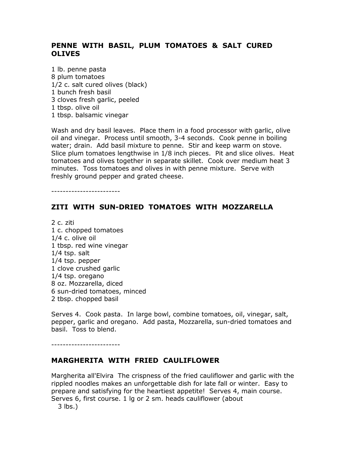# <span id="page-19-0"></span>PENNE WITH BASIL, PLUM TOMATOES & SALT CURED OLIVES

1 lb. penne pasta 8 plum tomatoes 1/2 c. salt cured olives (black) 1 bunch fresh basil 3 cloves fresh garlic, peeled 1 tbsp. olive oil 1 tbsp. balsamic vinegar

Wash and dry basil leaves. Place them in a food processor with garlic, olive oil and vinegar. Process until smooth, 3-4 seconds. Cook penne in boiling water; drain. Add basil mixture to penne. Stir and keep warm on stove. Slice plum tomatoes lengthwise in 1/8 inch pieces. Pit and slice olives. Heat tomatoes and olives together in separate skillet. Cook over medium heat 3 minutes. Toss tomatoes and olives in with penne mixture. Serve with freshly ground pepper and grated cheese.

 $-$ 

#### ZITI WITH SUN-DRIED TOMATOES WITH MOZZARELLA

2 c. ziti 1 c. chopped tomatoes 1/4 c. olive oil 1 tbsp. red wine vinegar 1/4 tsp. salt 1/4 tsp. pepper 1 clove crushed garlic 1/4 tsp. oregano 8 oz. Mozzarella, diced 6 sun-dried tomatoes, minced 2 tbsp. chopped basil

Serves 4. Cook pasta. In large bowl, combine tomatoes, oil, vinegar, salt, pepper, garlic and oregano. Add pasta, Mozzarella, sun-dried tomatoes and basil. Toss to blend.

------------------------

#### MARGHERITA WITH FRIED CAULIFLOWER

Margherita all'Elvira The crispness of the fried cauliflower and garlic with the rippled noodles makes an unforgettable dish for late fall or winter. Easy to prepare and satisfying for the heartiest appetite! Serves 4, main course. Serves 6, first course. 1 lg or 2 sm. heads cauliflower (about

3 lbs.)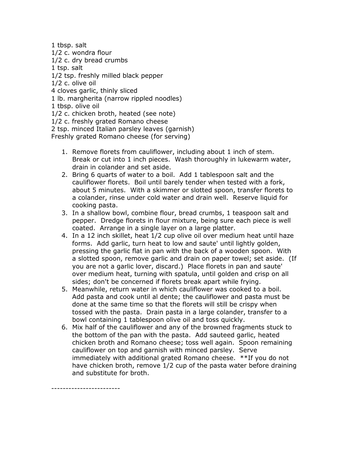1 tbsp. salt 1/2 c. wondra flour 1/2 c. dry bread crumbs 1 tsp. salt 1/2 tsp. freshly milled black pepper 1/2 c. olive oil 4 cloves garlic, thinly sliced 1 lb. margherita (narrow rippled noodles) 1 tbsp. olive oil 1/2 c. chicken broth, heated (see note) 1/2 c. freshly grated Romano cheese

2 tsp. minced Italian parsley leaves (garnish)

Freshly grated Romano cheese (for serving)

- 1. Remove florets from cauliflower, including about 1 inch of stem. Break or cut into 1 inch pieces. Wash thoroughly in lukewarm water, drain in colander and set aside.
- 2. Bring 6 quarts of water to a boil. Add 1 tablespoon salt and the cauliflower florets. Boil until barely tender when tested with a fork, about 5 minutes. With a skimmer or slotted spoon, transfer florets to a colander, rinse under cold water and drain well. Reserve liquid for cooking pasta.
- 3. In a shallow bowl, combine flour, bread crumbs, 1 teaspoon salt and pepper. Dredge florets in flour mixture, being sure each piece is well coated. Arrange in a single layer on a large platter.
- 4. In a 12 inch skillet, heat 1/2 cup olive oil over medium heat until haze forms. Add garlic, turn heat to low and saute' until lightly golden, pressing the garlic flat in pan with the back of a wooden spoon. With a slotted spoon, remove garlic and drain on paper towel; set aside. (If you are not a garlic lover, discard.) Place florets in pan and saute' over medium heat, turning with spatula, until golden and crisp on all sides; don't be concerned if florets break apart while frying.
- 5. Meanwhile, return water in which cauliflower was cooked to a boil. Add pasta and cook until al dente; the cauliflower and pasta must be done at the same time so that the florets will still be crispy when tossed with the pasta. Drain pasta in a large colander, transfer to a bowl containing 1 tablespoon olive oil and toss quickly.
- 6. Mix half of the cauliflower and any of the browned fragments stuck to the bottom of the pan with the pasta. Add sauteed garlic, heated chicken broth and Romano cheese; toss well again. Spoon remaining cauliflower on top and garnish with minced parsley. Serve immediately with additional grated Romano cheese. \*\*If you do not have chicken broth, remove 1/2 cup of the pasta water before draining and substitute for broth.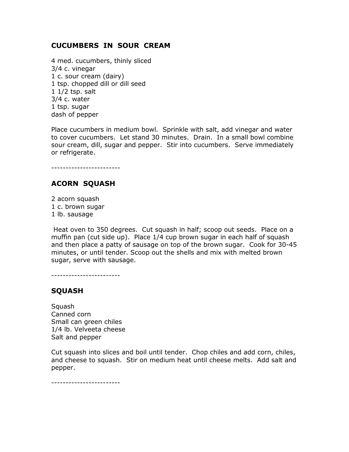#### <span id="page-21-0"></span>CUCUMBERS IN SOUR CREAM

4 med. cucumbers, thinly sliced 3/4 c. vinegar 1 c. sour cream (dairy) 1 tsp. chopped dill or dill seed 1 1/2 tsp. salt 3/4 c. water 1 tsp. sugar dash of pepper

Place cucumbers in medium bowl. Sprinkle with salt, add vinegar and water to cover cucumbers. Let stand 30 minutes. Drain. In a small bowl combine sour cream, dill, sugar and pepper. Stir into cucumbers. Serve immediately or refrigerate.

------------------------

# ACORN SQUASH

2 acorn squash 1 c. brown sugar 1 lb. sausage

 Heat oven to 350 degrees. Cut squash in half; scoop out seeds. Place on a muffin pan (cut side up). Place 1/4 cup brown sugar in each half of squash and then place a patty of sausage on top of the brown sugar. Cook for 30-45 minutes, or until tender. Scoop out the shells and mix with melted brown sugar, serve with sausage.

------------------------

# SQUASH

**Squash** Canned corn Small can green chiles 1/4 lb. Velveeta cheese Salt and pepper

Cut squash into slices and boil until tender. Chop chiles and add corn, chiles, and cheese to squash. Stir on medium heat until cheese melts. Add salt and pepper.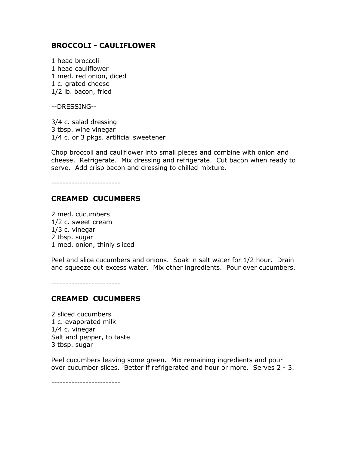#### <span id="page-22-0"></span>BROCCOLI - CAULIFLOWER

1 head broccoli 1 head cauliflower 1 med. red onion, diced 1 c. grated cheese 1/2 lb. bacon, fried

--DRESSING--

3/4 c. salad dressing 3 tbsp. wine vinegar 1/4 c. or 3 pkgs. artificial sweetener

Chop broccoli and cauliflower into small pieces and combine with onion and cheese. Refrigerate. Mix dressing and refrigerate. Cut bacon when ready to serve. Add crisp bacon and dressing to chilled mixture.

------------------------

#### CREAMED CUCUMBERS

2 med. cucumbers 1/2 c. sweet cream 1/3 c. vinegar 2 tbsp. sugar 1 med. onion, thinly sliced

Peel and slice cucumbers and onions. Soak in salt water for 1/2 hour. Drain and squeeze out excess water. Mix other ingredients. Pour over cucumbers.

------------------------

#### CREAMED CUCUMBERS

2 sliced cucumbers 1 c. evaporated milk 1/4 c. vinegar Salt and pepper, to taste 3 tbsp. sugar

Peel cucumbers leaving some green. Mix remaining ingredients and pour over cucumber slices. Better if refrigerated and hour or more. Serves 2 - 3.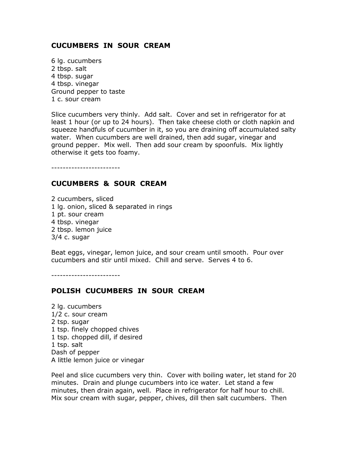#### <span id="page-23-0"></span>CUCUMBERS IN SOUR CREAM

6 lg. cucumbers 2 tbsp. salt 4 tbsp. sugar 4 tbsp. vinegar Ground pepper to taste 1 c. sour cream

Slice cucumbers very thinly. Add salt. Cover and set in refrigerator for at least 1 hour (or up to 24 hours). Then take cheese cloth or cloth napkin and squeeze handfuls of cucumber in it, so you are draining off accumulated salty water. When cucumbers are well drained, then add sugar, vinegar and ground pepper. Mix well. Then add sour cream by spoonfuls. Mix lightly otherwise it gets too foamy.

------------------------

#### CUCUMBERS & SOUR CREAM

2 cucumbers, sliced 1 lg. onion, sliced & separated in rings 1 pt. sour cream 4 tbsp. vinegar 2 tbsp. lemon juice 3/4 c. sugar

Beat eggs, vinegar, lemon juice, and sour cream until smooth. Pour over cucumbers and stir until mixed. Chill and serve. Serves 4 to 6.

------------------------

# POLISH CUCUMBERS IN SOUR CREAM

2 lg. cucumbers 1/2 c. sour cream 2 tsp. sugar 1 tsp. finely chopped chives 1 tsp. chopped dill, if desired 1 tsp. salt Dash of pepper A little lemon juice or vinegar

Peel and slice cucumbers very thin. Cover with boiling water, let stand for 20 minutes. Drain and plunge cucumbers into ice water. Let stand a few minutes, then drain again, well. Place in refrigerator for half hour to chill. Mix sour cream with sugar, pepper, chives, dill then salt cucumbers. Then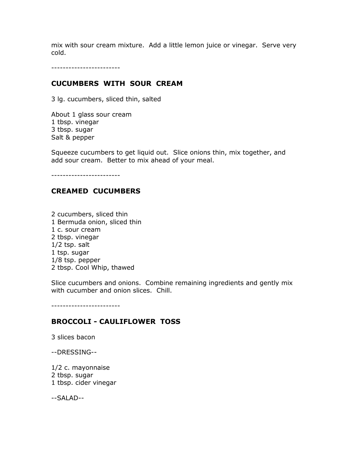<span id="page-24-0"></span>mix with sour cream mixture. Add a little lemon juice or vinegar. Serve very cold.

------------------------

#### CUCUMBERS WITH SOUR CREAM

3 lg. cucumbers, sliced thin, salted

About 1 glass sour cream 1 tbsp. vinegar 3 tbsp. sugar Salt & pepper

Squeeze cucumbers to get liquid out. Slice onions thin, mix together, and add sour cream. Better to mix ahead of your meal.

------------------------

#### CREAMED CUCUMBERS

2 cucumbers, sliced thin 1 Bermuda onion, sliced thin 1 c. sour cream 2 tbsp. vinegar 1/2 tsp. salt 1 tsp. sugar 1/8 tsp. pepper 2 tbsp. Cool Whip, thawed

Slice cucumbers and onions. Combine remaining ingredients and gently mix with cucumber and onion slices. Chill.

------------------------

#### BROCCOLI - CAULIFLOWER TOSS

3 slices bacon

--DRESSING--

1/2 c. mayonnaise 2 tbsp. sugar 1 tbsp. cider vinegar

--SALAD--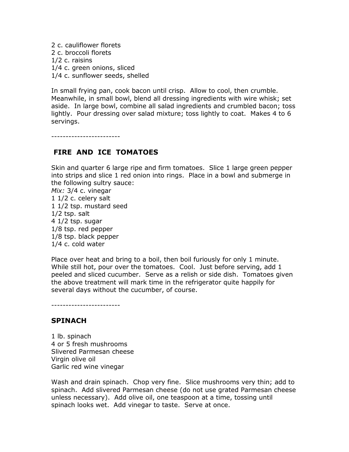<span id="page-25-0"></span>2 c. cauliflower florets 2 c. broccoli florets 1/2 c. raisins 1/4 c. green onions, sliced 1/4 c. sunflower seeds, shelled

In small frying pan, cook bacon until crisp. Allow to cool, then crumble. Meanwhile, in small bowl, blend all dressing ingredients with wire whisk; set aside. In large bowl, combine all salad ingredients and crumbled bacon; toss lightly. Pour dressing over salad mixture; toss lightly to coat. Makes 4 to 6 servings.

------------------------

#### FIRE AND ICE TOMATOES

Skin and quarter 6 large ripe and firm tomatoes. Slice 1 large green pepper into strips and slice 1 red onion into rings. Place in a bowl and submerge in the following sultry sauce:

Mix: 3/4 c. vinegar 1 1/2 c. celery salt 1 1/2 tsp. mustard seed 1/2 tsp. salt 4 1/2 tsp. sugar 1/8 tsp. red pepper 1/8 tsp. black pepper 1/4 c. cold water

Place over heat and bring to a boil, then boil furiously for only 1 minute. While still hot, pour over the tomatoes. Cool. Just before serving, add 1 peeled and sliced cucumber. Serve as a relish or side dish. Tomatoes given the above treatment will mark time in the refrigerator quite happily for several days without the cucumber, of course.

------------------------

#### **SPINACH**

1 lb. spinach 4 or 5 fresh mushrooms Slivered Parmesan cheese Virgin olive oil Garlic red wine vinegar

Wash and drain spinach. Chop very fine. Slice mushrooms very thin; add to spinach. Add slivered Parmesan cheese (do not use grated Parmesan cheese unless necessary). Add olive oil, one teaspoon at a time, tossing until spinach looks wet. Add vinegar to taste. Serve at once.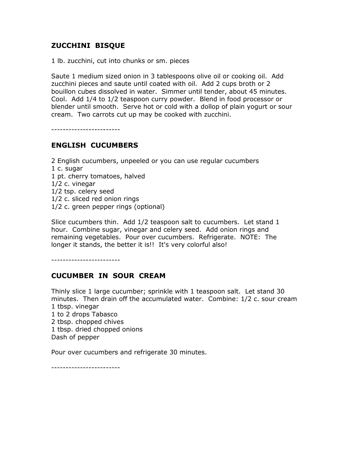# <span id="page-26-0"></span>ZUCCHINI BISQUE

1 lb. zucchini, cut into chunks or sm. pieces

Saute 1 medium sized onion in 3 tablespoons olive oil or cooking oil. Add zucchini pieces and saute until coated with oil. Add 2 cups broth or 2 bouillon cubes dissolved in water. Simmer until tender, about 45 minutes. Cool. Add 1/4 to 1/2 teaspoon curry powder. Blend in food processor or blender until smooth. Serve hot or cold with a dollop of plain yogurt or sour cream. Two carrots cut up may be cooked with zucchini.

------------------------

# ENGLISH CUCUMBERS

- 2 English cucumbers, unpeeled or you can use regular cucumbers
- 1 c. sugar
- 1 pt. cherry tomatoes, halved
- 1/2 c. vinegar
- 1/2 tsp. celery seed
- 1/2 c. sliced red onion rings
- 1/2 c. green pepper rings (optional)

Slice cucumbers thin. Add 1/2 teaspoon salt to cucumbers. Let stand 1 hour. Combine sugar, vinegar and celery seed. Add onion rings and remaining vegetables. Pour over cucumbers. Refrigerate. NOTE: The longer it stands, the better it is!! It's very colorful also!

------------------------

# CUCUMBER IN SOUR CREAM

Thinly slice 1 large cucumber; sprinkle with 1 teaspoon salt. Let stand 30 minutes. Then drain off the accumulated water. Combine: 1/2 c. sour cream 1 tbsp. vinegar 1 to 2 drops Tabasco

- 2 tbsp. chopped chives
- 1 tbsp. dried chopped onions

Dash of pepper

Pour over cucumbers and refrigerate 30 minutes.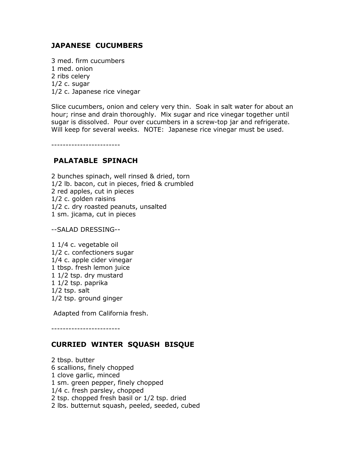# <span id="page-27-0"></span>JAPANESE CUCUMBERS

3 med. firm cucumbers 1 med. onion 2 ribs celery  $1/2$  c. sugar 1/2 c. Japanese rice vinegar

Slice cucumbers, onion and celery very thin. Soak in salt water for about an hour; rinse and drain thoroughly. Mix sugar and rice vinegar together until sugar is dissolved. Pour over cucumbers in a screw-top jar and refrigerate. Will keep for several weeks. NOTE: Japanese rice vinegar must be used.

------------------------

#### PALATABLE SPINACH

2 bunches spinach, well rinsed & dried, torn 1/2 lb. bacon, cut in pieces, fried & crumbled 2 red apples, cut in pieces 1/2 c. golden raisins 1/2 c. dry roasted peanuts, unsalted 1 sm. jicama, cut in pieces

--SALAD DRESSING--

1 1/4 c. vegetable oil 1/2 c. confectioners sugar 1/4 c. apple cider vinegar 1 tbsp. fresh lemon juice 1 1/2 tsp. dry mustard 1 1/2 tsp. paprika 1/2 tsp. salt 1/2 tsp. ground ginger

Adapted from California fresh.

------------------------

# CURRIED WINTER SQUASH BISQUE

2 tbsp. butter 6 scallions, finely chopped 1 clove garlic, minced 1 sm. green pepper, finely chopped 1/4 c. fresh parsley, chopped 2 tsp. chopped fresh basil or 1/2 tsp. dried 2 lbs. butternut squash, peeled, seeded, cubed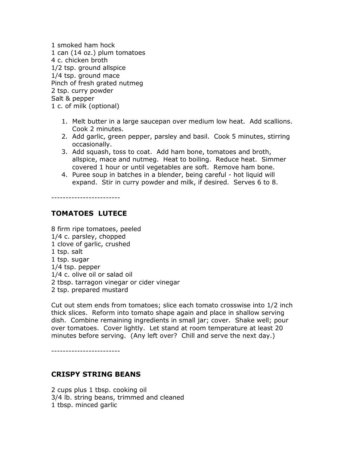<span id="page-28-0"></span>1 smoked ham hock 1 can (14 oz.) plum tomatoes 4 c. chicken broth 1/2 tsp. ground allspice 1/4 tsp. ground mace Pinch of fresh grated nutmeg 2 tsp. curry powder Salt & pepper 1 c. of milk (optional)

- 1. Melt butter in a large saucepan over medium low heat. Add scallions. Cook 2 minutes.
- 2. Add garlic, green pepper, parsley and basil. Cook 5 minutes, stirring occasionally.
- 3. Add squash, toss to coat. Add ham bone, tomatoes and broth, allspice, mace and nutmeg. Heat to boiling. Reduce heat. Simmer covered 1 hour or until vegetables are soft. Remove ham bone.
- 4. Puree soup in batches in a blender, being careful hot liquid will expand. Stir in curry powder and milk, if desired. Serves 6 to 8.

------------------------

# TOMATOES LUTECE

8 firm ripe tomatoes, peeled 1/4 c. parsley, chopped 1 clove of garlic, crushed 1 tsp. salt 1 tsp. sugar 1/4 tsp. pepper 1/4 c. olive oil or salad oil 2 tbsp. tarragon vinegar or cider vinegar 2 tsp. prepared mustard

Cut out stem ends from tomatoes; slice each tomato crosswise into 1/2 inch thick slices. Reform into tomato shape again and place in shallow serving dish. Combine remaining ingredients in small jar; cover. Shake well; pour over tomatoes. Cover lightly. Let stand at room temperature at least 20 minutes before serving. (Any left over? Chill and serve the next day.)

------------------------

# CRISPY STRING BEANS

2 cups plus 1 tbsp. cooking oil 3/4 lb. string beans, trimmed and cleaned 1 tbsp. minced garlic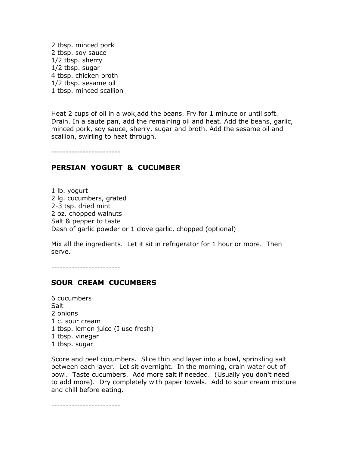<span id="page-29-0"></span>2 tbsp. minced pork 2 tbsp. soy sauce 1/2 tbsp. sherry 1/2 tbsp. sugar 4 tbsp. chicken broth 1/2 tbsp. sesame oil 1 tbsp. minced scallion

Heat 2 cups of oil in a wok,add the beans. Fry for 1 minute or until soft. Drain. In a saute pan, add the remaining oil and heat. Add the beans, garlic, minced pork, soy sauce, sherry, sugar and broth. Add the sesame oil and scallion, swirling to heat through.

------------------------

# PERSIAN YOGURT & CUCUMBER

1 lb. yogurt 2 lg. cucumbers, grated 2-3 tsp. dried mint 2 oz. chopped walnuts Salt & pepper to taste Dash of garlic powder or 1 clove garlic, chopped (optional)

Mix all the ingredients. Let it sit in refrigerator for 1 hour or more. Then serve.

------------------------

# SOUR CREAM CUCUMBERS

6 cucumbers Salt 2 onions 1 c. sour cream 1 tbsp. lemon juice (I use fresh) 1 tbsp. vinegar 1 tbsp. sugar

Score and peel cucumbers. Slice thin and layer into a bowl, sprinkling salt between each layer. Let sit overnight. In the morning, drain water out of bowl. Taste cucumbers. Add more salt if needed. (Usually you don't need to add more). Dry completely with paper towels. Add to sour cream mixture and chill before eating.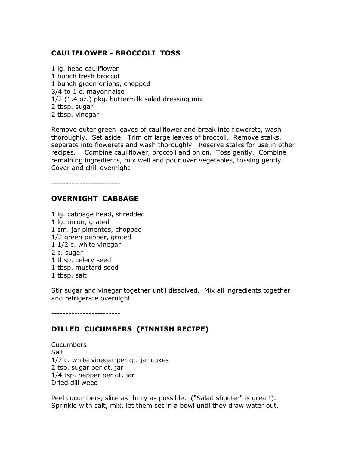# <span id="page-30-0"></span>CAULIFLOWER - BROCCOLI TOSS

1 lg. head cauliflower 1 bunch fresh broccoli 1 bunch green onions, chopped 3/4 to 1 c. mayonnaise 1/2 (1.4 oz.) pkg. buttermilk salad dressing mix 2 tbsp. sugar 2 tbsp. vinegar

Remove outer green leaves of cauliflower and break into flowerets, wash thoroughly. Set aside. Trim off large leaves of broccoli. Remove stalks, separate into flowerets and wash thoroughly. Reserve stalks for use in other recipes. Combine cauliflower, broccoli and onion. Toss gently. Combine remaining ingredients, mix well and pour over vegetables, tossing gently. Cover and chill overnight.

------------------------

# OVERNIGHT CABBAGE

1 lg. cabbage head, shredded 1 lg. onion, grated 1 sm. jar pimentos, chopped 1/2 green pepper, grated 1 1/2 c. white vinegar 2 c. sugar 1 tbsp. celery seed 1 tbsp. mustard seed 1 tbsp. salt

Stir sugar and vinegar together until dissolved. Mix all ingredients together and refrigerate overnight.

------------------------

# DILLED CUCUMBERS (FINNISH RECIPE)

Cucumbers **Salt** 1/2 c. white vinegar per qt. jar cukes 2 tsp. sugar per qt. jar 1/4 tsp. pepper per qt. jar Dried dill weed

Peel cucumbers, slice as thinly as possible. ("Salad shooter" is great!). Sprinkle with salt, mix, let them set in a bowl until they draw water out.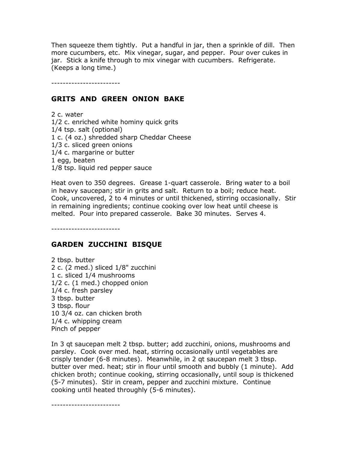<span id="page-31-0"></span>Then squeeze them tightly. Put a handful in jar, then a sprinkle of dill. Then more cucumbers, etc. Mix vinegar, sugar, and pepper. Pour over cukes in jar. Stick a knife through to mix vinegar with cucumbers. Refrigerate. (Keeps a long time.)

------------------------

#### GRITS AND GREEN ONION BAKE

2 c. water 1/2 c. enriched white hominy quick grits 1/4 tsp. salt (optional) 1 c. (4 oz.) shredded sharp Cheddar Cheese 1/3 c. sliced green onions 1/4 c. margarine or butter 1 egg, beaten 1/8 tsp. liquid red pepper sauce

Heat oven to 350 degrees. Grease 1-quart casserole. Bring water to a boil in heavy saucepan; stir in grits and salt. Return to a boil; reduce heat. Cook, uncovered, 2 to 4 minutes or until thickened, stirring occasionally. Stir in remaining ingredients; continue cooking over low heat until cheese is melted. Pour into prepared casserole. Bake 30 minutes. Serves 4.

------------------------

#### GARDEN ZUCCHINI BISQUE

2 tbsp. butter 2 c. (2 med.) sliced 1/8" zucchini 1 c. sliced 1/4 mushrooms 1/2 c. (1 med.) chopped onion 1/4 c. fresh parsley 3 tbsp. butter 3 tbsp. flour 10 3/4 oz. can chicken broth 1/4 c. whipping cream Pinch of pepper

In 3 qt saucepan melt 2 tbsp. butter; add zucchini, onions, mushrooms and parsley. Cook over med. heat, stirring occasionally until vegetables are crisply tender (6-8 minutes). Meanwhile, in 2 qt saucepan melt 3 tbsp. butter over med. heat; stir in flour until smooth and bubbly (1 minute). Add chicken broth; continue cooking, stirring occasionally, until soup is thickened (5-7 minutes). Stir in cream, pepper and zucchini mixture. Continue cooking until heated throughly (5-6 minutes).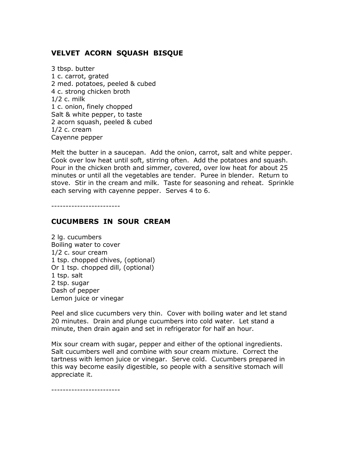# <span id="page-32-0"></span>VELVET ACORN SQUASH BISQUE

3 tbsp. butter 1 c. carrot, grated 2 med. potatoes, peeled & cubed 4 c. strong chicken broth 1/2 c. milk 1 c. onion, finely chopped Salt & white pepper, to taste 2 acorn squash, peeled & cubed 1/2 c. cream Cayenne pepper

Melt the butter in a saucepan. Add the onion, carrot, salt and white pepper. Cook over low heat until soft, stirring often. Add the potatoes and squash. Pour in the chicken broth and simmer, covered, over low heat for about 25 minutes or until all the vegetables are tender. Puree in blender. Return to stove. Stir in the cream and milk. Taste for seasoning and reheat. Sprinkle each serving with cayenne pepper. Serves 4 to 6.

------------------------

#### CUCUMBERS IN SOUR CREAM

2 lg. cucumbers Boiling water to cover 1/2 c. sour cream 1 tsp. chopped chives, (optional) Or 1 tsp. chopped dill, (optional) 1 tsp. salt 2 tsp. sugar Dash of pepper Lemon juice or vinegar

Peel and slice cucumbers very thin. Cover with boiling water and let stand 20 minutes. Drain and plunge cucumbers into cold water. Let stand a minute, then drain again and set in refrigerator for half an hour.

Mix sour cream with sugar, pepper and either of the optional ingredients. Salt cucumbers well and combine with sour cream mixture. Correct the tartness with lemon juice or vinegar. Serve cold. Cucumbers prepared in this way become easily digestible, so people with a sensitive stomach will appreciate it.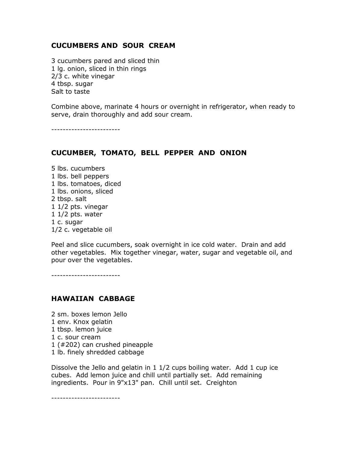#### <span id="page-33-0"></span>CUCUMBERS AND SOUR CREAM

3 cucumbers pared and sliced thin 1 lg. onion, sliced in thin rings 2/3 c. white vinegar 4 tbsp. sugar Salt to taste

Combine above, marinate 4 hours or overnight in refrigerator, when ready to serve, drain thoroughly and add sour cream.

------------------------

# CUCUMBER, TOMATO, BELL PEPPER AND ONION

5 lbs. cucumbers 1 lbs. bell peppers 1 lbs. tomatoes, diced 1 lbs. onions, sliced 2 tbsp. salt 1 1/2 pts. vinegar 1 1/2 pts. water 1 c. sugar 1/2 c. vegetable oil

Peel and slice cucumbers, soak overnight in ice cold water. Drain and add other vegetables. Mix together vinegar, water, sugar and vegetable oil, and pour over the vegetables.

------------------------

# HAWAIIAN CABBAGE

2 sm. boxes lemon Jello

- 1 env. Knox gelatin
- 1 tbsp. lemon juice
- 1 c. sour cream
- 1 (#202) can crushed pineapple
- 1 lb. finely shredded cabbage

Dissolve the Jello and gelatin in  $1\frac{1}{2}$  cups boiling water. Add 1 cup ice cubes. Add lemon juice and chill until partially set. Add remaining ingredients. Pour in 9"x13" pan. Chill until set. Creighton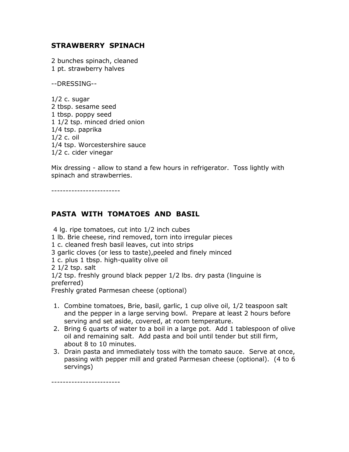# <span id="page-34-0"></span>STRAWBERRY SPINACH

2 bunches spinach, cleaned 1 pt. strawberry halves

--DRESSING--

 $1/2$  c. sugar 2 tbsp. sesame seed 1 tbsp. poppy seed 1 1/2 tsp. minced dried onion 1/4 tsp. paprika 1/2 c. oil 1/4 tsp. Worcestershire sauce 1/2 c. cider vinegar

Mix dressing - allow to stand a few hours in refrigerator. Toss lightly with spinach and strawberries.

------------------------

# PASTA WITH TOMATOES AND BASIL

4 lg. ripe tomatoes, cut into 1/2 inch cubes

1 lb. Brie cheese, rind removed, torn into irregular pieces

1 c. cleaned fresh basil leaves, cut into strips

3 garlic cloves (or less to taste),peeled and finely minced

1 c. plus 1 tbsp. high-quality olive oil

2 1/2 tsp. salt

1/2 tsp. freshly ground black pepper 1/2 lbs. dry pasta (linguine is preferred)

Freshly grated Parmesan cheese (optional)

- 1. Combine tomatoes, Brie, basil, garlic, 1 cup olive oil, 1/2 teaspoon salt and the pepper in a large serving bowl. Prepare at least 2 hours before serving and set aside, covered, at room temperature.
- 2. Bring 6 quarts of water to a boil in a large pot. Add 1 tablespoon of olive oil and remaining salt. Add pasta and boil until tender but still firm, about 8 to 10 minutes.
- 3. Drain pasta and immediately toss with the tomato sauce. Serve at once, passing with pepper mill and grated Parmesan cheese (optional). (4 to 6 servings)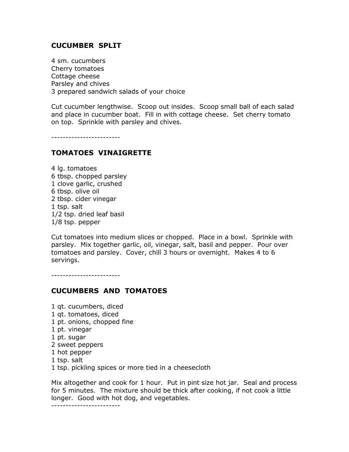#### <span id="page-35-0"></span>CUCUMBER SPLIT

4 sm. cucumbers Cherry tomatoes Cottage cheese Parsley and chives 3 prepared sandwich salads of your choice

Cut cucumber lengthwise. Scoop out insides. Scoop small ball of each salad and place in cucumber boat. Fill in with cottage cheese. Set cherry tomato on top. Sprinkle with parsley and chives.

------------------------

# TOMATOES VINAIGRETTE

4 lg. tomatoes 6 tbsp. chopped parsley 1 clove garlic, crushed 6 tbsp. olive oil 2 tbsp. cider vinegar 1 tsp. salt 1/2 tsp. dried leaf basil 1/8 tsp. pepper

Cut tomatoes into medium slices or chopped. Place in a bowl. Sprinkle with parsley. Mix together garlic, oil, vinegar, salt, basil and pepper. Pour over tomatoes and parsley. Cover, chill 3 hours or overnight. Makes 4 to 6 servings.

------------------------

# CUCUMBERS AND TOMATOES

1 qt. cucumbers, diced 1 qt. tomatoes, diced 1 pt. onions, chopped fine 1 pt. vinegar 1 pt. sugar 2 sweet peppers 1 hot pepper 1 tsp. salt 1 tsp. pickling spices or more tied in a cheesecloth

Mix altogether and cook for 1 hour. Put in pint size hot jar. Seal and process for 5 minutes. The mixture should be thick after cooking, if not cook a little longer. Good with hot dog, and vegetables.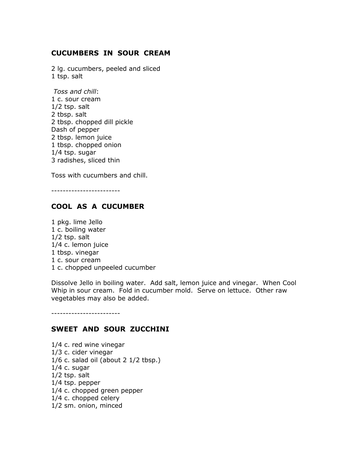### CUCUMBERS IN SOUR CREAM

2 lg. cucumbers, peeled and sliced 1 tsp. salt

Toss and chill: 1 c. sour cream 1/2 tsp. salt 2 tbsp. salt 2 tbsp. chopped dill pickle Dash of pepper 2 tbsp. lemon juice 1 tbsp. chopped onion 1/4 tsp. sugar 3 radishes, sliced thin

Toss with cucumbers and chill.

------------------------

## COOL AS A CUCUMBER

1 pkg. lime Jello 1 c. boiling water 1/2 tsp. salt 1/4 c. lemon juice 1 tbsp. vinegar 1 c. sour cream 1 c. chopped unpeeled cucumber

Dissolve Jello in boiling water. Add salt, lemon juice and vinegar. When Cool Whip in sour cream. Fold in cucumber mold. Serve on lettuce. Other raw vegetables may also be added.

------------------------

#### SWEET AND SOUR ZUCCHINI

1/4 c. red wine vinegar 1/3 c. cider vinegar 1/6 c. salad oil (about 2 1/2 tbsp.) 1/4 c. sugar 1/2 tsp. salt 1/4 tsp. pepper 1/4 c. chopped green pepper 1/4 c. chopped celery 1/2 sm. onion, minced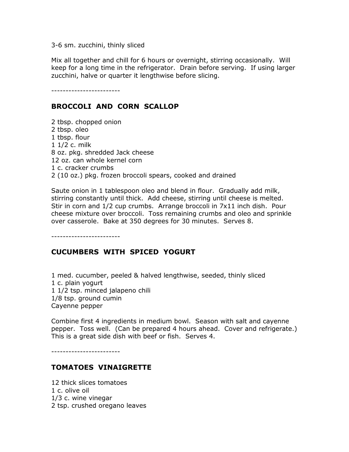3-6 sm. zucchini, thinly sliced

Mix all together and chill for 6 hours or overnight, stirring occasionally. Will keep for a long time in the refrigerator. Drain before serving. If using larger zucchini, halve or quarter it lengthwise before slicing.

------------------------

#### BROCCOLI AND CORN SCALLOP

2 tbsp. chopped onion 2 tbsp. oleo 1 tbsp. flour 1 1/2 c. milk 8 oz. pkg. shredded Jack cheese 12 oz. can whole kernel corn 1 c. cracker crumbs 2 (10 oz.) pkg. frozen broccoli spears, cooked and drained

Saute onion in 1 tablespoon oleo and blend in flour. Gradually add milk, stirring constantly until thick. Add cheese, stirring until cheese is melted. Stir in corn and 1/2 cup crumbs. Arrange broccoli in 7x11 inch dish. Pour cheese mixture over broccoli. Toss remaining crumbs and oleo and sprinkle over casserole. Bake at 350 degrees for 30 minutes. Serves 8.

------------------------

#### CUCUMBERS WITH SPICED YOGURT

1 med. cucumber, peeled & halved lengthwise, seeded, thinly sliced 1 c. plain yogurt 1 1/2 tsp. minced jalapeno chili 1/8 tsp. ground cumin Cayenne pepper

Combine first 4 ingredients in medium bowl. Season with salt and cayenne pepper. Toss well. (Can be prepared 4 hours ahead. Cover and refrigerate.) This is a great side dish with beef or fish. Serves 4.

------------------------

### TOMATOES VINAIGRETTE

12 thick slices tomatoes 1 c. olive oil 1/3 c. wine vinegar 2 tsp. crushed oregano leaves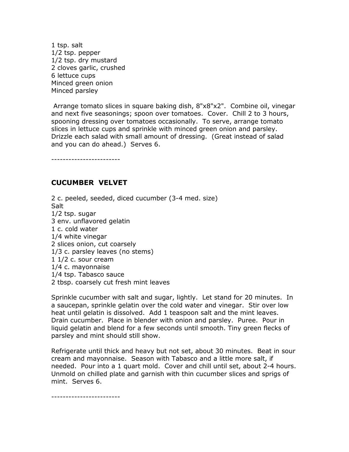1 tsp. salt 1/2 tsp. pepper 1/2 tsp. dry mustard 2 cloves garlic, crushed 6 lettuce cups Minced green onion Minced parsley

 Arrange tomato slices in square baking dish, 8"x8"x2". Combine oil, vinegar and next five seasonings; spoon over tomatoes. Cover. Chill 2 to 3 hours, spooning dressing over tomatoes occasionally. To serve, arrange tomato slices in lettuce cups and sprinkle with minced green onion and parsley. Drizzle each salad with small amount of dressing. (Great instead of salad and you can do ahead.) Serves 6.

------------------------

#### CUCUMBER VELVET

2 c. peeled, seeded, diced cucumber (3-4 med. size) Salt 1/2 tsp. sugar 3 env. unflavored gelatin 1 c. cold water 1/4 white vinegar 2 slices onion, cut coarsely 1/3 c. parsley leaves (no stems) 1 1/2 c. sour cream 1/4 c. mayonnaise 1/4 tsp. Tabasco sauce 2 tbsp. coarsely cut fresh mint leaves

Sprinkle cucumber with salt and sugar, lightly. Let stand for 20 minutes. In a saucepan, sprinkle gelatin over the cold water and vinegar. Stir over low heat until gelatin is dissolved. Add 1 teaspoon salt and the mint leaves. Drain cucumber. Place in blender with onion and parsley. Puree. Pour in liquid gelatin and blend for a few seconds until smooth. Tiny green flecks of parsley and mint should still show.

Refrigerate until thick and heavy but not set, about 30 minutes. Beat in sour cream and mayonnaise. Season with Tabasco and a little more salt, if needed. Pour into a 1 quart mold. Cover and chill until set, about 2-4 hours. Unmold on chilled plate and garnish with thin cucumber slices and sprigs of mint. Serves 6.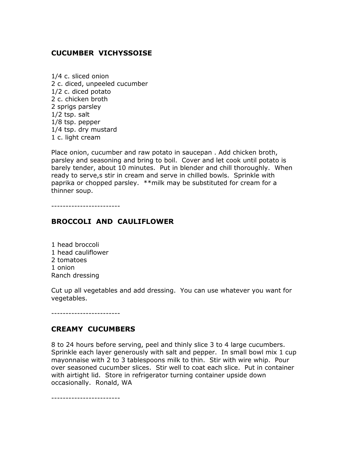## CUCUMBER VICHYSSOISE

1/4 c. sliced onion 2 c. diced, unpeeled cucumber 1/2 c. diced potato 2 c. chicken broth 2 sprigs parsley 1/2 tsp. salt 1/8 tsp. pepper 1/4 tsp. dry mustard 1 c. light cream

Place onion, cucumber and raw potato in saucepan . Add chicken broth, parsley and seasoning and bring to boil. Cover and let cook until potato is barely tender, about 10 minutes. Put in blender and chill thoroughly. When ready to serve,s stir in cream and serve in chilled bowls. Sprinkle with paprika or chopped parsley. \*\*milk may be substituted for cream for a thinner soup.

------------------------

### BROCCOLI AND CAULIFLOWER

1 head broccoli 1 head cauliflower 2 tomatoes 1 onion Ranch dressing

Cut up all vegetables and add dressing. You can use whatever you want for vegetables.

------------------------

#### CREAMY CUCUMBERS

8 to 24 hours before serving, peel and thinly slice 3 to 4 large cucumbers. Sprinkle each layer generously with salt and pepper. In small bowl mix 1 cup mayonnaise with 2 to 3 tablespoons milk to thin. Stir with wire whip. Pour over seasoned cucumber slices. Stir well to coat each slice. Put in container with airtight lid. Store in refrigerator turning container upside down occasionally. Ronald, WA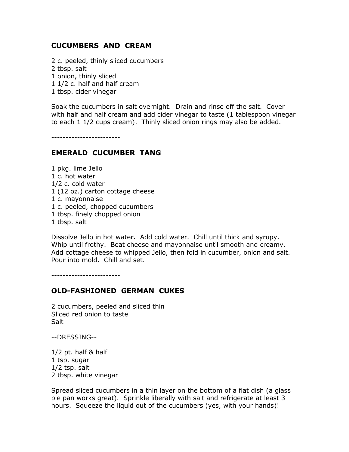### CUCUMBERS AND CREAM

2 c. peeled, thinly sliced cucumbers 2 tbsp. salt 1 onion, thinly sliced 1 1/2 c. half and half cream 1 tbsp. cider vinegar

Soak the cucumbers in salt overnight. Drain and rinse off the salt. Cover with half and half cream and add cider vinegar to taste (1 tablespoon vinegar to each 1 1/2 cups cream). Thinly sliced onion rings may also be added.

------------------------

#### EMERALD CUCUMBER TANG

1 pkg. lime Jello 1 c. hot water 1/2 c. cold water 1 (12 oz.) carton cottage cheese 1 c. mayonnaise 1 c. peeled, chopped cucumbers 1 tbsp. finely chopped onion 1 tbsp. salt

Dissolve Jello in hot water. Add cold water. Chill until thick and syrupy. Whip until frothy. Beat cheese and mayonnaise until smooth and creamy. Add cottage cheese to whipped Jello, then fold in cucumber, onion and salt. Pour into mold. Chill and set.

------------------------

#### OLD-FASHIONED GERMAN CUKES

2 cucumbers, peeled and sliced thin Sliced red onion to taste **Salt** 

--DRESSING--

1/2 pt. half & half 1 tsp. sugar 1/2 tsp. salt 2 tbsp. white vinegar

Spread sliced cucumbers in a thin layer on the bottom of a flat dish (a glass pie pan works great). Sprinkle liberally with salt and refrigerate at least 3 hours. Squeeze the liquid out of the cucumbers (yes, with your hands)!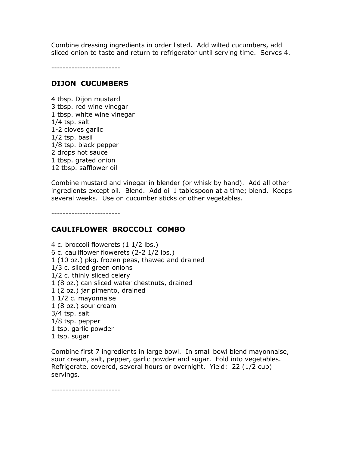Combine dressing ingredients in order listed. Add wilted cucumbers, add sliced onion to taste and return to refrigerator until serving time. Serves 4.

------------------------

## DIJON CUCUMBERS

4 tbsp. Dijon mustard 3 tbsp. red wine vinegar 1 tbsp. white wine vinegar 1/4 tsp. salt 1-2 cloves garlic 1/2 tsp. basil 1/8 tsp. black pepper 2 drops hot sauce 1 tbsp. grated onion 12 tbsp. safflower oil

Combine mustard and vinegar in blender (or whisk by hand). Add all other ingredients except oil. Blend. Add oil 1 tablespoon at a time; blend. Keeps several weeks. Use on cucumber sticks or other vegetables.

------------------------

## CAULIFLOWER BROCCOLI COMBO

4 c. broccoli flowerets (1 1/2 lbs.) 6 c. cauliflower flowerets (2-2 1/2 lbs.) 1 (10 oz.) pkg. frozen peas, thawed and drained 1/3 c. sliced green onions 1/2 c. thinly sliced celery 1 (8 oz.) can sliced water chestnuts, drained 1 (2 oz.) jar pimento, drained 1 1/2 c. mayonnaise 1 (8 oz.) sour cream 3/4 tsp. salt 1/8 tsp. pepper 1 tsp. garlic powder 1 tsp. sugar

Combine first 7 ingredients in large bowl. In small bowl blend mayonnaise, sour cream, salt, pepper, garlic powder and sugar. Fold into vegetables. Refrigerate, covered, several hours or overnight. Yield: 22 (1/2 cup) servings.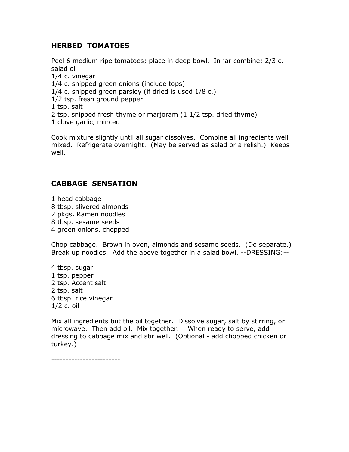## HERBED TOMATOES

Peel 6 medium ripe tomatoes; place in deep bowl. In jar combine: 2/3 c. salad oil 1/4 c. vinegar 1/4 c. snipped green onions (include tops) 1/4 c. snipped green parsley (if dried is used 1/8 c.) 1/2 tsp. fresh ground pepper 1 tsp. salt 2 tsp. snipped fresh thyme or marjoram (1 1/2 tsp. dried thyme) 1 clove garlic, minced

Cook mixture slightly until all sugar dissolves. Combine all ingredients well mixed. Refrigerate overnight. (May be served as salad or a relish.) Keeps well.

------------------------

# CABBAGE SENSATION

1 head cabbage 8 tbsp. slivered almonds 2 pkgs. Ramen noodles 8 tbsp. sesame seeds 4 green onions, chopped

Chop cabbage. Brown in oven, almonds and sesame seeds. (Do separate.) Break up noodles. Add the above together in a salad bowl. --DRESSING:--

4 tbsp. sugar 1 tsp. pepper 2 tsp. Accent salt 2 tsp. salt 6 tbsp. rice vinegar 1/2 c. oil

Mix all ingredients but the oil together. Dissolve sugar, salt by stirring, or microwave. Then add oil. Mix together. When ready to serve, add dressing to cabbage mix and stir well. (Optional - add chopped chicken or turkey.)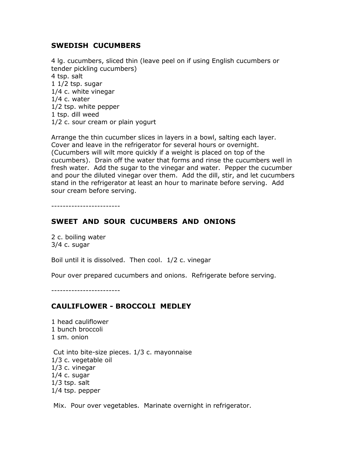### SWEDISH CUCUMBERS

4 lg. cucumbers, sliced thin (leave peel on if using English cucumbers or tender pickling cucumbers) 4 tsp. salt 1 1/2 tsp. sugar 1/4 c. white vinegar 1/4 c. water 1/2 tsp. white pepper 1 tsp. dill weed 1/2 c. sour cream or plain yogurt

Arrange the thin cucumber slices in layers in a bowl, salting each layer. Cover and leave in the refrigerator for several hours or overnight. (Cucumbers will wilt more quickly if a weight is placed on top of the cucumbers). Drain off the water that forms and rinse the cucumbers well in fresh water. Add the sugar to the vinegar and water. Pepper the cucumber and pour the diluted vinegar over them. Add the dill, stir, and let cucumbers stand in the refrigerator at least an hour to marinate before serving. Add sour cream before serving.

------------------------

### SWEET AND SOUR CUCUMBERS AND ONIONS

2 c. boiling water 3/4 c. sugar

Boil until it is dissolved. Then cool. 1/2 c. vinegar

Pour over prepared cucumbers and onions. Refrigerate before serving.

------------------------

#### CAULIFLOWER - BROCCOLI MEDLEY

1 head cauliflower 1 bunch broccoli 1 sm. onion

 Cut into bite-size pieces. 1/3 c. mayonnaise 1/3 c. vegetable oil 1/3 c. vinegar 1/4 c. sugar 1/3 tsp. salt 1/4 tsp. pepper

Mix. Pour over vegetables. Marinate overnight in refrigerator.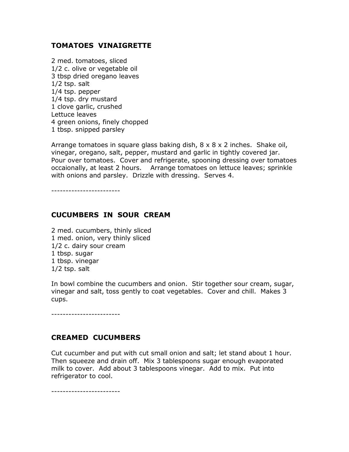## TOMATOES VINAIGRETTE

2 med. tomatoes, sliced 1/2 c. olive or vegetable oil 3 tbsp dried oregano leaves 1/2 tsp. salt 1/4 tsp. pepper 1/4 tsp. dry mustard 1 clove garlic, crushed Lettuce leaves 4 green onions, finely chopped 1 tbsp. snipped parsley

Arrange tomatoes in square glass baking dish,  $8 \times 8 \times 2$  inches. Shake oil, vinegar, oregano, salt, pepper, mustard and garlic in tightly covered jar. Pour over tomatoes. Cover and refrigerate, spooning dressing over tomatoes occaionally, at least 2 hours. Arrange tomatoes on lettuce leaves; sprinkle with onions and parsley. Drizzle with dressing. Serves 4.

------------------------

### CUCUMBERS IN SOUR CREAM

2 med. cucumbers, thinly sliced 1 med. onion, very thinly sliced 1/2 c. dairy sour cream 1 tbsp. sugar 1 tbsp. vinegar 1/2 tsp. salt

In bowl combine the cucumbers and onion. Stir together sour cream, sugar, vinegar and salt, toss gently to coat vegetables. Cover and chill. Makes 3 cups.

------------------------

#### CREAMED CUCUMBERS

Cut cucumber and put with cut small onion and salt; let stand about 1 hour. Then squeeze and drain off. Mix 3 tablespoons sugar enough evaporated milk to cover. Add about 3 tablespoons vinegar. Add to mix. Put into refrigerator to cool.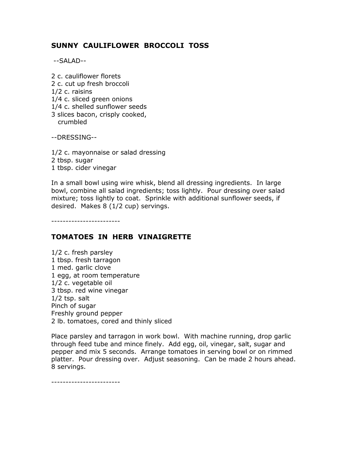# SUNNY CAULIFLOWER BROCCOLI TOSS

--SALAD--

2 c. cauliflower florets 2 c. cut up fresh broccoli 1/2 c. raisins 1/4 c. sliced green onions 1/4 c. shelled sunflower seeds 3 slices bacon, crisply cooked, crumbled

--DRESSING--

1/2 c. mayonnaise or salad dressing 2 tbsp. sugar 1 tbsp. cider vinegar

In a small bowl using wire whisk, blend all dressing ingredients. In large bowl, combine all salad ingredients; toss lightly. Pour dressing over salad mixture; toss lightly to coat. Sprinkle with additional sunflower seeds, if desired. Makes 8 (1/2 cup) servings.

------------------------

## TOMATOES IN HERB VINAIGRETTE

1/2 c. fresh parsley 1 tbsp. fresh tarragon 1 med. garlic clove 1 egg, at room temperature 1/2 c. vegetable oil 3 tbsp. red wine vinegar 1/2 tsp. salt Pinch of sugar Freshly ground pepper 2 lb. tomatoes, cored and thinly sliced

Place parsley and tarragon in work bowl. With machine running, drop garlic through feed tube and mince finely. Add egg, oil, vinegar, salt, sugar and pepper and mix 5 seconds. Arrange tomatoes in serving bowl or on rimmed platter. Pour dressing over. Adjust seasoning. Can be made 2 hours ahead. 8 servings.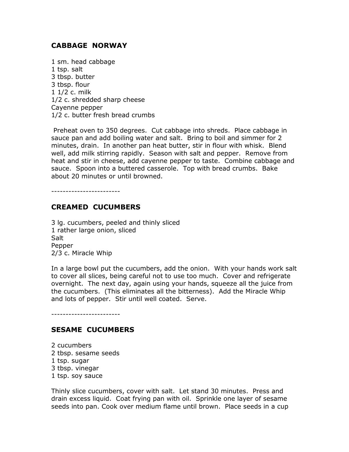## CABBAGE NORWAY

1 sm. head cabbage 1 tsp. salt 3 tbsp. butter 3 tbsp. flour 1 1/2 c. milk 1/2 c. shredded sharp cheese Cayenne pepper 1/2 c. butter fresh bread crumbs

 Preheat oven to 350 degrees. Cut cabbage into shreds. Place cabbage in sauce pan and add boiling water and salt. Bring to boil and simmer for 2 minutes, drain. In another pan heat butter, stir in flour with whisk. Blend well, add milk stirring rapidly. Season with salt and pepper. Remove from heat and stir in cheese, add cayenne pepper to taste. Combine cabbage and sauce. Spoon into a buttered casserole. Top with bread crumbs. Bake about 20 minutes or until browned.

 $-$ 

### CREAMED CUCUMBERS

3 lg. cucumbers, peeled and thinly sliced 1 rather large onion, sliced Salt Pepper 2/3 c. Miracle Whip

In a large bowl put the cucumbers, add the onion. With your hands work salt to cover all slices, being careful not to use too much. Cover and refrigerate overnight. The next day, again using your hands, squeeze all the juice from the cucumbers. (This eliminates all the bitterness). Add the Miracle Whip and lots of pepper. Stir until well coated. Serve.

------------------------

#### SESAME CUCUMBERS

2 cucumbers 2 tbsp. sesame seeds 1 tsp. sugar 3 tbsp. vinegar 1 tsp. soy sauce

Thinly slice cucumbers, cover with salt. Let stand 30 minutes. Press and drain excess liquid. Coat frying pan with oil. Sprinkle one layer of sesame seeds into pan. Cook over medium flame until brown. Place seeds in a cup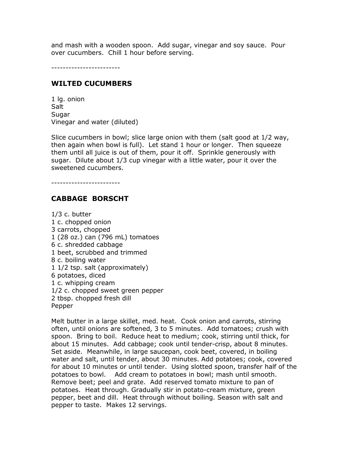and mash with a wooden spoon. Add sugar, vinegar and soy sauce. Pour over cucumbers. Chill 1 hour before serving.

------------------------

## WILTED CUCUMBERS

1 lg. onion **Salt** Sugar Vinegar and water (diluted)

Slice cucumbers in bowl; slice large onion with them (salt good at 1/2 way, then again when bowl is full). Let stand 1 hour or longer. Then squeeze them until all juice is out of them, pour it off. Sprinkle generously with sugar. Dilute about 1/3 cup vinegar with a little water, pour it over the sweetened cucumbers.

------------------------

# CABBAGE BORSCHT

1/3 c. butter 1 c. chopped onion 3 carrots, chopped 1 (28 oz.) can (796 mL) tomatoes 6 c. shredded cabbage 1 beet, scrubbed and trimmed 8 c. boiling water 1 1/2 tsp. salt (approximately) 6 potatoes, diced 1 c. whipping cream 1/2 c. chopped sweet green pepper 2 tbsp. chopped fresh dill Pepper

Melt butter in a large skillet, med. heat. Cook onion and carrots, stirring often, until onions are softened, 3 to 5 minutes. Add tomatoes; crush with spoon. Bring to boil. Reduce heat to medium; cook, stirring until thick, for about 15 minutes. Add cabbage; cook until tender-crisp, about 8 minutes. Set aside. Meanwhile, in large saucepan, cook beet, covered, in boiling water and salt, until tender, about 30 minutes. Add potatoes; cook, covered for about 10 minutes or until tender. Using slotted spoon, transfer half of the potatoes to bowl. Add cream to potatoes in bowl; mash until smooth. Remove beet; peel and grate. Add reserved tomato mixture to pan of potatoes. Heat through. Gradually stir in potato-cream mixture, green pepper, beet and dill. Heat through without boiling. Season with salt and pepper to taste. Makes 12 servings.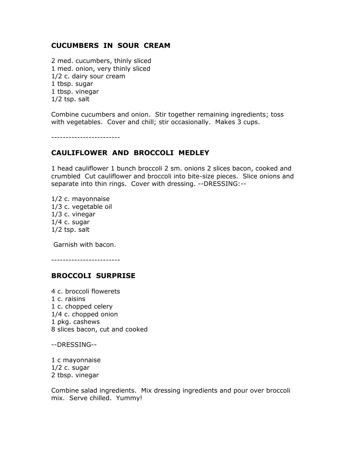### CUCUMBERS IN SOUR CREAM

2 med. cucumbers, thinly sliced 1 med. onion, very thinly sliced 1/2 c. dairy sour cream 1 tbsp. sugar 1 tbsp. vinegar 1/2 tsp. salt

Combine cucumbers and onion. Stir together remaining ingredients; toss with vegetables. Cover and chill; stir occasionally. Makes 3 cups.

------------------------

## CAULIFLOWER AND BROCCOLI MEDLEY

1 head cauliflower 1 bunch broccoli 2 sm. onions 2 slices bacon, cooked and crumbled Cut cauliflower and broccoli into bite-size pieces. Slice onions and separate into thin rings. Cover with dressing. --DRESSING:--

1/2 c. mayonnaise 1/3 c. vegetable oil 1/3 c. vinegar 1/4 c. sugar 1/2 tsp. salt

Garnish with bacon.

------------------------

#### BROCCOLI SURPRISE

4 c. broccoli flowerets 1 c. raisins 1 c. chopped celery 1/4 c. chopped onion 1 pkg. cashews 8 slices bacon, cut and cooked

--DRESSING--

1 c mayonnaise  $1/2$  c. sugar 2 tbsp. vinegar

Combine salad ingredients. Mix dressing ingredients and pour over broccoli mix. Serve chilled. Yummy!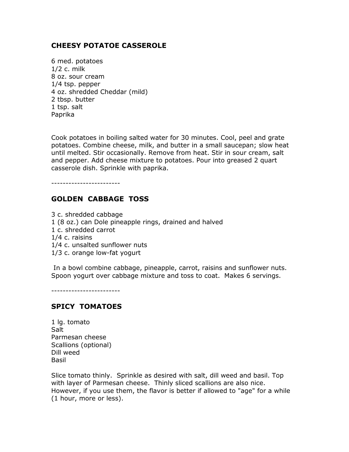# CHEESY POTATOE CASSEROLE

6 med. potatoes 1/2 c. milk 8 oz. sour cream 1/4 tsp. pepper 4 oz. shredded Cheddar (mild) 2 tbsp. butter 1 tsp. salt Paprika

Cook potatoes in boiling salted water for 30 minutes. Cool, peel and grate potatoes. Combine cheese, milk, and butter in a small saucepan; slow heat until melted. Stir occasionally. Remove from heat. Stir in sour cream, salt and pepper. Add cheese mixture to potatoes. Pour into greased 2 quart casserole dish. Sprinkle with paprika.

------------------------

### GOLDEN CABBAGE TOSS

3 c. shredded cabbage 1 (8 oz.) can Dole pineapple rings, drained and halved 1 c. shredded carrot 1/4 c. raisins 1/4 c. unsalted sunflower nuts 1/3 c. orange low-fat yogurt

 In a bowl combine cabbage, pineapple, carrot, raisins and sunflower nuts. Spoon yogurt over cabbage mixture and toss to coat. Makes 6 servings.

------------------------

#### SPICY TOMATOES

1 lg. tomato **Salt** Parmesan cheese Scallions (optional) Dill weed Basil

Slice tomato thinly. Sprinkle as desired with salt, dill weed and basil. Top with layer of Parmesan cheese. Thinly sliced scallions are also nice. However, if you use them, the flavor is better if allowed to "age" for a while (1 hour, more or less).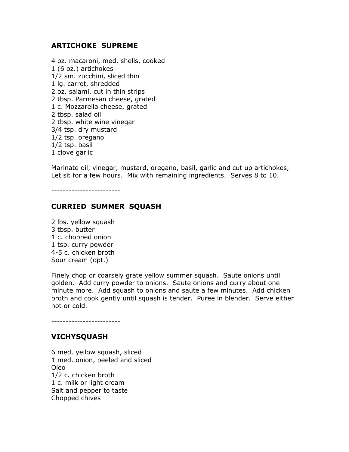### ARTICHOKE SUPREME

4 oz. macaroni, med. shells, cooked 1 (6 oz.) artichokes 1/2 sm. zucchini, sliced thin 1 lg. carrot, shredded 2 oz. salami, cut in thin strips 2 tbsp. Parmesan cheese, grated 1 c. Mozzarella cheese, grated 2 tbsp. salad oil 2 tbsp. white wine vinegar 3/4 tsp. dry mustard 1/2 tsp. oregano 1/2 tsp. basil 1 clove garlic

Marinate oil, vinegar, mustard, oregano, basil, garlic and cut up artichokes, Let sit for a few hours. Mix with remaining ingredients. Serves 8 to 10.

------------------------

## CURRIED SUMMER SQUASH

2 lbs. yellow squash 3 tbsp. butter 1 c. chopped onion 1 tsp. curry powder 4-5 c. chicken broth Sour cream (opt.)

Finely chop or coarsely grate yellow summer squash. Saute onions until golden. Add curry powder to onions. Saute onions and curry about one minute more. Add squash to onions and saute a few minutes. Add chicken broth and cook gently until squash is tender. Puree in blender. Serve either hot or cold.

## VICHYSQUASH

------------------------

6 med. yellow squash, sliced 1 med. onion, peeled and sliced Oleo 1/2 c. chicken broth 1 c. milk or light cream Salt and pepper to taste Chopped chives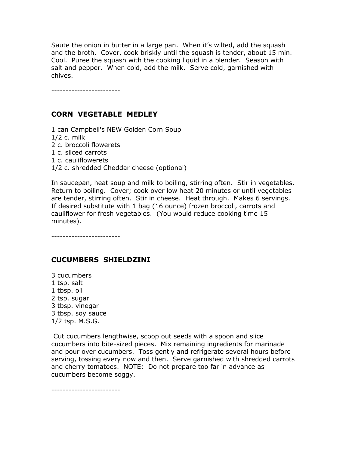Saute the onion in butter in a large pan. When it's wilted, add the squash and the broth. Cover, cook briskly until the squash is tender, about 15 min. Cool. Puree the squash with the cooking liquid in a blender. Season with salt and pepper. When cold, add the milk. Serve cold, garnished with chives.

------------------------

# CORN VEGETABLE MEDLEY

1 can Campbell's NEW Golden Corn Soup

1/2 c. milk

- 2 c. broccoli flowerets
- 1 c. sliced carrots
- 1 c. cauliflowerets
- 1/2 c. shredded Cheddar cheese (optional)

In saucepan, heat soup and milk to boiling, stirring often. Stir in vegetables. Return to boiling. Cover; cook over low heat 20 minutes or until vegetables are tender, stirring often. Stir in cheese. Heat through. Makes 6 servings. If desired substitute with 1 bag (16 ounce) frozen broccoli, carrots and cauliflower for fresh vegetables. (You would reduce cooking time 15 minutes).

------------------------

## CUCUMBERS SHIELDZINI

3 cucumbers 1 tsp. salt 1 tbsp. oil 2 tsp. sugar 3 tbsp. vinegar 3 tbsp. soy sauce 1/2 tsp. M.S.G.

 Cut cucumbers lengthwise, scoop out seeds with a spoon and slice cucumbers into bite-sized pieces. Mix remaining ingredients for marinade and pour over cucumbers. Toss gently and refrigerate several hours before serving, tossing every now and then. Serve garnished with shredded carrots and cherry tomatoes. NOTE: Do not prepare too far in advance as cucumbers become soggy.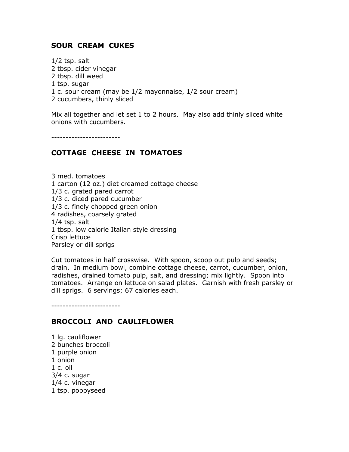### SOUR CREAM CUKES

1/2 tsp. salt 2 tbsp. cider vinegar 2 tbsp. dill weed 1 tsp. sugar 1 c. sour cream (may be 1/2 mayonnaise, 1/2 sour cream) 2 cucumbers, thinly sliced

Mix all together and let set 1 to 2 hours. May also add thinly sliced white onions with cucumbers.

------------------------

### COTTAGE CHEESE IN TOMATOES

3 med. tomatoes 1 carton (12 oz.) diet creamed cottage cheese 1/3 c. grated pared carrot 1/3 c. diced pared cucumber 1/3 c. finely chopped green onion 4 radishes, coarsely grated 1/4 tsp. salt 1 tbsp. low calorie Italian style dressing Crisp lettuce Parsley or dill sprigs

Cut tomatoes in half crosswise. With spoon, scoop out pulp and seeds; drain. In medium bowl, combine cottage cheese, carrot, cucumber, onion, radishes, drained tomato pulp, salt, and dressing; mix lightly. Spoon into tomatoes. Arrange on lettuce on salad plates. Garnish with fresh parsley or dill sprigs. 6 servings; 67 calories each.

------------------------

#### BROCCOLI AND CAULIFLOWER

1 lg. cauliflower 2 bunches broccoli 1 purple onion 1 onion 1 c. oil 3/4 c. sugar 1/4 c. vinegar 1 tsp. poppyseed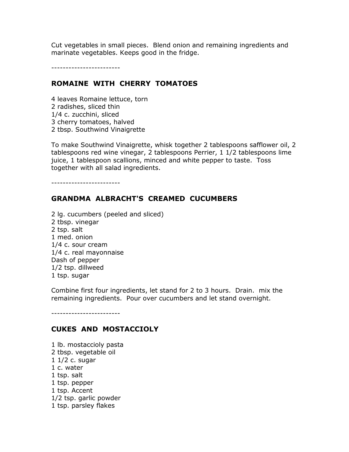Cut vegetables in small pieces. Blend onion and remaining ingredients and marinate vegetables. Keeps good in the fridge.

------------------------

### ROMAINE WITH CHERRY TOMATOES

4 leaves Romaine lettuce, torn 2 radishes, sliced thin 1/4 c. zucchini, sliced 3 cherry tomatoes, halved 2 tbsp. Southwind Vinaigrette

To make Southwind Vinaigrette, whisk together 2 tablespoons safflower oil, 2 tablespoons red wine vinegar, 2 tablespoons Perrier, 1 1/2 tablespoons lime juice, 1 tablespoon scallions, minced and white pepper to taste. Toss together with all salad ingredients.

------------------------

### GRANDMA ALBRACHT'S CREAMED CUCUMBERS

2 lg. cucumbers (peeled and sliced) 2 tbsp. vinegar 2 tsp. salt 1 med. onion 1/4 c. sour cream 1/4 c. real mayonnaise Dash of pepper 1/2 tsp. dillweed 1 tsp. sugar

Combine first four ingredients, let stand for 2 to 3 hours. Drain. mix the remaining ingredients. Pour over cucumbers and let stand overnight.

------------------------

#### CUKES AND MOSTACCIOLY

1 lb. mostaccioly pasta 2 tbsp. vegetable oil 1 1/2 c. sugar 1 c. water 1 tsp. salt 1 tsp. pepper 1 tsp. Accent 1/2 tsp. garlic powder 1 tsp. parsley flakes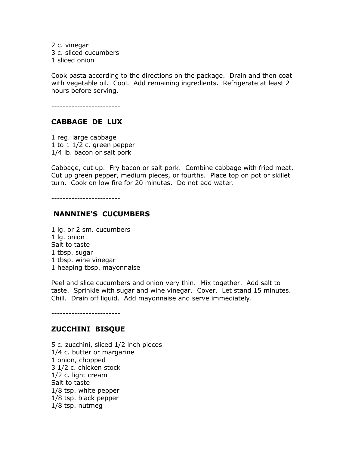2 c. vinegar 3 c. sliced cucumbers 1 sliced onion

Cook pasta according to the directions on the package. Drain and then coat with vegetable oil. Cool. Add remaining ingredients. Refrigerate at least 2 hours before serving.

------------------------

#### CABBAGE DE LUX

1 reg. large cabbage 1 to 1 1/2 c. green pepper 1/4 lb. bacon or salt pork

Cabbage, cut up. Fry bacon or salt pork. Combine cabbage with fried meat. Cut up green pepper, medium pieces, or fourths. Place top on pot or skillet turn. Cook on low fire for 20 minutes. Do not add water.

------------------------

### NANNINE'S CUCUMBERS

1 lg. or 2 sm. cucumbers 1 lg. onion Salt to taste 1 tbsp. sugar 1 tbsp. wine vinegar 1 heaping tbsp. mayonnaise

Peel and slice cucumbers and onion very thin. Mix together. Add salt to taste. Sprinkle with sugar and wine vinegar. Cover. Let stand 15 minutes. Chill. Drain off liquid. Add mayonnaise and serve immediately.

------------------------

#### ZUCCHINI BISQUE

5 c. zucchini, sliced 1/2 inch pieces 1/4 c. butter or margarine 1 onion, chopped 3 1/2 c. chicken stock 1/2 c. light cream Salt to taste 1/8 tsp. white pepper 1/8 tsp. black pepper 1/8 tsp. nutmeg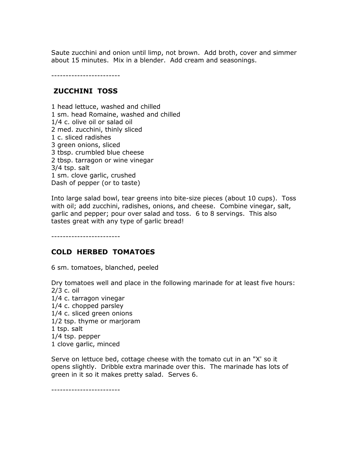Saute zucchini and onion until limp, not brown. Add broth, cover and simmer about 15 minutes. Mix in a blender. Add cream and seasonings.

------------------------

### ZUCCHINI TOSS

1 head lettuce, washed and chilled 1 sm. head Romaine, washed and chilled 1/4 c. olive oil or salad oil 2 med. zucchini, thinly sliced 1 c. sliced radishes 3 green onions, sliced 3 tbsp. crumbled blue cheese 2 tbsp. tarragon or wine vinegar 3/4 tsp. salt 1 sm. clove garlic, crushed Dash of pepper (or to taste)

Into large salad bowl, tear greens into bite-size pieces (about 10 cups). Toss with oil; add zucchini, radishes, onions, and cheese. Combine vinegar, salt, garlic and pepper; pour over salad and toss. 6 to 8 servings. This also tastes great with any type of garlic bread!

------------------------

## COLD HERBED TOMATOES

6 sm. tomatoes, blanched, peeled

Dry tomatoes well and place in the following marinade for at least five hours: 2/3 c. oil 1/4 c. tarragon vinegar 1/4 c. chopped parsley 1/4 c. sliced green onions 1/2 tsp. thyme or marjoram 1 tsp. salt 1/4 tsp. pepper 1 clove garlic, minced

Serve on lettuce bed, cottage cheese with the tomato cut in an "X' so it opens slightly. Dribble extra marinade over this. The marinade has lots of green in it so it makes pretty salad. Serves 6.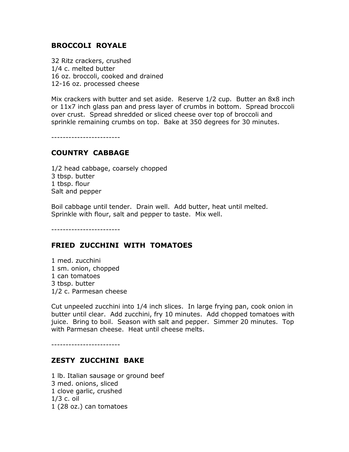## BROCCOLI ROYALE

32 Ritz crackers, crushed 1/4 c. melted butter 16 oz. broccoli, cooked and drained 12-16 oz. processed cheese

Mix crackers with butter and set aside. Reserve 1/2 cup. Butter an 8x8 inch or 11x7 inch glass pan and press layer of crumbs in bottom. Spread broccoli over crust. Spread shredded or sliced cheese over top of broccoli and sprinkle remaining crumbs on top. Bake at 350 degrees for 30 minutes.

------------------------

### COUNTRY CABBAGE

1/2 head cabbage, coarsely chopped 3 tbsp. butter 1 tbsp. flour Salt and pepper

Boil cabbage until tender. Drain well. Add butter, heat until melted. Sprinkle with flour, salt and pepper to taste. Mix well.

------------------------

### FRIED ZUCCHINI WITH TOMATOES

1 med. zucchini 1 sm. onion, chopped 1 can tomatoes 3 tbsp. butter 1/2 c. Parmesan cheese

Cut unpeeled zucchini into 1/4 inch slices. In large frying pan, cook onion in butter until clear. Add zucchini, fry 10 minutes. Add chopped tomatoes with juice. Bring to boil. Season with salt and pepper. Simmer 20 minutes. Top with Parmesan cheese. Heat until cheese melts.

------------------------

#### ZESTY ZUCCHINI BAKE

1 lb. Italian sausage or ground beef 3 med. onions, sliced 1 clove garlic, crushed 1/3 c. oil 1 (28 oz.) can tomatoes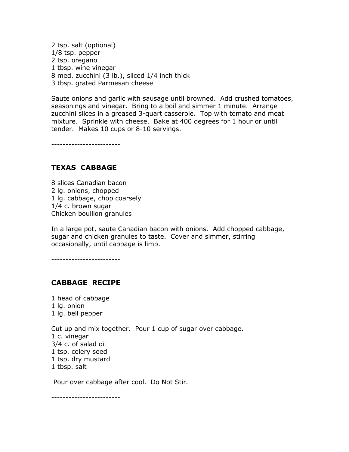2 tsp. salt (optional) 1/8 tsp. pepper 2 tsp. oregano 1 tbsp. wine vinegar 8 med. zucchini (3 lb.), sliced 1/4 inch thick 3 tbsp. grated Parmesan cheese

Saute onions and garlic with sausage until browned. Add crushed tomatoes, seasonings and vinegar. Bring to a boil and simmer 1 minute. Arrange zucchini slices in a greased 3-quart casserole. Top with tomato and meat mixture. Sprinkle with cheese. Bake at 400 degrees for 1 hour or until tender. Makes 10 cups or 8-10 servings.

------------------------

## TEXAS CABBAGE

8 slices Canadian bacon 2 lg. onions, chopped 1 lg. cabbage, chop coarsely 1/4 c. brown sugar Chicken bouillon granules

In a large pot, saute Canadian bacon with onions. Add chopped cabbage, sugar and chicken granules to taste. Cover and simmer, stirring occasionally, until cabbage is limp.

------------------------

### CABBAGE RECIPE

1 head of cabbage 1 lg. onion 1 lg. bell pepper

Cut up and mix together. Pour 1 cup of sugar over cabbage. 1 c. vinegar 3/4 c. of salad oil 1 tsp. celery seed 1 tsp. dry mustard 1 tbsp. salt

Pour over cabbage after cool. Do Not Stir.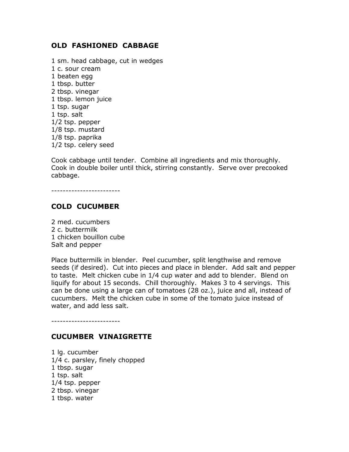## OLD FASHIONED CABBAGE

1 sm. head cabbage, cut in wedges 1 c. sour cream 1 beaten egg 1 tbsp. butter 2 tbsp. vinegar 1 tbsp. lemon juice 1 tsp. sugar 1 tsp. salt 1/2 tsp. pepper 1/8 tsp. mustard 1/8 tsp. paprika 1/2 tsp. celery seed

Cook cabbage until tender. Combine all ingredients and mix thoroughly. Cook in double boiler until thick, stirring constantly. Serve over precooked cabbage.

------------------------

# COLD CUCUMBER

2 med. cucumbers 2 c. buttermilk 1 chicken bouillon cube Salt and pepper

Place buttermilk in blender. Peel cucumber, split lengthwise and remove seeds (if desired). Cut into pieces and place in blender. Add salt and pepper to taste. Melt chicken cube in 1/4 cup water and add to blender. Blend on liquify for about 15 seconds. Chill thoroughly. Makes 3 to 4 servings. This can be done using a large can of tomatoes (28 oz.), juice and all, instead of cucumbers. Melt the chicken cube in some of the tomato juice instead of water, and add less salt.

------------------------

#### CUCUMBER VINAIGRETTE

1 lg. cucumber 1/4 c. parsley, finely chopped 1 tbsp. sugar 1 tsp. salt 1/4 tsp. pepper 2 tbsp. vinegar 1 tbsp. water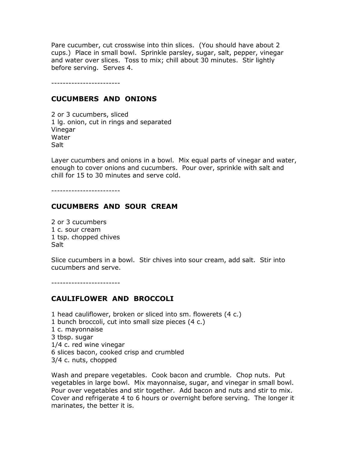Pare cucumber, cut crosswise into thin slices. (You should have about 2 cups.) Place in small bowl. Sprinkle parsley, sugar, salt, pepper, vinegar and water over slices. Toss to mix; chill about 30 minutes. Stir lightly before serving. Serves 4.

------------------------

### CUCUMBERS AND ONIONS

2 or 3 cucumbers, sliced 1 lg. onion, cut in rings and separated Vinegar Water **Salt** 

Layer cucumbers and onions in a bowl. Mix equal parts of vinegar and water, enough to cover onions and cucumbers. Pour over, sprinkle with salt and chill for 15 to 30 minutes and serve cold.

------------------------

### CUCUMBERS AND SOUR CREAM

2 or 3 cucumbers 1 c. sour cream 1 tsp. chopped chives Salt

Slice cucumbers in a bowl. Stir chives into sour cream, add salt. Stir into cucumbers and serve.

------------------------

## CAULIFLOWER AND BROCCOLI

1 head cauliflower, broken or sliced into sm. flowerets (4 c.) 1 bunch broccoli, cut into small size pieces (4 c.) 1 c. mayonnaise 3 tbsp. sugar 1/4 c. red wine vinegar 6 slices bacon, cooked crisp and crumbled 3/4 c. nuts, chopped

Wash and prepare vegetables. Cook bacon and crumble. Chop nuts. Put vegetables in large bowl. Mix mayonnaise, sugar, and vinegar in small bowl. Pour over vegetables and stir together. Add bacon and nuts and stir to mix. Cover and refrigerate 4 to 6 hours or overnight before serving. The longer it marinates, the better it is.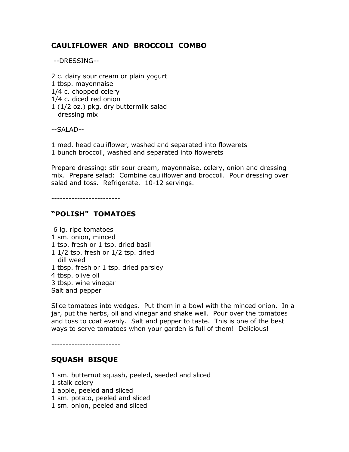# CAULIFLOWER AND BROCCOLI COMBO

--DRESSING--

2 c. dairy sour cream or plain yogurt 1 tbsp. mayonnaise 1/4 c. chopped celery 1/4 c. diced red onion 1 (1/2 oz.) pkg. dry buttermilk salad dressing mix

--SALAD--

1 med. head cauliflower, washed and separated into flowerets

1 bunch broccoli, washed and separated into flowerets

Prepare dressing: stir sour cream, mayonnaise, celery, onion and dressing mix. Prepare salad: Combine cauliflower and broccoli. Pour dressing over salad and toss. Refrigerate. 10-12 servings.

------------------------

# "POLISH" TOMATOES

 6 lg. ripe tomatoes 1 sm. onion, minced 1 tsp. fresh or 1 tsp. dried basil 1 1/2 tsp. fresh or 1/2 tsp. dried dill weed 1 tbsp. fresh or 1 tsp. dried parsley 4 tbsp. olive oil 3 tbsp. wine vinegar Salt and pepper

Slice tomatoes into wedges. Put them in a bowl with the minced onion. In a jar, put the herbs, oil and vinegar and shake well. Pour over the tomatoes and toss to coat evenly. Salt and pepper to taste. This is one of the best ways to serve tomatoes when your garden is full of them! Delicious!

------------------------

# SQUASH BISQUE

- 1 sm. butternut squash, peeled, seeded and sliced
- 1 stalk celery
- 1 apple, peeled and sliced
- 1 sm. potato, peeled and sliced
- 1 sm. onion, peeled and sliced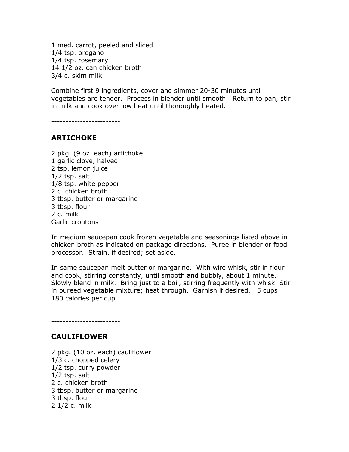1 med. carrot, peeled and sliced 1/4 tsp. oregano 1/4 tsp. rosemary 14 1/2 oz. can chicken broth 3/4 c. skim milk

Combine first 9 ingredients, cover and simmer 20-30 minutes until vegetables are tender. Process in blender until smooth. Return to pan, stir in milk and cook over low heat until thoroughly heated.

------------------------

### ARTICHOKE

2 pkg. (9 oz. each) artichoke 1 garlic clove, halved 2 tsp. lemon juice 1/2 tsp. salt 1/8 tsp. white pepper 2 c. chicken broth 3 tbsp. butter or margarine 3 tbsp. flour 2 c. milk Garlic croutons

In medium saucepan cook frozen vegetable and seasonings listed above in chicken broth as indicated on package directions. Puree in blender or food processor. Strain, if desired; set aside.

In same saucepan melt butter or margarine. With wire whisk, stir in flour and cook, stirring constantly, until smooth and bubbly, about 1 minute. Slowly blend in milk. Bring just to a boil, stirring frequently with whisk. Stir in pureed vegetable mixture; heat through. Garnish if desired. 5 cups 180 calories per cup

CAULIFLOWER

------------------------

2 pkg. (10 oz. each) cauliflower 1/3 c. chopped celery 1/2 tsp. curry powder 1/2 tsp. salt 2 c. chicken broth 3 tbsp. butter or margarine 3 tbsp. flour 2 1/2 c. milk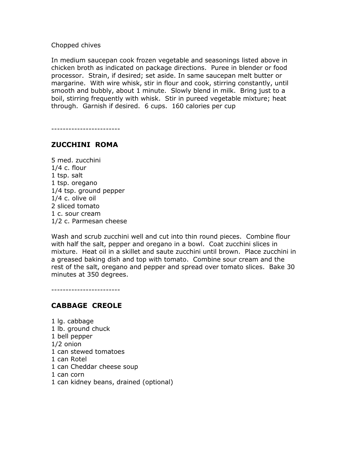Chopped chives

In medium saucepan cook frozen vegetable and seasonings listed above in chicken broth as indicated on package directions. Puree in blender or food processor. Strain, if desired; set aside. In same saucepan melt butter or margarine. With wire whisk, stir in flour and cook, stirring constantly, until smooth and bubbly, about 1 minute. Slowly blend in milk. Bring just to a boil, stirring frequently with whisk. Stir in pureed vegetable mixture; heat through. Garnish if desired. 6 cups. 160 calories per cup

------------------------

## ZUCCHINI ROMA

5 med. zucchini 1/4 c. flour 1 tsp. salt 1 tsp. oregano 1/4 tsp. ground pepper 1/4 c. olive oil 2 sliced tomato 1 c. sour cream 1/2 c. Parmesan cheese

Wash and scrub zucchini well and cut into thin round pieces. Combine flour with half the salt, pepper and oregano in a bowl. Coat zucchini slices in mixture. Heat oil in a skillet and saute zucchini until brown. Place zucchini in a greased baking dish and top with tomato. Combine sour cream and the rest of the salt, oregano and pepper and spread over tomato slices. Bake 30 minutes at 350 degrees.

------------------------

#### CABBAGE CREOLE

1 lg. cabbage 1 lb. ground chuck 1 bell pepper 1/2 onion 1 can stewed tomatoes 1 can Rotel 1 can Cheddar cheese soup 1 can corn 1 can kidney beans, drained (optional)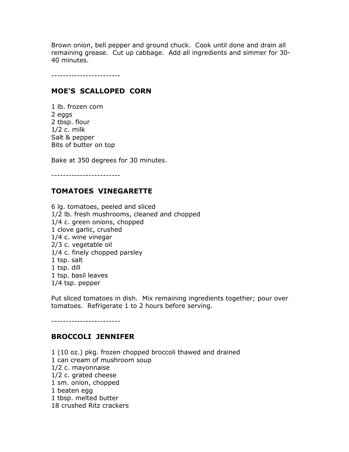Brown onion, bell pepper and ground chuck. Cook until done and drain all remaining grease. Cut up cabbage. Add all ingredients and simmer for 30- 40 minutes.

------------------------

### MOE'S SCALLOPED CORN

1 lb. frozen corn 2 eggs 2 tbsp. flour 1/2 c. milk Salt & pepper Bits of butter on top

Bake at 350 degrees for 30 minutes.

------------------------

# TOMATOES VINEGARETTE

6 lg. tomatoes, peeled and sliced 1/2 lb. fresh mushrooms, cleaned and chopped 1/4 c. green onions, chopped 1 clove garlic, crushed 1/4 c. wine vinegar 2/3 c. vegetable oil 1/4 c. finely chopped parsley 1 tsp. salt 1 tsp. dill 1 tsp. basil leaves 1/4 tsp. pepper

Put sliced tomatoes in dish. Mix remaining ingredients together; pour over tomatoes. Refrigerate 1 to 2 hours before serving.

------------------------

## BROCCOLI JENNIFER

1 (10 oz.) pkg. frozen chopped broccoli thawed and drained 1 can cream of mushroom soup 1/2 c. mayonnaise 1/2 c. grated cheese 1 sm. onion, chopped 1 beaten egg 1 tbsp. melted butter 18 crushed Ritz crackers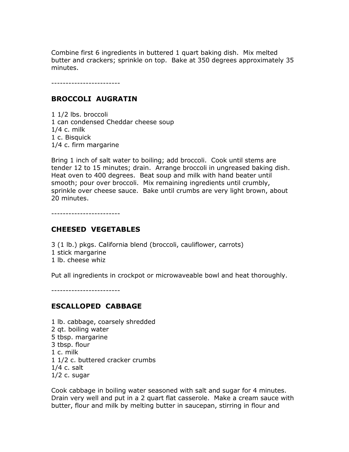Combine first 6 ingredients in buttered 1 quart baking dish. Mix melted butter and crackers; sprinkle on top. Bake at 350 degrees approximately 35 minutes.

------------------------

## BROCCOLI AUGRATIN

1 1/2 lbs. broccoli 1 can condensed Cheddar cheese soup 1/4 c. milk 1 c. Bisquick 1/4 c. firm margarine

Bring 1 inch of salt water to boiling; add broccoli. Cook until stems are tender 12 to 15 minutes; drain. Arrange broccoli in ungreased baking dish. Heat oven to 400 degrees. Beat soup and milk with hand beater until smooth; pour over broccoli. Mix remaining ingredients until crumbly, sprinkle over cheese sauce. Bake until crumbs are very light brown, about 20 minutes.

------------------------

## CHEESED VEGETABLES

3 (1 lb.) pkgs. California blend (broccoli, cauliflower, carrots)

- 1 stick margarine
- 1 lb. cheese whiz

Put all ingredients in crockpot or microwaveable bowl and heat thoroughly.

------------------------

## ESCALLOPED CABBAGE

1 lb. cabbage, coarsely shredded 2 qt. boiling water 5 tbsp. margarine 3 tbsp. flour 1 c. milk 1 1/2 c. buttered cracker crumbs 1/4 c. salt  $1/2$  c. sugar

Cook cabbage in boiling water seasoned with salt and sugar for 4 minutes. Drain very well and put in a 2 quart flat casserole. Make a cream sauce with butter, flour and milk by melting butter in saucepan, stirring in flour and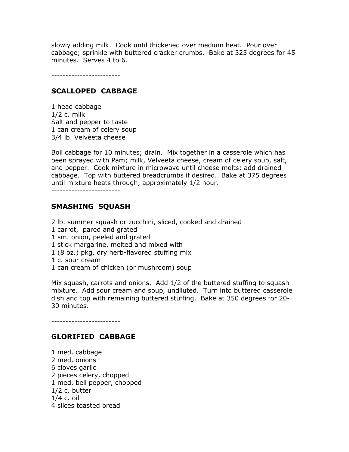slowly adding milk. Cook until thickened over medium heat. Pour over cabbage; sprinkle with buttered cracker crumbs. Bake at 325 degrees for 45 minutes. Serves 4 to 6.

------------------------

### SCALLOPED CABBAGE

1 head cabbage 1/2 c. milk Salt and pepper to taste 1 can cream of celery soup 3/4 lb. Velveeta cheese

Boil cabbage for 10 minutes; drain. Mix together in a casserole which has been sprayed with Pam; milk, Velveeta cheese, cream of celery soup, salt, and pepper. Cook mixture in microwave until cheese melts; add drained cabbage. Top with buttered breadcrumbs if desired. Bake at 375 degrees until mixture heats through, approximately 1/2 hour.

------------------------

### SMASHING SQUASH

- 2 lb. summer squash or zucchini, sliced, cooked and drained
- 1 carrot, pared and grated
- 1 sm. onion, peeled and grated
- 1 stick margarine, melted and mixed with
- 1 (8 oz.) pkg. dry herb-flavored stuffing mix
- 1 c. sour cream
- 1 can cream of chicken (or mushroom) soup

Mix squash, carrots and onions. Add 1/2 of the buttered stuffing to squash mixture. Add sour cream and soup, undiluted. Turn into buttered casserole dish and top with remaining buttered stuffing. Bake at 350 degrees for 20- 30 minutes.

------------------------

## GLORIFIED CABBAGE

1 med. cabbage 2 med. onions 6 cloves garlic 2 pieces celery, chopped 1 med. bell pepper, chopped 1/2 c. butter 1/4 c. oil 4 slices toasted bread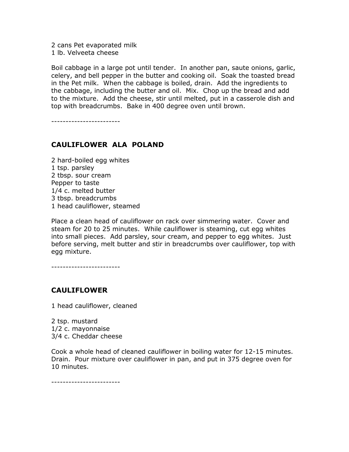2 cans Pet evaporated milk 1 lb. Velveeta cheese

Boil cabbage in a large pot until tender. In another pan, saute onions, garlic, celery, and bell pepper in the butter and cooking oil. Soak the toasted bread in the Pet milk. When the cabbage is boiled, drain. Add the ingredients to the cabbage, including the butter and oil. Mix. Chop up the bread and add to the mixture. Add the cheese, stir until melted, put in a casserole dish and top with breadcrumbs. Bake in 400 degree oven until brown.

------------------------

# CAULIFLOWER ALA POLAND

2 hard-boiled egg whites 1 tsp. parsley 2 tbsp. sour cream Pepper to taste 1/4 c. melted butter 3 tbsp. breadcrumbs 1 head cauliflower, steamed

Place a clean head of cauliflower on rack over simmering water. Cover and steam for 20 to 25 minutes. While cauliflower is steaming, cut egg whites into small pieces. Add parsley, sour cream, and pepper to egg whites. Just before serving, melt butter and stir in breadcrumbs over cauliflower, top with egg mixture.

------------------------

# CAULIFLOWER

1 head cauliflower, cleaned

2 tsp. mustard 1/2 c. mayonnaise 3/4 c. Cheddar cheese

Cook a whole head of cleaned cauliflower in boiling water for 12-15 minutes. Drain. Pour mixture over cauliflower in pan, and put in 375 degree oven for 10 minutes.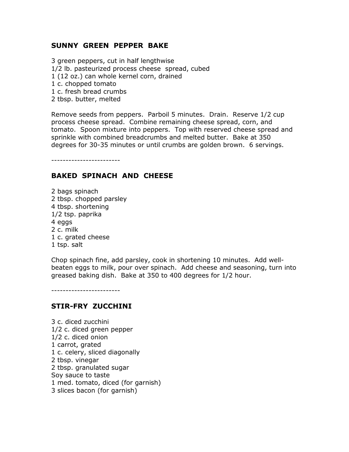### SUNNY GREEN PEPPER BAKE

3 green peppers, cut in half lengthwise 1/2 lb. pasteurized process cheese spread, cubed 1 (12 oz.) can whole kernel corn, drained 1 c. chopped tomato 1 c. fresh bread crumbs 2 tbsp. butter, melted

Remove seeds from peppers. Parboil 5 minutes. Drain. Reserve 1/2 cup process cheese spread. Combine remaining cheese spread, corn, and tomato. Spoon mixture into peppers. Top with reserved cheese spread and sprinkle with combined breadcrumbs and melted butter. Bake at 350 degrees for 30-35 minutes or until crumbs are golden brown. 6 servings.

------------------------

## BAKED SPINACH AND CHEESE

2 bags spinach 2 tbsp. chopped parsley 4 tbsp. shortening 1/2 tsp. paprika 4 eggs 2 c. milk 1 c. grated cheese 1 tsp. salt

Chop spinach fine, add parsley, cook in shortening 10 minutes. Add wellbeaten eggs to milk, pour over spinach. Add cheese and seasoning, turn into greased baking dish. Bake at 350 to 400 degrees for 1/2 hour.

------------------------

## STIR-FRY ZUCCHINI

3 c. diced zucchini 1/2 c. diced green pepper 1/2 c. diced onion 1 carrot, grated 1 c. celery, sliced diagonally 2 tbsp. vinegar 2 tbsp. granulated sugar Soy sauce to taste 1 med. tomato, diced (for garnish) 3 slices bacon (for garnish)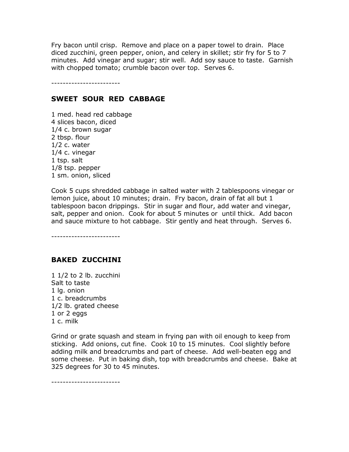Fry bacon until crisp. Remove and place on a paper towel to drain. Place diced zucchini, green pepper, onion, and celery in skillet; stir fry for 5 to 7 minutes. Add vinegar and sugar; stir well. Add soy sauce to taste. Garnish with chopped tomato; crumble bacon over top. Serves 6.

------------------------

### SWEET SOUR RED CABBAGE

1 med. head red cabbage 4 slices bacon, diced 1/4 c. brown sugar 2 tbsp. flour 1/2 c. water 1/4 c. vinegar 1 tsp. salt 1/8 tsp. pepper 1 sm. onion, sliced

Cook 5 cups shredded cabbage in salted water with 2 tablespoons vinegar or lemon juice, about 10 minutes; drain. Fry bacon, drain of fat all but 1 tablespoon bacon drippings. Stir in sugar and flour, add water and vinegar, salt, pepper and onion. Cook for about 5 minutes or until thick. Add bacon and sauce mixture to hot cabbage. Stir gently and heat through. Serves 6.

------------------------

## BAKED ZUCCHINI

1 1/2 to 2 lb. zucchini Salt to taste 1 lg. onion 1 c. breadcrumbs 1/2 lb. grated cheese 1 or 2 eggs 1 c. milk

Grind or grate squash and steam in frying pan with oil enough to keep from sticking. Add onions, cut fine. Cook 10 to 15 minutes. Cool slightly before adding milk and breadcrumbs and part of cheese. Add well-beaten egg and some cheese. Put in baking dish, top with breadcrumbs and cheese. Bake at 325 degrees for 30 to 45 minutes.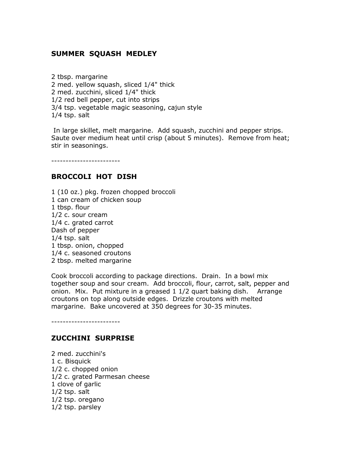# SUMMER SQUASH MEDLEY

2 tbsp. margarine 2 med. yellow squash, sliced 1/4" thick 2 med. zucchini, sliced 1/4" thick 1/2 red bell pepper, cut into strips 3/4 tsp. vegetable magic seasoning, cajun style 1/4 tsp. salt

 In large skillet, melt margarine. Add squash, zucchini and pepper strips. Saute over medium heat until crisp (about 5 minutes). Remove from heat; stir in seasonings.

------------------------

### BROCCOLI HOT DISH

1 (10 oz.) pkg. frozen chopped broccoli 1 can cream of chicken soup 1 tbsp. flour 1/2 c. sour cream 1/4 c. grated carrot Dash of pepper 1/4 tsp. salt 1 tbsp. onion, chopped 1/4 c. seasoned croutons 2 tbsp. melted margarine

Cook broccoli according to package directions. Drain. In a bowl mix together soup and sour cream. Add broccoli, flour, carrot, salt, pepper and onion. Mix. Put mixture in a greased 1 1/2 quart baking dish. Arrange croutons on top along outside edges. Drizzle croutons with melted margarine. Bake uncovered at 350 degrees for 30-35 minutes.

------------------------

#### ZUCCHINI SURPRISE

2 med. zucchini's 1 c. Bisquick 1/2 c. chopped onion 1/2 c. grated Parmesan cheese 1 clove of garlic 1/2 tsp. salt 1/2 tsp. oregano 1/2 tsp. parsley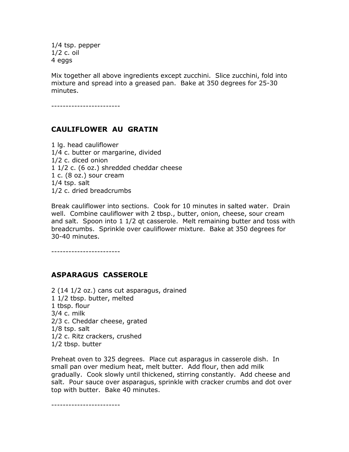1/4 tsp. pepper 1/2 c. oil 4 eggs

Mix together all above ingredients except zucchini. Slice zucchini, fold into mixture and spread into a greased pan. Bake at 350 degrees for 25-30 minutes.

------------------------

# CAULIFLOWER AU GRATIN

1 lg. head cauliflower 1/4 c. butter or margarine, divided 1/2 c. diced onion 1 1/2 c. (6 oz.) shredded cheddar cheese 1 c. (8 oz.) sour cream 1/4 tsp. salt 1/2 c. dried breadcrumbs

Break cauliflower into sections. Cook for 10 minutes in salted water. Drain well. Combine cauliflower with 2 tbsp., butter, onion, cheese, sour cream and salt. Spoon into 1 1/2 qt casserole. Melt remaining butter and toss with breadcrumbs. Sprinkle over cauliflower mixture. Bake at 350 degrees for 30-40 minutes.

------------------------

#### ASPARAGUS CASSEROLE

2 (14 1/2 oz.) cans cut asparagus, drained 1 1/2 tbsp. butter, melted 1 tbsp. flour 3/4 c. milk 2/3 c. Cheddar cheese, grated 1/8 tsp. salt 1/2 c. Ritz crackers, crushed 1/2 tbsp. butter

Preheat oven to 325 degrees. Place cut asparagus in casserole dish. In small pan over medium heat, melt butter. Add flour, then add milk gradually. Cook slowly until thickened, stirring constantly. Add cheese and salt. Pour sauce over asparagus, sprinkle with cracker crumbs and dot over top with butter. Bake 40 minutes.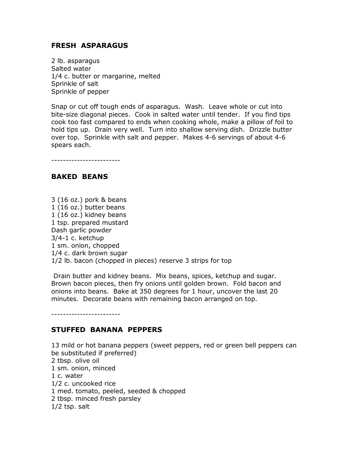### FRESH ASPARAGUS

2 lb. asparagus Salted water 1/4 c. butter or margarine, melted Sprinkle of salt Sprinkle of pepper

Snap or cut off tough ends of asparagus. Wash. Leave whole or cut into bite-size diagonal pieces. Cook in salted water until tender. If you find tips cook too fast compared to ends when cooking whole, make a pillow of foil to hold tips up. Drain very well. Turn into shallow serving dish. Drizzle butter over top. Sprinkle with salt and pepper. Makes 4-6 servings of about 4-6 spears each.

------------------------

### BAKED BEANS

3 (16 oz.) pork & beans 1 (16 oz.) butter beans 1 (16 oz.) kidney beans 1 tsp. prepared mustard Dash garlic powder 3/4-1 c. ketchup 1 sm. onion, chopped 1/4 c. dark brown sugar 1/2 lb. bacon (chopped in pieces) reserve 3 strips for top

 Drain butter and kidney beans. Mix beans, spices, ketchup and sugar. Brown bacon pieces, then fry onions until golden brown. Fold bacon and onions into beans. Bake at 350 degrees for 1 hour, uncover the last 20 minutes. Decorate beans with remaining bacon arranged on top.

------------------------

#### STUFFED BANANA PEPPERS

13 mild or hot banana peppers (sweet peppers, red or green bell peppers can be substituted if preferred) 2 tbsp. olive oil 1 sm. onion, minced 1 c. water 1/2 c. uncooked rice 1 med. tomato, peeled, seeded & chopped 2 tbsp. minced fresh parsley 1/2 tsp. salt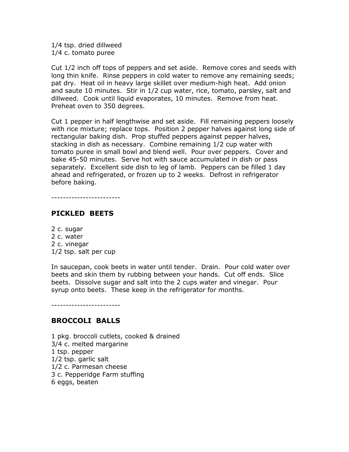1/4 tsp. dried dillweed 1/4 c. tomato puree

Cut 1/2 inch off tops of peppers and set aside. Remove cores and seeds with long thin knife. Rinse peppers in cold water to remove any remaining seeds; pat dry. Heat oil in heavy large skillet over medium-high heat. Add onion and saute 10 minutes. Stir in 1/2 cup water, rice, tomato, parsley, salt and dillweed. Cook until liquid evaporates, 10 minutes. Remove from heat. Preheat oven to 350 degrees.

Cut 1 pepper in half lengthwise and set aside. Fill remaining peppers loosely with rice mixture; replace tops. Position 2 pepper halves against long side of rectangular baking dish. Prop stuffed peppers against pepper halves, stacking in dish as necessary. Combine remaining 1/2 cup water with tomato puree in small bowl and blend well. Pour over peppers. Cover and bake 45-50 minutes. Serve hot with sauce accumulated in dish or pass separately. Excellent side dish to leg of lamb. Peppers can be filled 1 day ahead and refrigerated, or frozen up to 2 weeks. Defrost in refrigerator before baking.

------------------------

### PICKLED BEETS

2 c. sugar 2 c. water 2 c. vinegar 1/2 tsp. salt per cup

In saucepan, cook beets in water until tender. Drain. Pour cold water over beets and skin them by rubbing between your hands. Cut off ends. Slice beets. Dissolve sugar and salt into the 2 cups water and vinegar. Pour syrup onto beets. These keep in the refrigerator for months.

------------------------

#### BROCCOLI BALLS

1 pkg. broccoli cutlets, cooked & drained 3/4 c. melted margarine 1 tsp. pepper 1/2 tsp. garlic salt 1/2 c. Parmesan cheese 3 c. Pepperidge Farm stuffing 6 eggs, beaten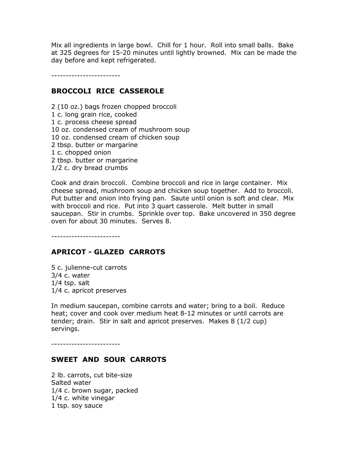Mix all ingredients in large bowl. Chill for 1 hour. Roll into small balls. Bake at 325 degrees for 15-20 minutes until lightly browned. Mix can be made the day before and kept refrigerated.

------------------------

#### BROCCOLI RICE CASSEROLE

2 (10 oz.) bags frozen chopped broccoli 1 c. long grain rice, cooked 1 c. process cheese spread 10 oz. condensed cream of mushroom soup 10 oz. condensed cream of chicken soup 2 tbsp. butter or margarine 1 c. chopped onion 2 tbsp. butter or margarine 1/2 c. dry bread crumbs

Cook and drain broccoli. Combine broccoli and rice in large container. Mix cheese spread, mushroom soup and chicken soup together. Add to broccoli. Put butter and onion into frying pan. Saute until onion is soft and clear. Mix with broccoli and rice. Put into 3 quart casserole. Melt butter in small saucepan. Stir in crumbs. Sprinkle over top. Bake uncovered in 350 degree oven for about 30 minutes. Serves 8.

------------------------

#### APRICOT - GLAZED CARROTS

5 c. julienne-cut carrots 3/4 c. water 1/4 tsp. salt 1/4 c. apricot preserves

In medium saucepan, combine carrots and water; bring to a boil. Reduce heat; cover and cook over medium heat 8-12 minutes or until carrots are tender; drain. Stir in salt and apricot preserves. Makes 8 (1/2 cup) servings.

------------------------

#### SWEET AND SOUR CARROTS

2 lb. carrots, cut bite-size Salted water 1/4 c. brown sugar, packed 1/4 c. white vinegar 1 tsp. soy sauce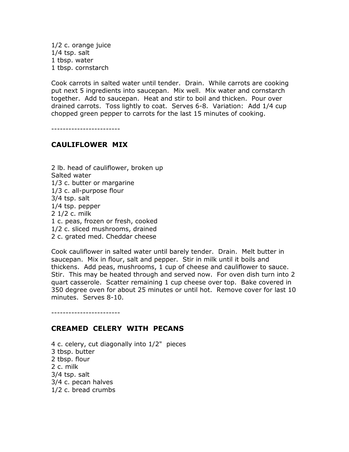1/2 c. orange juice 1/4 tsp. salt 1 tbsp. water 1 tbsp. cornstarch

Cook carrots in salted water until tender. Drain. While carrots are cooking put next 5 ingredients into saucepan. Mix well. Mix water and cornstarch together. Add to saucepan. Heat and stir to boil and thicken. Pour over drained carrots. Toss lightly to coat. Serves 6-8. Variation: Add 1/4 cup chopped green pepper to carrots for the last 15 minutes of cooking.

------------------------

### CAULIFLOWER MIX

2 lb. head of cauliflower, broken up Salted water 1/3 c. butter or margarine 1/3 c. all-purpose flour 3/4 tsp. salt 1/4 tsp. pepper 2 1/2 c. milk 1 c. peas, frozen or fresh, cooked 1/2 c. sliced mushrooms, drained 2 c. grated med. Cheddar cheese

Cook cauliflower in salted water until barely tender. Drain. Melt butter in saucepan. Mix in flour, salt and pepper. Stir in milk until it boils and thickens. Add peas, mushrooms, 1 cup of cheese and cauliflower to sauce. Stir. This may be heated through and served now. For oven dish turn into 2 quart casserole. Scatter remaining 1 cup cheese over top. Bake covered in 350 degree oven for about 25 minutes or until hot. Remove cover for last 10 minutes. Serves 8-10.

------------------------

#### CREAMED CELERY WITH PECANS

4 c. celery, cut diagonally into 1/2" pieces 3 tbsp. butter 2 tbsp. flour 2 c. milk 3/4 tsp. salt 3/4 c. pecan halves 1/2 c. bread crumbs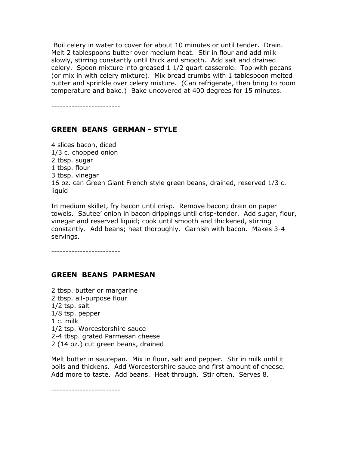Boil celery in water to cover for about 10 minutes or until tender. Drain. Melt 2 tablespoons butter over medium heat. Stir in flour and add milk slowly, stirring constantly until thick and smooth. Add salt and drained celery. Spoon mixture into greased 1 1/2 quart casserole. Top with pecans (or mix in with celery mixture). Mix bread crumbs with 1 tablespoon melted butter and sprinkle over celery mixture. (Can refrigerate, then bring to room temperature and bake.) Bake uncovered at 400 degrees for 15 minutes.

------------------------

### GREEN BEANS GERMAN - STYLE

4 slices bacon, diced 1/3 c. chopped onion 2 tbsp. sugar 1 tbsp. flour 3 tbsp. vinegar 16 oz. can Green Giant French style green beans, drained, reserved 1/3 c. liquid

In medium skillet, fry bacon until crisp. Remove bacon; drain on paper towels. Sautee' onion in bacon drippings until crisp-tender. Add sugar, flour, vinegar and reserved liquid; cook until smooth and thickened, stirring constantly. Add beans; heat thoroughly. Garnish with bacon. Makes 3-4 servings.

------------------------

#### GREEN BEANS PARMESAN

2 tbsp. butter or margarine 2 tbsp. all-purpose flour 1/2 tsp. salt 1/8 tsp. pepper 1 c. milk 1/2 tsp. Worcestershire sauce 2-4 tbsp. grated Parmesan cheese 2 (14 oz.) cut green beans, drained

Melt butter in saucepan. Mix in flour, salt and pepper. Stir in milk until it boils and thickens. Add Worcestershire sauce and first amount of cheese. Add more to taste. Add beans. Heat through. Stir often. Serves 8.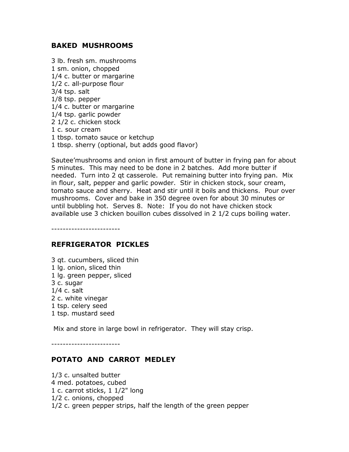### BAKED MUSHROOMS

3 lb. fresh sm. mushrooms 1 sm. onion, chopped 1/4 c. butter or margarine 1/2 c. all-purpose flour 3/4 tsp. salt 1/8 tsp. pepper 1/4 c. butter or margarine 1/4 tsp. garlic powder 2 1/2 c. chicken stock 1 c. sour cream 1 tbsp. tomato sauce or ketchup 1 tbsp. sherry (optional, but adds good flavor)

Sautee'mushrooms and onion in first amount of butter in frying pan for about 5 minutes. This may need to be done in 2 batches. Add more butter if needed. Turn into 2 qt casserole. Put remaining butter into frying pan. Mix in flour, salt, pepper and garlic powder. Stir in chicken stock, sour cream, tomato sauce and sherry. Heat and stir until it boils and thickens. Pour over mushrooms. Cover and bake in 350 degree oven for about 30 minutes or until bubbling hot. Serves 8. Note: If you do not have chicken stock available use 3 chicken bouillon cubes dissolved in 2 1/2 cups boiling water.

------------------------

#### REFRIGERATOR PICKLES

3 qt. cucumbers, sliced thin 1 lg. onion, sliced thin 1 lg. green pepper, sliced 3 c. sugar 1/4 c. salt 2 c. white vinegar 1 tsp. celery seed 1 tsp. mustard seed

Mix and store in large bowl in refrigerator. They will stay crisp.

------------------------

#### POTATO AND CARROT MEDLEY

1/3 c. unsalted butter 4 med. potatoes, cubed 1 c. carrot sticks, 1 1/2" long 1/2 c. onions, chopped 1/2 c. green pepper strips, half the length of the green pepper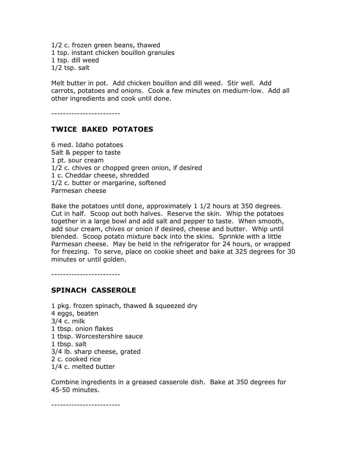1/2 c. frozen green beans, thawed 1 tsp. instant chicken bouillon granules 1 tsp. dill weed 1/2 tsp. salt

Melt butter in pot. Add chicken bouillon and dill weed. Stir well. Add carrots, potatoes and onions. Cook a few minutes on medium-low. Add all other ingredients and cook until done.

------------------------

## TWICE BAKED POTATOES

6 med. Idaho potatoes Salt & pepper to taste 1 pt. sour cream 1/2 c. chives or chopped green onion, if desired 1 c. Cheddar cheese, shredded 1/2 c. butter or margarine, softened Parmesan cheese

Bake the potatoes until done, approximately 1 1/2 hours at 350 degrees. Cut in half. Scoop out both halves. Reserve the skin. Whip the potatoes together in a large bowl and add salt and pepper to taste. When smooth, add sour cream, chives or onion if desired, cheese and butter. Whip until blended. Scoop potato mixture back into the skins. Sprinkle with a little Parmesan cheese. May be held in the refrigerator for 24 hours, or wrapped for freezing. To serve, place on cookie sheet and bake at 325 degrees for 30 minutes or until golden.

------------------------

#### SPINACH CASSEROLE

1 pkg. frozen spinach, thawed & squeezed dry 4 eggs, beaten 3/4 c. milk 1 tbsp. onion flakes 1 tbsp. Worcestershire sauce 1 tbsp. salt 3/4 lb. sharp cheese, grated 2 c. cooked rice 1/4 c. melted butter

Combine ingredients in a greased casserole dish. Bake at 350 degrees for 45-50 minutes.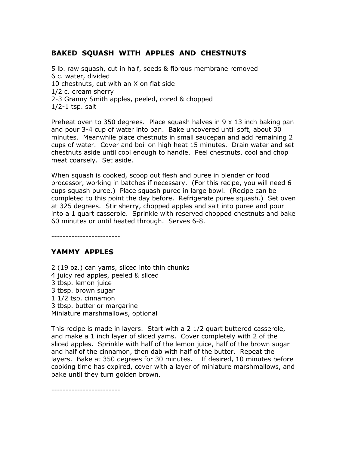# BAKED SQUASH WITH APPLES AND CHESTNUTS

5 lb. raw squash, cut in half, seeds & fibrous membrane removed 6 c. water, divided 10 chestnuts, cut with an X on flat side 1/2 c. cream sherry 2-3 Granny Smith apples, peeled, cored & chopped  $1/2-1$  tsp. salt

Preheat oven to 350 degrees. Place squash halves in  $9 \times 13$  inch baking pan and pour 3-4 cup of water into pan. Bake uncovered until soft, about 30 minutes. Meanwhile place chestnuts in small saucepan and add remaining 2 cups of water. Cover and boil on high heat 15 minutes. Drain water and set chestnuts aside until cool enough to handle. Peel chestnuts, cool and chop meat coarsely. Set aside.

When squash is cooked, scoop out flesh and puree in blender or food processor, working in batches if necessary. (For this recipe, you will need 6 cups squash puree.) Place squash puree in large bowl. (Recipe can be completed to this point the day before. Refrigerate puree squash.) Set oven at 325 degrees. Stir sherry, chopped apples and salt into puree and pour into a 1 quart casserole. Sprinkle with reserved chopped chestnuts and bake 60 minutes or until heated through. Serves 6-8.

------------------------

## YAMMY APPLES

2 (19 oz.) can yams, sliced into thin chunks 4 juicy red apples, peeled & sliced 3 tbsp. lemon juice 3 tbsp. brown sugar 1 1/2 tsp. cinnamon 3 tbsp. butter or margarine Miniature marshmallows, optional

This recipe is made in layers. Start with a 2 1/2 quart buttered casserole, and make a 1 inch layer of sliced yams. Cover completely with 2 of the sliced apples. Sprinkle with half of the lemon juice, half of the brown sugar and half of the cinnamon, then dab with half of the butter. Repeat the layers. Bake at 350 degrees for 30 minutes. If desired, 10 minutes before cooking time has expired, cover with a layer of miniature marshmallows, and bake until they turn golden brown.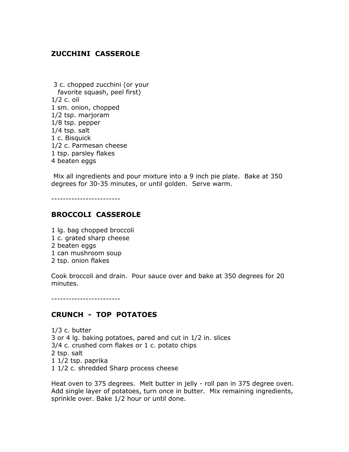# ZUCCHINI CASSEROLE

 3 c. chopped zucchini (or your favorite squash, peel first) 1/2 c. oil 1 sm. onion, chopped 1/2 tsp. marjoram 1/8 tsp. pepper 1/4 tsp. salt 1 c. Bisquick 1/2 c. Parmesan cheese 1 tsp. parsley flakes 4 beaten eggs

 Mix all ingredients and pour mixture into a 9 inch pie plate. Bake at 350 degrees for 30-35 minutes, or until golden. Serve warm.

------------------------

### BROCCOLI CASSEROLE

- 1 lg. bag chopped broccoli
- 1 c. grated sharp cheese
- 2 beaten eggs
- 1 can mushroom soup
- 2 tsp. onion flakes

Cook broccoli and drain. Pour sauce over and bake at 350 degrees for 20 minutes.

------------------------

## CRUNCH - TOP POTATOES

1/3 c. butter 3 or 4 lg. baking potatoes, pared and cut in 1/2 in. slices 3/4 c. crushed corn flakes or 1 c. potato chips 2 tsp. salt 1 1/2 tsp. paprika 1 1/2 c. shredded Sharp process cheese

Heat oven to 375 degrees. Melt butter in jelly - roll pan in 375 degree oven. Add single layer of potatoes, turn once in butter. Mix remaining ingredients, sprinkle over. Bake 1/2 hour or until done.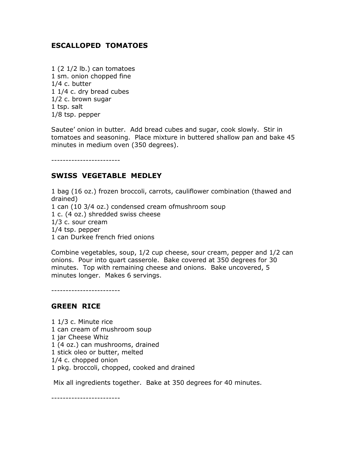## ESCALLOPED TOMATOES

1 (2 1/2 lb.) can tomatoes 1 sm. onion chopped fine 1/4 c. butter 1 1/4 c. dry bread cubes 1/2 c. brown sugar 1 tsp. salt 1/8 tsp. pepper

Sautee' onion in butter. Add bread cubes and sugar, cook slowly. Stir in tomatoes and seasoning. Place mixture in buttered shallow pan and bake 45 minutes in medium oven (350 degrees).

------------------------

## SWISS VEGETABLE MEDLEY

1 bag (16 oz.) frozen broccoli, carrots, cauliflower combination (thawed and drained) 1 can (10 3/4 oz.) condensed cream ofmushroom soup 1 c. (4 oz.) shredded swiss cheese 1/3 c. sour cream 1/4 tsp. pepper 1 can Durkee french fried onions

Combine vegetables, soup, 1/2 cup cheese, sour cream, pepper and 1/2 can onions. Pour into quart casserole. Bake covered at 350 degrees for 30 minutes. Top with remaining cheese and onions. Bake uncovered, 5 minutes longer. Makes 6 servings.

------------------------

#### GREEN RICE

1 1/3 c. Minute rice 1 can cream of mushroom soup 1 jar Cheese Whiz 1 (4 oz.) can mushrooms, drained 1 stick oleo or butter, melted 1/4 c. chopped onion 1 pkg. broccoli, chopped, cooked and drained

Mix all ingredients together. Bake at 350 degrees for 40 minutes.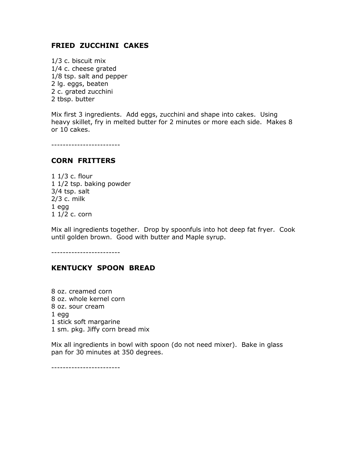### FRIED ZUCCHINI CAKES

1/3 c. biscuit mix 1/4 c. cheese grated 1/8 tsp. salt and pepper 2 lg. eggs, beaten 2 c. grated zucchini 2 tbsp. butter

Mix first 3 ingredients. Add eggs, zucchini and shape into cakes. Using heavy skillet, fry in melted butter for 2 minutes or more each side. Makes 8 or 10 cakes.

------------------------

#### CORN FRITTERS

1 1/3 c. flour 1 1/2 tsp. baking powder 3/4 tsp. salt 2/3 c. milk 1 egg 1 1/2 c. corn

Mix all ingredients together. Drop by spoonfuls into hot deep fat fryer. Cook until golden brown. Good with butter and Maple syrup.

------------------------

#### KENTUCKY SPOON BREAD

8 oz. creamed corn 8 oz. whole kernel corn 8 oz. sour cream 1 egg 1 stick soft margarine 1 sm. pkg. Jiffy corn bread mix

Mix all ingredients in bowl with spoon (do not need mixer). Bake in glass pan for 30 minutes at 350 degrees.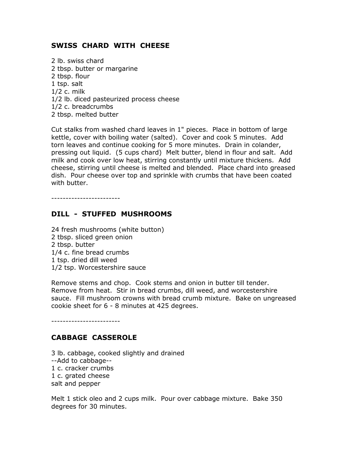## SWISS CHARD WITH CHEESE

2 lb. swiss chard 2 tbsp. butter or margarine 2 tbsp. flour 1 tsp. salt 1/2 c. milk 1/2 lb. diced pasteurized process cheese 1/2 c. breadcrumbs 2 tbsp. melted butter

Cut stalks from washed chard leaves in 1" pieces. Place in bottom of large kettle, cover with boiling water (salted). Cover and cook 5 minutes. Add torn leaves and continue cooking for 5 more minutes. Drain in colander, pressing out liquid. (5 cups chard) Melt butter, blend in flour and salt. Add milk and cook over low heat, stirring constantly until mixture thickens. Add cheese, stirring until cheese is melted and blended. Place chard into greased dish. Pour cheese over top and sprinkle with crumbs that have been coated with butter.

------------------------

# DILL - STUFFED MUSHROOMS

24 fresh mushrooms (white button) 2 tbsp. sliced green onion 2 tbsp. butter 1/4 c. fine bread crumbs 1 tsp. dried dill weed 1/2 tsp. Worcestershire sauce

Remove stems and chop. Cook stems and onion in butter till tender. Remove from heat. Stir in bread crumbs, dill weed, and worcestershire sauce. Fill mushroom crowns with bread crumb mixture. Bake on ungreased cookie sheet for 6 - 8 minutes at 425 degrees.

------------------------

## CABBAGE CASSEROLE

3 lb. cabbage, cooked slightly and drained --Add to cabbage-- 1 c. cracker crumbs 1 c. grated cheese salt and pepper

Melt 1 stick oleo and 2 cups milk. Pour over cabbage mixture. Bake 350 degrees for 30 minutes.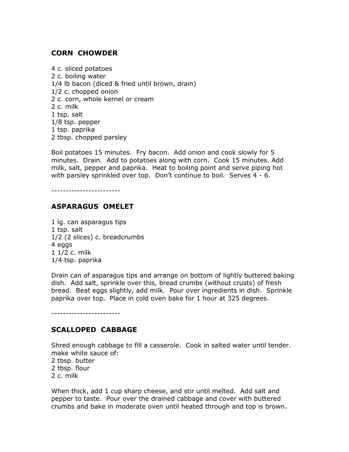## CORN CHOWDER

4 c. sliced potatoes 2 c. boiling water 1/4 lb bacon (diced & fried until brown, drain) 1/2 c. chopped onion 2 c. corn, whole kernel or cream 2 c. milk 1 tsp. salt 1/8 tsp. pepper 1 tsp. paprika 2 tbsp. chopped parsley

Boil potatoes 15 minutes. Fry bacon. Add onion and cook slowly for 5 minutes. Drain. Add to potatoes along with corn. Cook 15 minutes. Add milk, salt, pepper and paprika. Heat to boiling point and serve piping hot with parsley sprinkled over top. Don't continue to boil. Serves 4 - 6.

------------------------

### ASPARAGUS OMELET

1 lg. can asparagus tips 1 tsp. salt 1/2 (2 slices) c. breadcrumbs 4 eggs 1 1/2 c. milk 1/4 tsp. paprika

Drain can of asparagus tips and arrange on bottom of lightly buttered baking dish. Add salt, sprinkle over this, bread crumbs (without crusts) of fresh bread. Beat eggs slightly, add milk. Pour over ingredients in dish. Sprinkle paprika over top. Place in cold oven bake for 1 hour at 325 degrees.

------------------------

### SCALLOPED CABBAGE

Shred enough cabbage to fill a casserole. Cook in salted water until tender. make white sauce of:

- 2 tbsp. butter
- 2 tbsp. flour
- 2 c. milk

When thick, add 1 cup sharp cheese, and stir until melted. Add salt and pepper to taste. Pour over the drained cabbage and cover with buttered crumbs and bake in moderate oven until heated through and top is brown.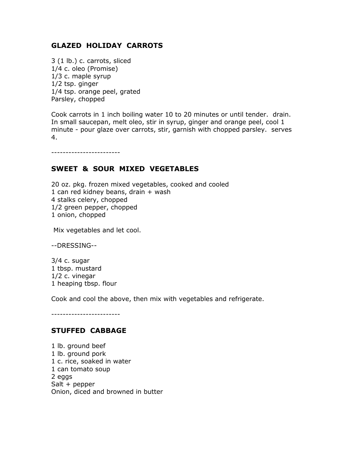## GLAZED HOLIDAY CARROTS

3 (1 lb.) c. carrots, sliced 1/4 c. oleo (Promise) 1/3 c. maple syrup 1/2 tsp. ginger 1/4 tsp. orange peel, grated Parsley, chopped

Cook carrots in 1 inch boiling water 10 to 20 minutes or until tender. drain. In small saucepan, melt oleo, stir in syrup, ginger and orange peel, cool 1 minute - pour glaze over carrots, stir, garnish with chopped parsley. serves 4.

------------------------

### SWEET & SOUR MIXED VEGETABLES

20 oz. pkg. frozen mixed vegetables, cooked and cooled 1 can red kidney beans, drain + wash 4 stalks celery, chopped 1/2 green pepper, chopped 1 onion, chopped

Mix vegetables and let cool.

--DRESSING--

3/4 c. sugar 1 tbsp. mustard 1/2 c. vinegar 1 heaping tbsp. flour

Cook and cool the above, then mix with vegetables and refrigerate.

------------------------

#### STUFFED CABBAGE

1 lb. ground beef 1 lb. ground pork 1 c. rice, soaked in water 1 can tomato soup 2 eggs Salt + pepper Onion, diced and browned in butter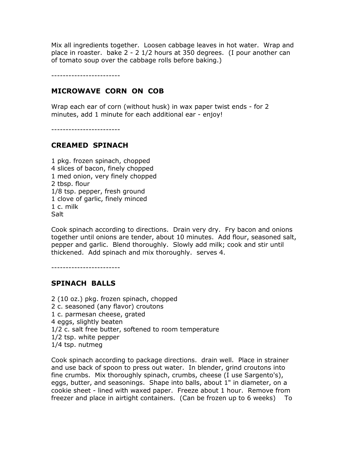Mix all ingredients together. Loosen cabbage leaves in hot water. Wrap and place in roaster. bake 2 - 2 1/2 hours at 350 degrees. (I pour another can of tomato soup over the cabbage rolls before baking.)

------------------------

### MICROWAVE CORN ON COB

Wrap each ear of corn (without husk) in wax paper twist ends - for 2 minutes, add 1 minute for each additional ear - enjoy!

------------------------

## CREAMED SPINACH

1 pkg. frozen spinach, chopped 4 slices of bacon, finely chopped 1 med onion, very finely chopped 2 tbsp. flour 1/8 tsp. pepper, fresh ground 1 clove of garlic, finely minced 1 c. milk **Salt** 

Cook spinach according to directions. Drain very dry. Fry bacon and onions together until onions are tender, about 10 minutes. Add flour, seasoned salt, pepper and garlic. Blend thoroughly. Slowly add milk; cook and stir until thickened. Add spinach and mix thoroughly. serves 4.

------------------------

## SPINACH BALLS

2 (10 oz.) pkg. frozen spinach, chopped 2 c. seasoned (any flavor) croutons 1 c. parmesan cheese, grated 4 eggs, slightly beaten 1/2 c. salt free butter, softened to room temperature 1/2 tsp. white pepper 1/4 tsp. nutmeg

Cook spinach according to package directions. drain well. Place in strainer and use back of spoon to press out water. In blender, grind croutons into fine crumbs. Mix thoroughly spinach, crumbs, cheese (I use Sargento's), eggs, butter, and seasonings. Shape into balls, about 1" in diameter, on a cookie sheet - lined with waxed paper. Freeze about 1 hour. Remove from freezer and place in airtight containers. (Can be frozen up to 6 weeks) To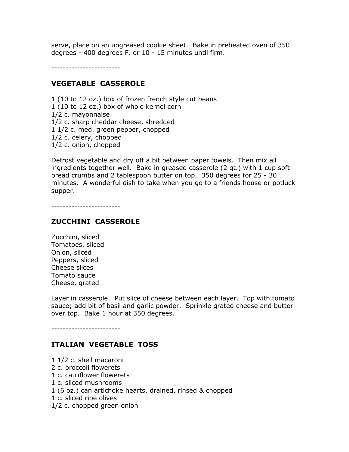serve, place on an ungreased cookie sheet. Bake in preheated oven of 350 degrees - 400 degrees F. or 10 - 15 minutes until firm.

------------------------

#### VEGETABLE CASSEROLE

1 (10 to 12 oz.) box of frozen french style cut beans 1 (10 to 12 oz.) box of whole kernel corn 1/2 c. mayonnaise 1/2 c. sharp cheddar cheese, shredded 1 1/2 c. med. green pepper, chopped 1/2 c. celery, chopped 1/2 c. onion, chopped

Defrost vegetable and dry off a bit between paper towels. Then mix all ingredients together well. Bake in greased casserole (2 qt.) with 1 cup soft bread crumbs and 2 tablespoon butter on top. 350 degrees for 25 - 30 minutes. A wonderful dish to take when you go to a friends house or potluck supper.

------------------------

#### ZUCCHINI CASSEROLE

Zucchini, sliced Tomatoes, sliced Onion, sliced Peppers, sliced Cheese slices Tomato sauce Cheese, grated

Layer in casserole. Put slice of cheese between each layer. Top with tomato sauce; add bit of basil and garlic powder. Sprinkle grated cheese and butter over top. Bake 1 hour at 350 degrees.

------------------------

#### ITALIAN VEGETABLE TOSS

- 1 1/2 c. shell macaroni
- 2 c. broccoli flowerets
- 1 c. cauliflower flowerets
- 1 c. sliced mushrooms
- 1 (6 oz.) can artichoke hearts, drained, rinsed & chopped
- 1 c. sliced ripe olives
- 1/2 c. chopped green onion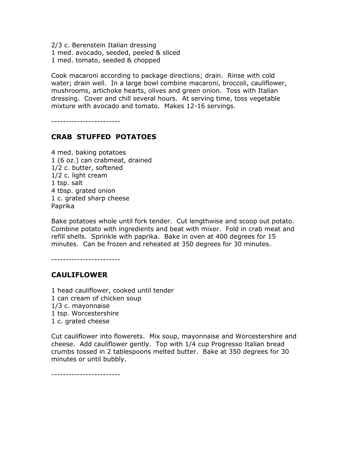2/3 c. Berenstein Italian dressing 1 med. avocado, seeded, peeled & sliced 1 med. tomato, seeded & chopped

Cook macaroni according to package directions; drain. Rinse with cold water; drain well. In a large bowl combine macaroni, broccoli, cauliflower, mushrooms, artichoke hearts, olives and green onion. Toss with Italian dressing. Cover and chill several hours. At serving time, toss vegetable mixture with avocado and tomato. Makes 12-16 servings.

------------------------

# CRAB STUFFED POTATOES

4 med. baking potatoes 1 (6 oz.) can crabmeat, drained 1/2 c. butter, softened 1/2 c. light cream 1 tsp. salt 4 tbsp. grated onion 1 c. grated sharp cheese Paprika

Bake potatoes whole until fork tender. Cut lengthwise and scoop out potato. Combine potato with ingredients and beat with mixer. Fold in crab meat and refill shells. Sprinkle with paprika. Bake in oven at 400 degrees for 15 minutes. Can be frozen and reheated at 350 degrees for 30 minutes.

------------------------

#### CAULIFLOWER

1 head cauliflower, cooked until tender 1 can cream of chicken soup 1/3 c. mayonnaise 1 tsp. Worcestershire 1 c. grated cheese

Cut cauliflower into flowerets. Mix soup, mayonnaise and Worcestershire and cheese. Add cauliflower gently. Top with 1/4 cup Progresso Italian bread crumbs tossed in 2 tablespoons melted butter. Bake at 350 degrees for 30 minutes or until bubbly.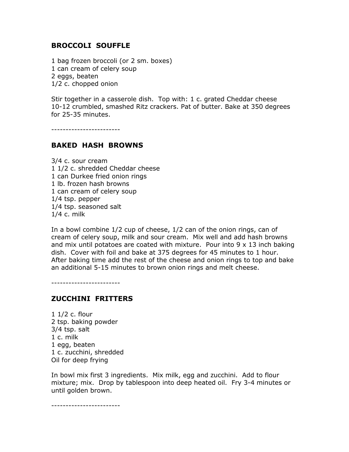### BROCCOLI SOUFFLE

1 bag frozen broccoli (or 2 sm. boxes) 1 can cream of celery soup 2 eggs, beaten 1/2 c. chopped onion

Stir together in a casserole dish. Top with: 1 c. grated Cheddar cheese 10-12 crumbled, smashed Ritz crackers. Pat of butter. Bake at 350 degrees for 25-35 minutes.

------------------------

### BAKED HASH BROWNS

3/4 c. sour cream 1 1/2 c. shredded Cheddar cheese 1 can Durkee fried onion rings 1 lb. frozen hash browns 1 can cream of celery soup 1/4 tsp. pepper 1/4 tsp. seasoned salt 1/4 c. milk

In a bowl combine 1/2 cup of cheese, 1/2 can of the onion rings, can of cream of celery soup, milk and sour cream. Mix well and add hash browns and mix until potatoes are coated with mixture. Pour into  $9 \times 13$  inch baking dish. Cover with foil and bake at 375 degrees for 45 minutes to 1 hour. After baking time add the rest of the cheese and onion rings to top and bake an additional 5-15 minutes to brown onion rings and melt cheese.

------------------------

#### ZUCCHINI FRITTERS

1 1/2 c. flour 2 tsp. baking powder 3/4 tsp. salt 1 c. milk 1 egg, beaten 1 c. zucchini, shredded Oil for deep frying

In bowl mix first 3 ingredients. Mix milk, egg and zucchini. Add to flour mixture; mix. Drop by tablespoon into deep heated oil. Fry 3-4 minutes or until golden brown.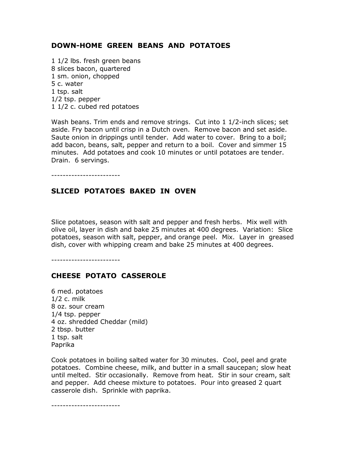## DOWN-HOME GREEN BEANS AND POTATOES

1 1/2 lbs. fresh green beans 8 slices bacon, quartered 1 sm. onion, chopped 5 c. water 1 tsp. salt 1/2 tsp. pepper 1 1/2 c. cubed red potatoes

Wash beans. Trim ends and remove strings. Cut into 1 1/2-inch slices; set aside. Fry bacon until crisp in a Dutch oven. Remove bacon and set aside. Saute onion in drippings until tender. Add water to cover. Bring to a boil; add bacon, beans, salt, pepper and return to a boil. Cover and simmer 15 minutes. Add potatoes and cook 10 minutes or until potatoes are tender. Drain. 6 servings.

------------------------

### SLICED POTATOES BAKED IN OVEN

Slice potatoes, season with salt and pepper and fresh herbs. Mix well with olive oil, layer in dish and bake 25 minutes at 400 degrees. Variation: Slice potatoes, season with salt, pepper, and orange peel. Mix. Layer in greased dish, cover with whipping cream and bake 25 minutes at 400 degrees.

------------------------

#### CHEESE POTATO CASSEROLE

6 med. potatoes 1/2 c. milk 8 oz. sour cream 1/4 tsp. pepper 4 oz. shredded Cheddar (mild) 2 tbsp. butter 1 tsp. salt Paprika

Cook potatoes in boiling salted water for 30 minutes. Cool, peel and grate potatoes. Combine cheese, milk, and butter in a small saucepan; slow heat until melted. Stir occasionally. Remove from heat. Stir in sour cream, salt and pepper. Add cheese mixture to potatoes. Pour into greased 2 quart casserole dish. Sprinkle with paprika.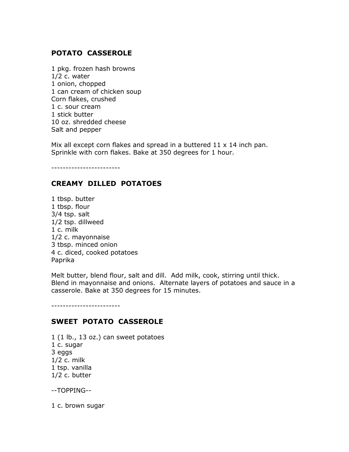# POTATO CASSEROLE

1 pkg. frozen hash browns 1/2 c. water 1 onion, chopped 1 can cream of chicken soup Corn flakes, crushed 1 c. sour cream 1 stick butter 10 oz. shredded cheese Salt and pepper

Mix all except corn flakes and spread in a buttered  $11 \times 14$  inch pan. Sprinkle with corn flakes. Bake at 350 degrees for 1 hour.

------------------------

## CREAMY DILLED POTATOES

1 tbsp. butter 1 tbsp. flour 3/4 tsp. salt 1/2 tsp. dillweed 1 c. milk 1/2 c. mayonnaise 3 tbsp. minced onion 4 c. diced, cooked potatoes Paprika

Melt butter, blend flour, salt and dill. Add milk, cook, stirring until thick. Blend in mayonnaise and onions. Alternate layers of potatoes and sauce in a casserole. Bake at 350 degrees for 15 minutes.

------------------------

## SWEET POTATO CASSEROLE

1 (1 lb., 13 oz.) can sweet potatoes 1 c. sugar 3 eggs 1/2 c. milk 1 tsp. vanilla 1/2 c. butter

--TOPPING--

1 c. brown sugar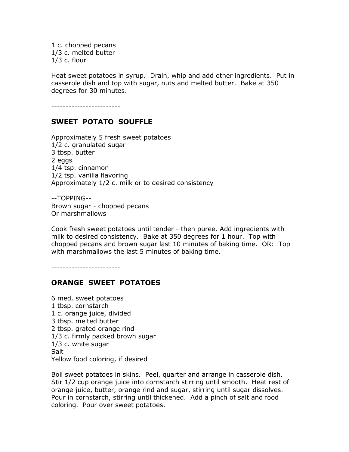1 c. chopped pecans 1/3 c. melted butter 1/3 c. flour

Heat sweet potatoes in syrup. Drain, whip and add other ingredients. Put in casserole dish and top with sugar, nuts and melted butter. Bake at 350 degrees for 30 minutes.

------------------------

## SWEET POTATO SOUFFLE

Approximately 5 fresh sweet potatoes 1/2 c. granulated sugar 3 tbsp. butter 2 eggs 1/4 tsp. cinnamon 1/2 tsp. vanilla flavoring Approximately 1/2 c. milk or to desired consistency

--TOPPING-- Brown sugar - chopped pecans Or marshmallows

Cook fresh sweet potatoes until tender - then puree. Add ingredients with milk to desired consistency. Bake at 350 degrees for 1 hour. Top with chopped pecans and brown sugar last 10 minutes of baking time. OR: Top with marshmallows the last 5 minutes of baking time.

------------------------

#### ORANGE SWEET POTATOES

6 med. sweet potatoes 1 tbsp. cornstarch 1 c. orange juice, divided 3 tbsp. melted butter 2 tbsp. grated orange rind 1/3 c. firmly packed brown sugar 1/3 c. white sugar **Salt** Yellow food coloring, if desired

Boil sweet potatoes in skins. Peel, quarter and arrange in casserole dish. Stir 1/2 cup orange juice into cornstarch stirring until smooth. Heat rest of orange juice, butter, orange rind and sugar, stirring until sugar dissolves. Pour in cornstarch, stirring until thickened. Add a pinch of salt and food coloring. Pour over sweet potatoes.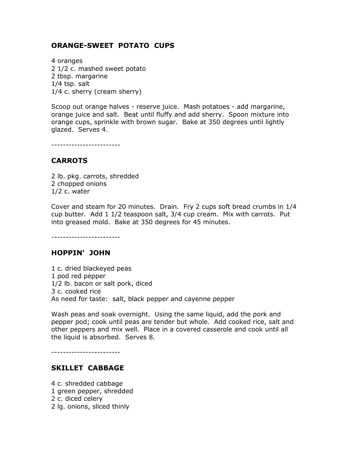## ORANGE-SWEET POTATO CUPS

4 oranges 2 1/2 c. mashed sweet potato 2 tbsp. margarine 1/4 tsp. salt 1/4 c. sherry (cream sherry)

Scoop out orange halves - reserve juice. Mash potatoes - add margarine, orange juice and salt. Beat until fluffy and add sherry. Spoon mixture into orange cups, sprinkle with brown sugar. Bake at 350 degrees until lightly glazed. Serves 4.

------------------------

#### **CARROTS**

2 lb. pkg. carrots, shredded 2 chopped onions 1/2 c. water

Cover and steam for 20 minutes. Drain. Fry 2 cups soft bread crumbs in 1/4 cup butter. Add 1 1/2 teaspoon salt, 3/4 cup cream. Mix with carrots. Put into greased mold. Bake at 350 degrees for 45 minutes.

------------------------

#### HOPPIN' JOHN

1 c. dried blackeyed peas 1 pod red pepper 1/2 lb. bacon or salt pork, diced 3 c. cooked rice As need for taste: salt, black pepper and cayenne pepper

Wash peas and soak overnight. Using the same liquid, add the pork and pepper pod; cook until peas are tender but whole. Add cooked rice, salt and other peppers and mix well. Place in a covered casserole and cook until all the liquid is absorbed. Serves 8.

------------------------

#### SKILLET CABBAGE

4 c. shredded cabbage 1 green pepper, shredded 2 c. diced celery 2 lg. onions, sliced thinly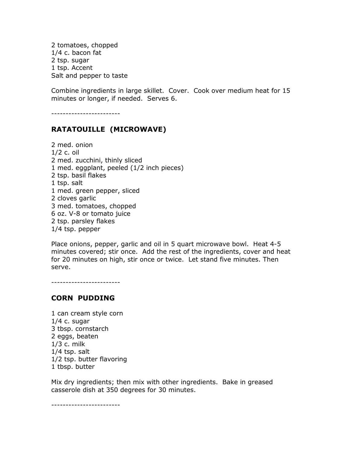2 tomatoes, chopped 1/4 c. bacon fat 2 tsp. sugar 1 tsp. Accent Salt and pepper to taste

Combine ingredients in large skillet. Cover. Cook over medium heat for 15 minutes or longer, if needed. Serves 6.

------------------------

# RATATOUILLE (MICROWAVE)

2 med. onion 1/2 c. oil 2 med. zucchini, thinly sliced 1 med. eggplant, peeled (1/2 inch pieces) 2 tsp. basil flakes 1 tsp. salt 1 med. green pepper, sliced 2 cloves garlic 3 med. tomatoes, chopped 6 oz. V-8 or tomato juice 2 tsp. parsley flakes 1/4 tsp. pepper

Place onions, pepper, garlic and oil in 5 quart microwave bowl. Heat 4-5 minutes covered; stir once. Add the rest of the ingredients, cover and heat for 20 minutes on high, stir once or twice. Let stand five minutes. Then serve.

------------------------

#### CORN PUDDING

1 can cream style corn 1/4 c. sugar 3 tbsp. cornstarch 2 eggs, beaten 1/3 c. milk 1/4 tsp. salt 1/2 tsp. butter flavoring 1 tbsp. butter

Mix dry ingredients; then mix with other ingredients. Bake in greased casserole dish at 350 degrees for 30 minutes.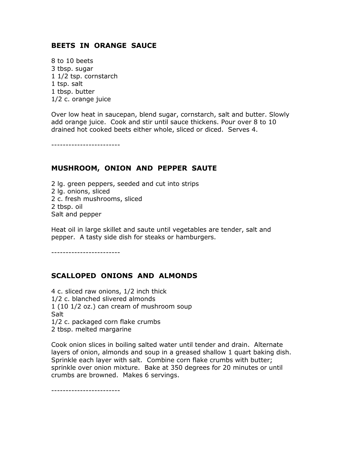## BEETS IN ORANGE SAUCE

8 to 10 beets 3 tbsp. sugar 1 1/2 tsp. cornstarch 1 tsp. salt 1 tbsp. butter 1/2 c. orange juice

Over low heat in saucepan, blend sugar, cornstarch, salt and butter. Slowly add orange juice. Cook and stir until sauce thickens. Pour over 8 to 10 drained hot cooked beets either whole, sliced or diced. Serves 4.

------------------------

#### MUSHROOM, ONION AND PEPPER SAUTE

2 lg. green peppers, seeded and cut into strips 2 lg. onions, sliced 2 c. fresh mushrooms, sliced 2 tbsp. oil Salt and pepper

Heat oil in large skillet and saute until vegetables are tender, salt and pepper. A tasty side dish for steaks or hamburgers.

------------------------

## SCALLOPED ONIONS AND ALMONDS

4 c. sliced raw onions, 1/2 inch thick 1/2 c. blanched slivered almonds 1 (10 1/2 oz.) can cream of mushroom soup **Salt** 1/2 c. packaged corn flake crumbs 2 tbsp. melted margarine

Cook onion slices in boiling salted water until tender and drain. Alternate layers of onion, almonds and soup in a greased shallow 1 quart baking dish. Sprinkle each layer with salt. Combine corn flake crumbs with butter; sprinkle over onion mixture. Bake at 350 degrees for 20 minutes or until crumbs are browned. Makes 6 servings.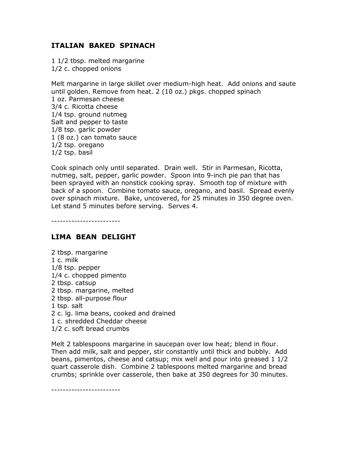# ITALIAN BAKED SPINACH

1 1/2 tbsp. melted margarine 1/2 c. chopped onions

Melt margarine in large skillet over medium-high heat. Add onions and saute until golden. Remove from heat. 2 (10 oz.) pkgs. chopped spinach 1 oz. Parmesan cheese 3/4 c. Ricotta cheese 1/4 tsp. ground nutmeg Salt and pepper to taste 1/8 tsp. garlic powder 1 (8 oz.) can tomato sauce 1/2 tsp. oregano 1/2 tsp. basil

Cook spinach only until separated. Drain well. Stir in Parmesan, Ricotta, nutmeg, salt, pepper, garlic powder. Spoon into 9-inch pie pan that has been sprayed with an nonstick cooking spray. Smooth top of mixture with back of a spoon. Combine tomato sauce, oregano, and basil. Spread evenly over spinach mixture. Bake, uncovered, for 25 minutes in 350 degree oven. Let stand 5 minutes before serving. Serves 4.

------------------------

## LIMA BEAN DELIGHT

2 tbsp. margarine 1 c. milk 1/8 tsp. pepper 1/4 c. chopped pimento 2 tbsp. catsup 2 tbsp. margarine, melted 2 tbsp. all-purpose flour 1 tsp. salt 2 c. lg. lima beans, cooked and drained 1 c. shredded Cheddar cheese 1/2 c. soft bread crumbs

Melt 2 tablespoons margarine in saucepan over low heat; blend in flour. Then add milk, salt and pepper, stir constantly until thick and bubbly. Add beans, pimentos, cheese and catsup; mix well and pour into greased 1 1/2 quart casserole dish. Combine 2 tablespoons melted margarine and bread crumbs; sprinkle over casserole, then bake at 350 degrees for 30 minutes.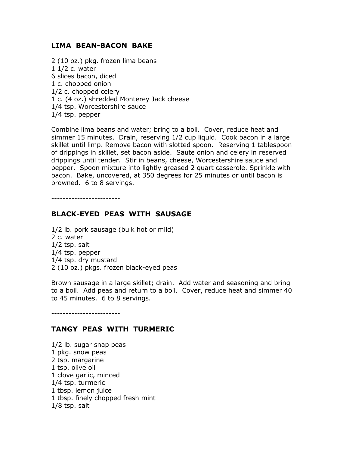#### LIMA BEAN-BACON BAKE

2 (10 oz.) pkg. frozen lima beans 1 1/2 c. water 6 slices bacon, diced 1 c. chopped onion 1/2 c. chopped celery 1 c. (4 oz.) shredded Monterey Jack cheese 1/4 tsp. Worcestershire sauce 1/4 tsp. pepper

Combine lima beans and water; bring to a boil. Cover, reduce heat and simmer 15 minutes. Drain, reserving 1/2 cup liquid. Cook bacon in a large skillet until limp. Remove bacon with slotted spoon. Reserving 1 tablespoon of drippings in skillet, set bacon aside. Saute onion and celery in reserved drippings until tender. Stir in beans, cheese, Worcestershire sauce and pepper. Spoon mixture into lightly greased 2 quart casserole. Sprinkle with bacon. Bake, uncovered, at 350 degrees for 25 minutes or until bacon is browned. 6 to 8 servings.

------------------------

## BLACK-EYED PEAS WITH SAUSAGE

1/2 lb. pork sausage (bulk hot or mild) 2 c. water 1/2 tsp. salt 1/4 tsp. pepper 1/4 tsp. dry mustard 2 (10 oz.) pkgs. frozen black-eyed peas

Brown sausage in a large skillet; drain. Add water and seasoning and bring to a boil. Add peas and return to a boil. Cover, reduce heat and simmer 40 to 45 minutes. 6 to 8 servings.

------------------------

## TANGY PEAS WITH TURMERIC

1/2 lb. sugar snap peas 1 pkg. snow peas 2 tsp. margarine 1 tsp. olive oil 1 clove garlic, minced 1/4 tsp. turmeric 1 tbsp. lemon juice 1 tbsp. finely chopped fresh mint 1/8 tsp. salt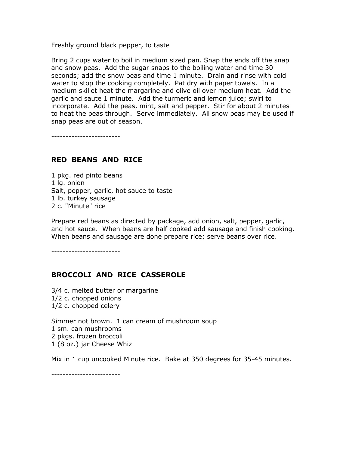Freshly ground black pepper, to taste

Bring 2 cups water to boil in medium sized pan. Snap the ends off the snap and snow peas. Add the sugar snaps to the boiling water and time 30 seconds; add the snow peas and time 1 minute. Drain and rinse with cold water to stop the cooking completely. Pat dry with paper towels. In a medium skillet heat the margarine and olive oil over medium heat. Add the garlic and saute 1 minute. Add the turmeric and lemon juice; swirl to incorporate. Add the peas, mint, salt and pepper. Stir for about 2 minutes to heat the peas through. Serve immediately. All snow peas may be used if snap peas are out of season.

------------------------

### RED BEANS AND RICE

1 pkg. red pinto beans 1 lg. onion Salt, pepper, garlic, hot sauce to taste 1 lb. turkey sausage 2 c. "Minute" rice

Prepare red beans as directed by package, add onion, salt, pepper, garlic, and hot sauce. When beans are half cooked add sausage and finish cooking. When beans and sausage are done prepare rice; serve beans over rice.

------------------------

## BROCCOLI AND RICE CASSEROLE

3/4 c. melted butter or margarine 1/2 c. chopped onions 1/2 c. chopped celery

Simmer not brown. 1 can cream of mushroom soup 1 sm. can mushrooms 2 pkgs. frozen broccoli 1 (8 oz.) jar Cheese Whiz

Mix in 1 cup uncooked Minute rice. Bake at 350 degrees for 35-45 minutes.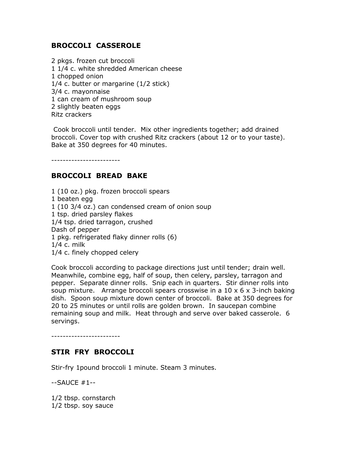# BROCCOLI CASSEROLE

2 pkgs. frozen cut broccoli 1 1/4 c. white shredded American cheese 1 chopped onion 1/4 c. butter or margarine (1/2 stick) 3/4 c. mayonnaise 1 can cream of mushroom soup 2 slightly beaten eggs Ritz crackers

 Cook broccoli until tender. Mix other ingredients together; add drained broccoli. Cover top with crushed Ritz crackers (about 12 or to your taste). Bake at 350 degrees for 40 minutes.

------------------------

# BROCCOLI BREAD BAKE

1 (10 oz.) pkg. frozen broccoli spears 1 beaten egg 1 (10 3/4 oz.) can condensed cream of onion soup 1 tsp. dried parsley flakes 1/4 tsp. dried tarragon, crushed Dash of pepper 1 pkg. refrigerated flaky dinner rolls (6) 1/4 c. milk 1/4 c. finely chopped celery

Cook broccoli according to package directions just until tender; drain well. Meanwhile, combine egg, half of soup, then celery, parsley, tarragon and pepper. Separate dinner rolls. Snip each in quarters. Stir dinner rolls into soup mixture. Arrange broccoli spears crosswise in a  $10 \times 6 \times 3$ -inch baking dish. Spoon soup mixture down center of broccoli. Bake at 350 degrees for 20 to 25 minutes or until rolls are golden brown. In saucepan combine remaining soup and milk. Heat through and serve over baked casserole. 6 servings.

------------------------

## STIR FRY BROCCOLI

Stir-fry 1pound broccoli 1 minute. Steam 3 minutes.

--SAUCE #1--

1/2 tbsp. cornstarch 1/2 tbsp. soy sauce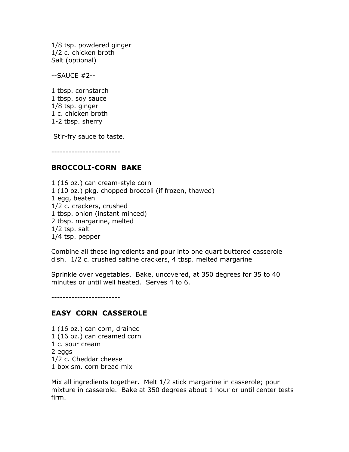1/8 tsp. powdered ginger 1/2 c. chicken broth Salt (optional)

--SAUCE #2--

1 tbsp. cornstarch 1 tbsp. soy sauce 1/8 tsp. ginger 1 c. chicken broth 1-2 tbsp. sherry

Stir-fry sauce to taste.

------------------------

## BROCCOLI-CORN BAKE

1 (16 oz.) can cream-style corn 1 (10 oz.) pkg. chopped broccoli (if frozen, thawed) 1 egg, beaten 1/2 c. crackers, crushed 1 tbsp. onion (instant minced) 2 tbsp. margarine, melted 1/2 tsp. salt 1/4 tsp. pepper

Combine all these ingredients and pour into one quart buttered casserole dish. 1/2 c. crushed saltine crackers, 4 tbsp. melted margarine

Sprinkle over vegetables. Bake, uncovered, at 350 degrees for 35 to 40 minutes or until well heated. Serves 4 to 6.

------------------------

## EASY CORN CASSEROLE

1 (16 oz.) can corn, drained 1 (16 oz.) can creamed corn 1 c. sour cream 2 eggs 1/2 c. Cheddar cheese 1 box sm. corn bread mix

Mix all ingredients together. Melt 1/2 stick margarine in casserole; pour mixture in casserole. Bake at 350 degrees about 1 hour or until center tests firm.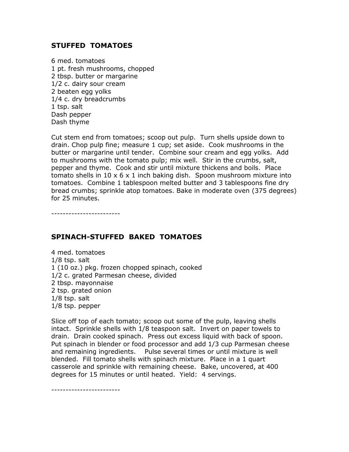# STUFFED TOMATOES

6 med. tomatoes 1 pt. fresh mushrooms, chopped 2 tbsp. butter or margarine 1/2 c. dairy sour cream 2 beaten egg yolks 1/4 c. dry breadcrumbs 1 tsp. salt Dash pepper Dash thyme

Cut stem end from tomatoes; scoop out pulp. Turn shells upside down to drain. Chop pulp fine; measure 1 cup; set aside. Cook mushrooms in the butter or margarine until tender. Combine sour cream and egg yolks. Add to mushrooms with the tomato pulp; mix well. Stir in the crumbs, salt, pepper and thyme. Cook and stir until mixture thickens and boils. Place tomato shells in  $10 \times 6 \times 1$  inch baking dish. Spoon mushroom mixture into tomatoes. Combine 1 tablespoon melted butter and 3 tablespoons fine dry bread crumbs; sprinkle atop tomatoes. Bake in moderate oven (375 degrees) for 25 minutes.

------------------------

## SPINACH-STUFFED BAKED TOMATOES

4 med. tomatoes 1/8 tsp. salt 1 (10 oz.) pkg. frozen chopped spinach, cooked 1/2 c. grated Parmesan cheese, divided 2 tbsp. mayonnaise 2 tsp. grated onion 1/8 tsp. salt 1/8 tsp. pepper

Slice off top of each tomato; scoop out some of the pulp, leaving shells intact. Sprinkle shells with 1/8 teaspoon salt. Invert on paper towels to drain. Drain cooked spinach. Press out excess liquid with back of spoon. Put spinach in blender or food processor and add 1/3 cup Parmesan cheese and remaining ingredients. Pulse several times or until mixture is well blended. Fill tomato shells with spinach mixture. Place in a 1 quart casserole and sprinkle with remaining cheese. Bake, uncovered, at 400 degrees for 15 minutes or until heated. Yield: 4 servings.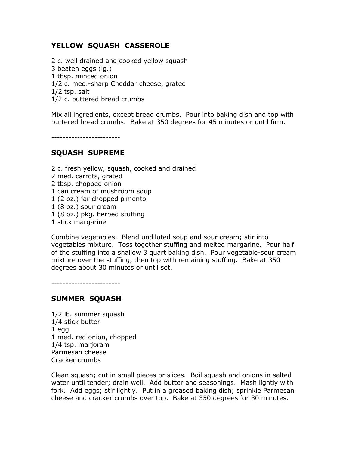# YELLOW SQUASH CASSEROLE

2 c. well drained and cooked yellow squash 3 beaten eggs (lg.) 1 tbsp. minced onion 1/2 c. med.-sharp Cheddar cheese, grated 1/2 tsp. salt 1/2 c. buttered bread crumbs

Mix all ingredients, except bread crumbs. Pour into baking dish and top with buttered bread crumbs. Bake at 350 degrees for 45 minutes or until firm.

------------------------

## SQUASH SUPREME

2 c. fresh yellow, squash, cooked and drained 2 med. carrots, grated 2 tbsp. chopped onion 1 can cream of mushroom soup 1 (2 oz.) jar chopped pimento 1 (8 oz.) sour cream 1 (8 oz.) pkg. herbed stuffing 1 stick margarine

Combine vegetables. Blend undiluted soup and sour cream; stir into vegetables mixture. Toss together stuffing and melted margarine. Pour half of the stuffing into a shallow 3 quart baking dish. Pour vegetable-sour cream mixture over the stuffing, then top with remaining stuffing. Bake at 350 degrees about 30 minutes or until set.

------------------------

## SUMMER SQUASH

1/2 lb. summer squash 1/4 stick butter 1 egg 1 med. red onion, chopped 1/4 tsp. marjoram Parmesan cheese Cracker crumbs

Clean squash; cut in small pieces or slices. Boil squash and onions in salted water until tender; drain well. Add butter and seasonings. Mash lightly with fork. Add eggs; stir lightly. Put in a greased baking dish; sprinkle Parmesan cheese and cracker crumbs over top. Bake at 350 degrees for 30 minutes.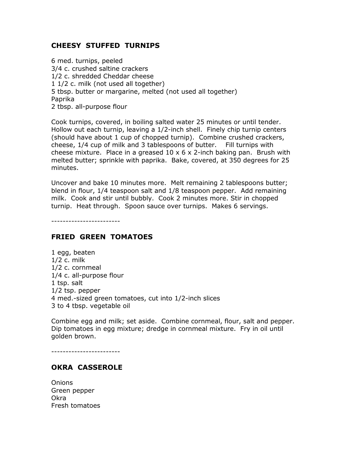# CHEESY STUFFED TURNIPS

6 med. turnips, peeled 3/4 c. crushed saltine crackers 1/2 c. shredded Cheddar cheese 1 1/2 c. milk (not used all together) 5 tbsp. butter or margarine, melted (not used all together) Paprika 2 tbsp. all-purpose flour

Cook turnips, covered, in boiling salted water 25 minutes or until tender. Hollow out each turnip, leaving a 1/2-inch shell. Finely chip turnip centers (should have about 1 cup of chopped turnip). Combine crushed crackers, cheese, 1/4 cup of milk and 3 tablespoons of butter. Fill turnips with cheese mixture. Place in a greased  $10 \times 6 \times 2$ -inch baking pan. Brush with melted butter; sprinkle with paprika. Bake, covered, at 350 degrees for 25 minutes.

Uncover and bake 10 minutes more. Melt remaining 2 tablespoons butter; blend in flour, 1/4 teaspoon salt and 1/8 teaspoon pepper. Add remaining milk. Cook and stir until bubbly. Cook 2 minutes more. Stir in chopped turnip. Heat through. Spoon sauce over turnips. Makes 6 servings.

------------------------

#### FRIED GREEN TOMATOES

1 egg, beaten 1/2 c. milk 1/2 c. cornmeal 1/4 c. all-purpose flour 1 tsp. salt 1/2 tsp. pepper 4 med.-sized green tomatoes, cut into 1/2-inch slices 3 to 4 tbsp. vegetable oil

Combine egg and milk; set aside. Combine cornmeal, flour, salt and pepper. Dip tomatoes in egg mixture; dredge in cornmeal mixture. Fry in oil until golden brown.

------------------------

## OKRA CASSEROLE

**Onions** Green pepper Okra Fresh tomatoes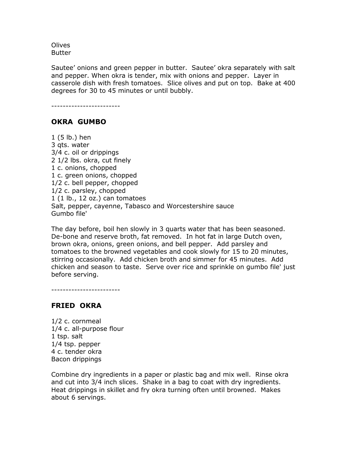**Olives** Butter

Sautee' onions and green pepper in butter. Sautee' okra separately with salt and pepper. When okra is tender, mix with onions and pepper. Layer in casserole dish with fresh tomatoes. Slice olives and put on top. Bake at 400 degrees for 30 to 45 minutes or until bubbly.

------------------------

# OKRA GUMBO

1 (5 lb.) hen 3 qts. water 3/4 c. oil or drippings 2 1/2 lbs. okra, cut finely 1 c. onions, chopped 1 c. green onions, chopped 1/2 c. bell pepper, chopped 1/2 c. parsley, chopped 1 (1 lb., 12 oz.) can tomatoes Salt, pepper, cayenne, Tabasco and Worcestershire sauce Gumbo file'

The day before, boil hen slowly in 3 quarts water that has been seasoned. De-bone and reserve broth, fat removed. In hot fat in large Dutch oven, brown okra, onions, green onions, and bell pepper. Add parsley and tomatoes to the browned vegetables and cook slowly for 15 to 20 minutes, stirring occasionally. Add chicken broth and simmer for 45 minutes. Add chicken and season to taste. Serve over rice and sprinkle on gumbo file' just before serving.

------------------------

#### FRIED OKRA

1/2 c. cornmeal 1/4 c. all-purpose flour 1 tsp. salt 1/4 tsp. pepper 4 c. tender okra Bacon drippings

Combine dry ingredients in a paper or plastic bag and mix well. Rinse okra and cut into 3/4 inch slices. Shake in a bag to coat with dry ingredients. Heat drippings in skillet and fry okra turning often until browned. Makes about 6 servings.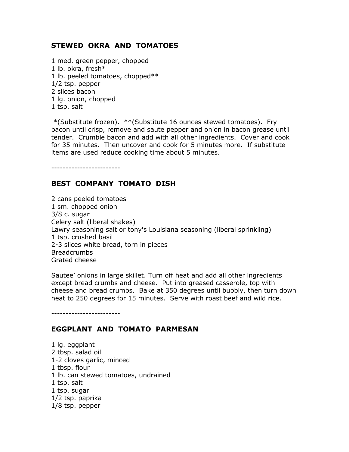# STEWED OKRA AND TOMATOES

1 med. green pepper, chopped 1 lb. okra, fresh\* 1 lb. peeled tomatoes, chopped\*\* 1/2 tsp. pepper 2 slices bacon 1 lg. onion, chopped 1 tsp. salt

 \*(Substitute frozen). \*\*(Substitute 16 ounces stewed tomatoes). Fry bacon until crisp, remove and saute pepper and onion in bacon grease until tender. Crumble bacon and add with all other ingredients. Cover and cook for 35 minutes. Then uncover and cook for 5 minutes more. If substitute items are used reduce cooking time about 5 minutes.

------------------------

## BEST COMPANY TOMATO DISH

2 cans peeled tomatoes 1 sm. chopped onion 3/8 c. sugar Celery salt (liberal shakes) Lawry seasoning salt or tony's Louisiana seasoning (liberal sprinkling) 1 tsp. crushed basil 2-3 slices white bread, torn in pieces Breadcrumbs Grated cheese

Sautee' onions in large skillet. Turn off heat and add all other ingredients except bread crumbs and cheese. Put into greased casserole, top with cheese and bread crumbs. Bake at 350 degrees until bubbly, then turn down heat to 250 degrees for 15 minutes. Serve with roast beef and wild rice.

------------------------

#### EGGPLANT AND TOMATO PARMESAN

1 lg. eggplant 2 tbsp. salad oil 1-2 cloves garlic, minced 1 tbsp. flour 1 lb. can stewed tomatoes, undrained 1 tsp. salt 1 tsp. sugar 1/2 tsp. paprika 1/8 tsp. pepper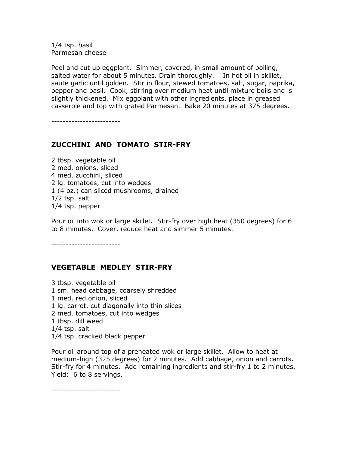1/4 tsp. basil Parmesan cheese

Peel and cut up eggplant. Simmer, covered, in small amount of boiling, salted water for about 5 minutes. Drain thoroughly. In hot oil in skillet, saute garlic until golden. Stir in flour, stewed tomatoes, salt, sugar, paprika, pepper and basil. Cook, stirring over medium heat until mixture boils and is slightly thickened. Mix eggplant with other ingredients, place in greased casserole and top with grated Parmesan. Bake 20 minutes at 375 degrees.

------------------------

# ZUCCHINI AND TOMATO STIR-FRY

2 tbsp. vegetable oil 2 med. onions, sliced 4 med. zucchini, sliced 2 lg. tomatoes, cut into wedges 1 (4 oz.) can sliced mushrooms, drained 1/2 tsp. salt 1/4 tsp. pepper

Pour oil into wok or large skillet. Stir-fry over high heat (350 degrees) for 6 to 8 minutes. Cover, reduce heat and simmer 5 minutes.

------------------------

## VEGETABLE MEDLEY STIR-FRY

3 tbsp. vegetable oil 1 sm. head cabbage, coarsely shredded 1 med. red onion, sliced 1 lg. carrot, cut diagonally into thin slices 2 med. tomatoes, cut into wedges 1 tbsp. dill weed 1/4 tsp. salt 1/4 tsp. cracked black pepper

Pour oil around top of a preheated wok or large skillet. Allow to heat at medium-high (325 degrees) for 2 minutes. Add cabbage, onion and carrots. Stir-fry for 4 minutes. Add remaining ingredients and stir-fry 1 to 2 minutes. Yield: 6 to 8 servings.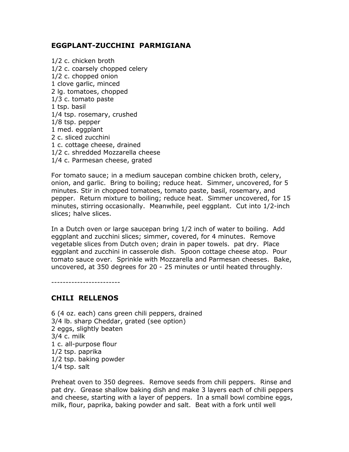### EGGPLANT-ZUCCHINI PARMIGIANA

1/2 c. chicken broth 1/2 c. coarsely chopped celery 1/2 c. chopped onion 1 clove garlic, minced 2 lg. tomatoes, chopped 1/3 c. tomato paste 1 tsp. basil 1/4 tsp. rosemary, crushed 1/8 tsp. pepper 1 med. eggplant 2 c. sliced zucchini 1 c. cottage cheese, drained 1/2 c. shredded Mozzarella cheese 1/4 c. Parmesan cheese, grated

For tomato sauce; in a medium saucepan combine chicken broth, celery, onion, and garlic. Bring to boiling; reduce heat. Simmer, uncovered, for 5 minutes. Stir in chopped tomatoes, tomato paste, basil, rosemary, and pepper. Return mixture to boiling; reduce heat. Simmer uncovered, for 15 minutes, stirring occasionally. Meanwhile, peel eggplant. Cut into 1/2-inch slices; halve slices.

In a Dutch oven or large saucepan bring 1/2 inch of water to boiling. Add eggplant and zucchini slices; simmer, covered, for 4 minutes. Remove vegetable slices from Dutch oven; drain in paper towels. pat dry. Place eggplant and zucchini in casserole dish. Spoon cottage cheese atop. Pour tomato sauce over. Sprinkle with Mozzarella and Parmesan cheeses. Bake, uncovered, at 350 degrees for 20 - 25 minutes or until heated throughly.

------------------------

## CHILI RELLENOS

6 (4 oz. each) cans green chili peppers, drained 3/4 lb. sharp Cheddar, grated (see option) 2 eggs, slightly beaten 3/4 c. milk 1 c. all-purpose flour 1/2 tsp. paprika 1/2 tsp. baking powder 1/4 tsp. salt

Preheat oven to 350 degrees. Remove seeds from chili peppers. Rinse and pat dry. Grease shallow baking dish and make 3 layers each of chili peppers and cheese, starting with a layer of peppers. In a small bowl combine eggs, milk, flour, paprika, baking powder and salt. Beat with a fork until well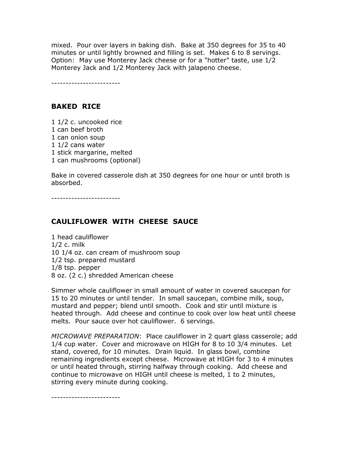mixed. Pour over layers in baking dish. Bake at 350 degrees for 35 to 40 minutes or until lightly browned and filling is set. Makes 6 to 8 servings. Option: May use Monterey Jack cheese or for a "hotter" taste, use 1/2 Monterey Jack and 1/2 Monterey Jack with jalapeno cheese.

------------------------

### BAKED RICE

1 1/2 c. uncooked rice 1 can beef broth 1 can onion soup 1 1/2 cans water 1 stick margarine, melted 1 can mushrooms (optional)

Bake in covered casserole dish at 350 degrees for one hour or until broth is absorbed.

------------------------

#### CAULIFLOWER WITH CHEESE SAUCE

1 head cauliflower 1/2 c. milk 10 1/4 oz. can cream of mushroom soup 1/2 tsp. prepared mustard 1/8 tsp. pepper 8 oz. (2 c.) shredded American cheese

Simmer whole cauliflower in small amount of water in covered saucepan for 15 to 20 minutes or until tender. In small saucepan, combine milk, soup, mustard and pepper; blend until smooth. Cook and stir until mixture is heated through. Add cheese and continue to cook over low heat until cheese melts. Pour sauce over hot cauliflower. 6 servings.

MICROWAVE PREPARATION: Place cauliflower in 2 quart glass casserole; add 1/4 cup water. Cover and microwave on HIGH for 8 to 10 3/4 minutes. Let stand, covered, for 10 minutes. Drain liquid. In glass bowl, combine remaining ingredients except cheese. Microwave at HIGH for 3 to 4 minutes or until heated through, stirring halfway through cooking. Add cheese and continue to microwave on HIGH until cheese is melted, 1 to 2 minutes, stirring every minute during cooking.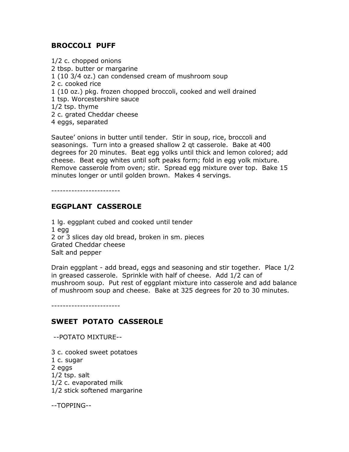## BROCCOLI PUFF

1/2 c. chopped onions 2 tbsp. butter or margarine 1 (10 3/4 oz.) can condensed cream of mushroom soup 2 c. cooked rice 1 (10 oz.) pkg. frozen chopped broccoli, cooked and well drained 1 tsp. Worcestershire sauce 1/2 tsp. thyme 2 c. grated Cheddar cheese 4 eggs, separated

Sautee' onions in butter until tender. Stir in soup, rice, broccoli and seasonings. Turn into a greased shallow 2 qt casserole. Bake at 400 degrees for 20 minutes. Beat egg yolks until thick and lemon colored; add cheese. Beat egg whites until soft peaks form; fold in egg yolk mixture. Remove casserole from oven; stir. Spread egg mixture over top. Bake 15 minutes longer or until golden brown. Makes 4 servings.

------------------------

## EGGPLANT CASSEROLE

1 lg. eggplant cubed and cooked until tender 1 egg 2 or 3 slices day old bread, broken in sm. pieces Grated Cheddar cheese Salt and pepper

Drain eggplant - add bread, eggs and seasoning and stir together. Place 1/2 in greased casserole. Sprinkle with half of cheese. Add 1/2 can of mushroom soup. Put rest of eggplant mixture into casserole and add balance of mushroom soup and cheese. Bake at 325 degrees for 20 to 30 minutes.

------------------------

## SWEET POTATO CASSEROLE

--POTATO MIXTURE--

3 c. cooked sweet potatoes 1 c. sugar 2 eggs 1/2 tsp. salt 1/2 c. evaporated milk 1/2 stick softened margarine

--TOPPING--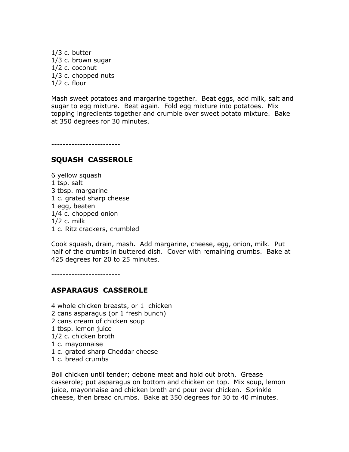1/3 c. butter 1/3 c. brown sugar 1/2 c. coconut 1/3 c. chopped nuts 1/2 c. flour

Mash sweet potatoes and margarine together. Beat eggs, add milk, salt and sugar to egg mixture. Beat again. Fold egg mixture into potatoes. Mix topping ingredients together and crumble over sweet potato mixture. Bake at 350 degrees for 30 minutes.

------------------------

#### SQUASH CASSEROLE

6 yellow squash 1 tsp. salt 3 tbsp. margarine 1 c. grated sharp cheese 1 egg, beaten 1/4 c. chopped onion 1/2 c. milk 1 c. Ritz crackers, crumbled

Cook squash, drain, mash. Add margarine, cheese, egg, onion, milk. Put half of the crumbs in buttered dish. Cover with remaining crumbs. Bake at 425 degrees for 20 to 25 minutes.

------------------------

#### ASPARAGUS CASSEROLE

4 whole chicken breasts, or 1 chicken 2 cans asparagus (or 1 fresh bunch) 2 cans cream of chicken soup 1 tbsp. lemon juice 1/2 c. chicken broth 1 c. mayonnaise 1 c. grated sharp Cheddar cheese 1 c. bread crumbs

Boil chicken until tender; debone meat and hold out broth. Grease casserole; put asparagus on bottom and chicken on top. Mix soup, lemon juice, mayonnaise and chicken broth and pour over chicken. Sprinkle cheese, then bread crumbs. Bake at 350 degrees for 30 to 40 minutes.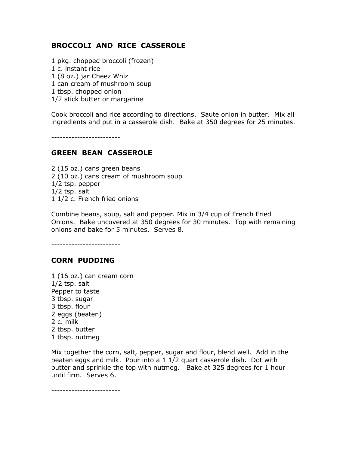## BROCCOLI AND RICE CASSEROLE

- 1 pkg. chopped broccoli (frozen)
- 1 c. instant rice
- 1 (8 oz.) jar Cheez Whiz
- 1 can cream of mushroom soup
- 1 tbsp. chopped onion
- 1/2 stick butter or margarine

Cook broccoli and rice according to directions. Saute onion in butter. Mix all ingredients and put in a casserole dish. Bake at 350 degrees for 25 minutes.

------------------------

### GREEN BEAN CASSEROLE

2 (15 oz.) cans green beans 2 (10 oz.) cans cream of mushroom soup 1/2 tsp. pepper 1/2 tsp. salt 1 1/2 c. French fried onions

Combine beans, soup, salt and pepper. Mix in 3/4 cup of French Fried Onions. Bake uncovered at 350 degrees for 30 minutes. Top with remaining onions and bake for 5 minutes. Serves 8.

------------------------

#### CORN PUDDING

1 (16 oz.) can cream corn 1/2 tsp. salt Pepper to taste 3 tbsp. sugar 3 tbsp. flour 2 eggs (beaten) 2 c. milk 2 tbsp. butter 1 tbsp. nutmeg

Mix together the corn, salt, pepper, sugar and flour, blend well. Add in the beaten eggs and milk. Pour into a 1 1/2 quart casserole dish. Dot with butter and sprinkle the top with nutmeg. Bake at 325 degrees for 1 hour until firm. Serves 6.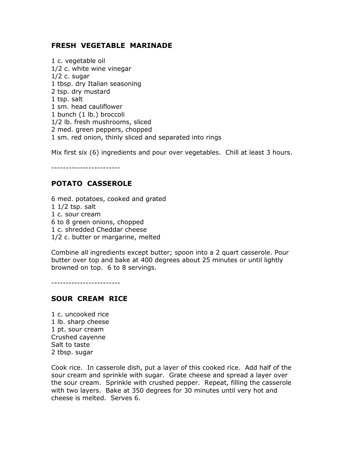## FRESH VEGETABLE MARINADE

1 c. vegetable oil 1/2 c. white wine vinegar  $1/2$  c. sugar 1 tbsp. dry Italian seasoning 2 tsp. dry mustard 1 tsp. salt 1 sm. head cauliflower 1 bunch (1 lb.) broccoli 1/2 lb. fresh mushrooms, sliced 2 med. green peppers, chopped 1 sm. red onion, thinly sliced and separated into rings

Mix first six (6) ingredients and pour over vegetables. Chill at least 3 hours.

------------------------

## POTATO CASSEROLE

6 med. potatoes, cooked and grated 1 1/2 tsp. salt 1 c. sour cream 6 to 8 green onions, chopped 1 c. shredded Cheddar cheese 1/2 c. butter or margarine, melted

Combine all ingredients except butter; spoon into a 2 quart casserole. Pour butter over top and bake at 400 degrees about 25 minutes or until lightly browned on top. 6 to 8 servings.

------------------------

## SOUR CREAM RICE

1 c. uncooked rice 1 lb. sharp cheese 1 pt. sour cream Crushed cayenne Salt to taste 2 tbsp. sugar

Cook rice. In casserole dish, put a layer of this cooked rice. Add half of the sour cream and sprinkle with sugar. Grate cheese and spread a layer over the sour cream. Sprinkle with crushed pepper. Repeat, filling the casserole with two layers. Bake at 350 degrees for 30 minutes until very hot and cheese is melted. Serves 6.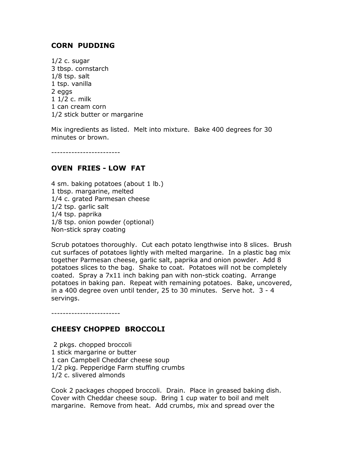## CORN PUDDING

1/2 c. sugar 3 tbsp. cornstarch 1/8 tsp. salt 1 tsp. vanilla 2 eggs 1 1/2 c. milk 1 can cream corn 1/2 stick butter or margarine

Mix ingredients as listed. Melt into mixture. Bake 400 degrees for 30 minutes or brown.

------------------------

### OVEN FRIES - LOW FAT

4 sm. baking potatoes (about 1 lb.) 1 tbsp. margarine, melted 1/4 c. grated Parmesan cheese 1/2 tsp. garlic salt 1/4 tsp. paprika 1/8 tsp. onion powder (optional) Non-stick spray coating

Scrub potatoes thoroughly. Cut each potato lengthwise into 8 slices. Brush cut surfaces of potatoes lightly with melted margarine. In a plastic bag mix together Parmesan cheese, garlic salt, paprika and onion powder. Add 8 potatoes slices to the bag. Shake to coat. Potatoes will not be completely coated. Spray a 7x11 inch baking pan with non-stick coating. Arrange potatoes in baking pan. Repeat with remaining potatoes. Bake, uncovered, in a 400 degree oven until tender, 25 to 30 minutes. Serve hot. 3 - 4 servings.

## CHEESY CHOPPED BROCCOLI

------------------------

 2 pkgs. chopped broccoli 1 stick margarine or butter 1 can Campbell Cheddar cheese soup 1/2 pkg. Pepperidge Farm stuffing crumbs 1/2 c. slivered almonds

Cook 2 packages chopped broccoli. Drain. Place in greased baking dish. Cover with Cheddar cheese soup. Bring 1 cup water to boil and melt margarine. Remove from heat. Add crumbs, mix and spread over the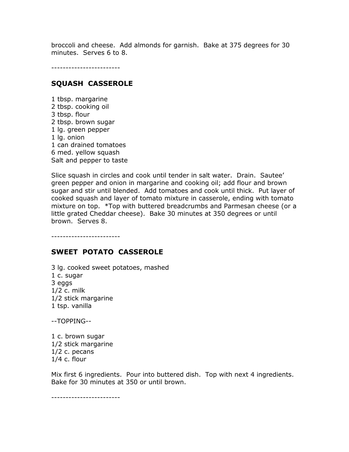broccoli and cheese. Add almonds for garnish. Bake at 375 degrees for 30 minutes. Serves 6 to 8.

------------------------

#### SQUASH CASSEROLE

1 tbsp. margarine 2 tbsp. cooking oil 3 tbsp. flour 2 tbsp. brown sugar 1 lg. green pepper 1 lg. onion 1 can drained tomatoes 6 med. yellow squash Salt and pepper to taste

Slice squash in circles and cook until tender in salt water. Drain. Sautee' green pepper and onion in margarine and cooking oil; add flour and brown sugar and stir until blended. Add tomatoes and cook until thick. Put layer of cooked squash and layer of tomato mixture in casserole, ending with tomato mixture on top. \*Top with buttered breadcrumbs and Parmesan cheese (or a little grated Cheddar cheese). Bake 30 minutes at 350 degrees or until brown. Serves 8.

------------------------

#### SWEET POTATO CASSEROLE

3 lg. cooked sweet potatoes, mashed 1 c. sugar 3 eggs 1/2 c. milk 1/2 stick margarine 1 tsp. vanilla

--TOPPING--

1 c. brown sugar 1/2 stick margarine 1/2 c. pecans 1/4 c. flour

Mix first 6 ingredients. Pour into buttered dish. Top with next 4 ingredients. Bake for 30 minutes at 350 or until brown.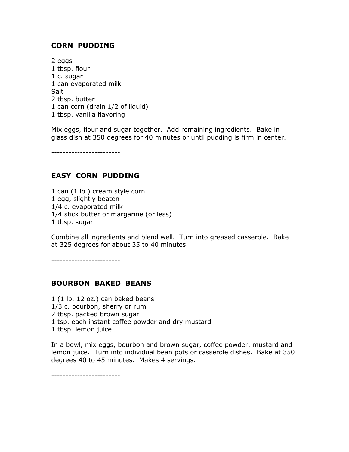## CORN PUDDING

2 eggs 1 tbsp. flour 1 c. sugar 1 can evaporated milk **Salt** 2 tbsp. butter 1 can corn (drain 1/2 of liquid) 1 tbsp. vanilla flavoring

Mix eggs, flour and sugar together. Add remaining ingredients. Bake in glass dish at 350 degrees for 40 minutes or until pudding is firm in center.

------------------------

## EASY CORN PUDDING

1 can (1 lb.) cream style corn 1 egg, slightly beaten 1/4 c. evaporated milk 1/4 stick butter or margarine (or less) 1 tbsp. sugar

Combine all ingredients and blend well. Turn into greased casserole. Bake at 325 degrees for about 35 to 40 minutes.

------------------------

## BOURBON BAKED BEANS

1 (1 lb. 12 oz.) can baked beans 1/3 c. bourbon, sherry or rum 2 tbsp. packed brown sugar 1 tsp. each instant coffee powder and dry mustard 1 tbsp. lemon juice

In a bowl, mix eggs, bourbon and brown sugar, coffee powder, mustard and lemon juice. Turn into individual bean pots or casserole dishes. Bake at 350 degrees 40 to 45 minutes. Makes 4 servings.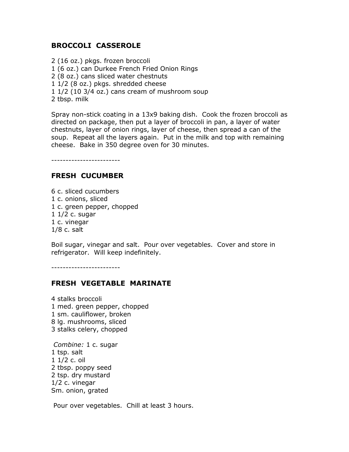## BROCCOLI CASSEROLE

2 (16 oz.) pkgs. frozen broccoli 1 (6 oz.) can Durkee French Fried Onion Rings 2 (8 oz.) cans sliced water chestnuts 1 1/2 (8 oz.) pkgs. shredded cheese 1 1/2 (10 3/4 oz.) cans cream of mushroom soup 2 tbsp. milk

Spray non-stick coating in a 13x9 baking dish. Cook the frozen broccoli as directed on package, then put a layer of broccoli in pan, a layer of water chestnuts, layer of onion rings, layer of cheese, then spread a can of the soup. Repeat all the layers again. Put in the milk and top with remaining cheese. Bake in 350 degree oven for 30 minutes.

------------------------

## FRESH CUCUMBER

6 c. sliced cucumbers 1 c. onions, sliced 1 c. green pepper, chopped 1 1/2 c. sugar 1 c. vinegar 1/8 c. salt

Boil sugar, vinegar and salt. Pour over vegetables. Cover and store in refrigerator. Will keep indefinitely.

------------------------

#### FRESH VEGETABLE MARINATE

4 stalks broccoli 1 med. green pepper, chopped 1 sm. cauliflower, broken 8 lg. mushrooms, sliced 3 stalks celery, chopped

Combine: 1 c. sugar 1 tsp. salt 1 1/2 c. oil 2 tbsp. poppy seed 2 tsp. dry mustard 1/2 c. vinegar Sm. onion, grated

Pour over vegetables. Chill at least 3 hours.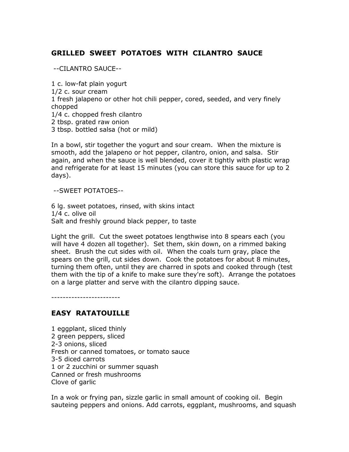## GRILLED SWEET POTATOES WITH CILANTRO SAUCE

--CILANTRO SAUCE--

1 c. low-fat plain yogurt 1/2 c. sour cream 1 fresh jalapeno or other hot chili pepper, cored, seeded, and very finely chopped 1/4 c. chopped fresh cilantro 2 tbsp. grated raw onion 3 tbsp. bottled salsa (hot or mild)

In a bowl, stir together the yogurt and sour cream. When the mixture is smooth, add the jalapeno or hot pepper, cilantro, onion, and salsa. Stir again, and when the sauce is well blended, cover it tightly with plastic wrap and refrigerate for at least 15 minutes (you can store this sauce for up to 2 days).

--SWEET POTATOES--

6 lg. sweet potatoes, rinsed, with skins intact 1/4 c. olive oil Salt and freshly ground black pepper, to taste

Light the grill. Cut the sweet potatoes lengthwise into 8 spears each (you will have 4 dozen all together). Set them, skin down, on a rimmed baking sheet. Brush the cut sides with oil. When the coals turn gray, place the spears on the grill, cut sides down. Cook the potatoes for about 8 minutes, turning them often, until they are charred in spots and cooked through (test them with the tip of a knife to make sure they're soft). Arrange the potatoes on a large platter and serve with the cilantro dipping sauce.

------------------------

## EASY RATATOUILLE

1 eggplant, sliced thinly 2 green peppers, sliced 2-3 onions, sliced Fresh or canned tomatoes, or tomato sauce 3-5 diced carrots 1 or 2 zucchini or summer squash Canned or fresh mushrooms Clove of garlic

In a wok or frying pan, sizzle garlic in small amount of cooking oil. Begin sauteing peppers and onions. Add carrots, eggplant, mushrooms, and squash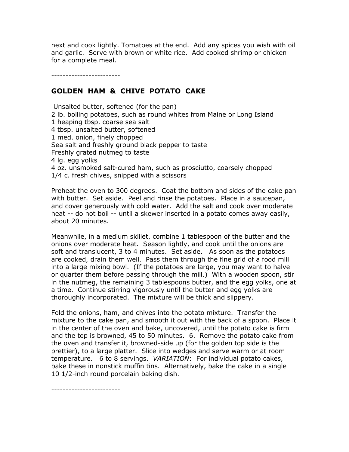next and cook lightly. Tomatoes at the end. Add any spices you wish with oil and garlic. Serve with brown or white rice. Add cooked shrimp or chicken for a complete meal.

------------------------

------------------------

### GOLDEN HAM & CHIVE POTATO CAKE

 Unsalted butter, softened (for the pan) 2 lb. boiling potatoes, such as round whites from Maine or Long Island 1 heaping tbsp. coarse sea salt 4 tbsp. unsalted butter, softened 1 med. onion, finely chopped Sea salt and freshly ground black pepper to taste Freshly grated nutmeg to taste 4 lg. egg yolks 4 oz. unsmoked salt-cured ham, such as prosciutto, coarsely chopped 1/4 c. fresh chives, snipped with a scissors

Preheat the oven to 300 degrees. Coat the bottom and sides of the cake pan with butter. Set aside. Peel and rinse the potatoes. Place in a saucepan, and cover generously with cold water. Add the salt and cook over moderate heat -- do not boil -- until a skewer inserted in a potato comes away easily, about 20 minutes.

Meanwhile, in a medium skillet, combine 1 tablespoon of the butter and the onions over moderate heat. Season lightly, and cook until the onions are soft and translucent, 3 to 4 minutes. Set aside. As soon as the potatoes are cooked, drain them well. Pass them through the fine grid of a food mill into a large mixing bowl. (If the potatoes are large, you may want to halve or quarter them before passing through the mill.) With a wooden spoon, stir in the nutmeg, the remaining 3 tablespoons butter, and the egg yolks, one at a time. Continue stirring vigorously until the butter and egg yolks are thoroughly incorporated. The mixture will be thick and slippery.

Fold the onions, ham, and chives into the potato mixture. Transfer the mixture to the cake pan, and smooth it out with the back of a spoon. Place it in the center of the oven and bake, uncovered, until the potato cake is firm and the top is browned, 45 to 50 minutes. 6. Remove the potato cake from the oven and transfer it, browned-side up (for the golden top side is the prettier), to a large platter. Slice into wedges and serve warm or at room temperature. 6 to 8 servings. *VARIATION*: For individual potato cakes, bake these in nonstick muffin tins. Alternatively, bake the cake in a single 10 1/2-inch round porcelain baking dish.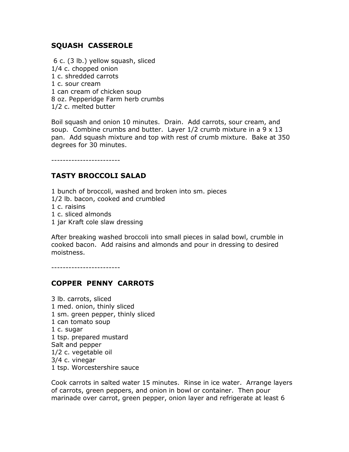## SQUASH CASSEROLE

 6 c. (3 lb.) yellow squash, sliced 1/4 c. chopped onion 1 c. shredded carrots 1 c. sour cream 1 can cream of chicken soup 8 oz. Pepperidge Farm herb crumbs 1/2 c. melted butter

Boil squash and onion 10 minutes. Drain. Add carrots, sour cream, and soup. Combine crumbs and butter. Layer  $1/2$  crumb mixture in a 9  $\times$  13 pan. Add squash mixture and top with rest of crumb mixture. Bake at 350 degrees for 30 minutes.

------------------------

# TASTY BROCCOLI SALAD

1 bunch of broccoli, washed and broken into sm. pieces 1/2 lb. bacon, cooked and crumbled 1 c. raisins 1 c. sliced almonds 1 jar Kraft cole slaw dressing

After breaking washed broccoli into small pieces in salad bowl, crumble in cooked bacon. Add raisins and almonds and pour in dressing to desired moistness.

------------------------

## COPPER PENNY CARROTS

3 lb. carrots, sliced 1 med. onion, thinly sliced 1 sm. green pepper, thinly sliced 1 can tomato soup 1 c. sugar 1 tsp. prepared mustard Salt and pepper 1/2 c. vegetable oil 3/4 c. vinegar 1 tsp. Worcestershire sauce

Cook carrots in salted water 15 minutes. Rinse in ice water. Arrange layers of carrots, green peppers, and onion in bowl or container. Then pour marinade over carrot, green pepper, onion layer and refrigerate at least 6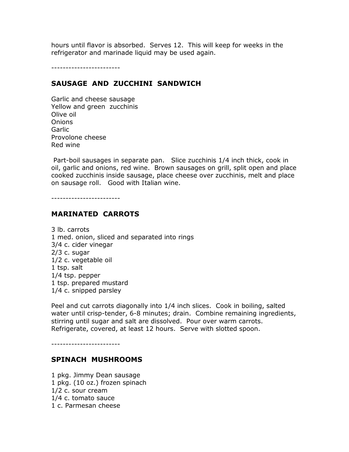hours until flavor is absorbed. Serves 12. This will keep for weeks in the refrigerator and marinade liquid may be used again.

------------------------

## SAUSAGE AND ZUCCHINI SANDWICH

Garlic and cheese sausage Yellow and green zucchinis Olive oil Onions **Garlic** Provolone cheese Red wine

 Part-boil sausages in separate pan. Slice zucchinis 1/4 inch thick, cook in oil, garlic and onions, red wine. Brown sausages on grill, split open and place cooked zucchinis inside sausage, place cheese over zucchinis, melt and place on sausage roll. Good with Italian wine.

------------------------

## MARINATED CARROTS

3 lb. carrots 1 med. onion, sliced and separated into rings 3/4 c. cider vinegar 2/3 c. sugar 1/2 c. vegetable oil 1 tsp. salt 1/4 tsp. pepper 1 tsp. prepared mustard 1/4 c. snipped parsley

Peel and cut carrots diagonally into 1/4 inch slices. Cook in boiling, salted water until crisp-tender, 6-8 minutes; drain. Combine remaining ingredients, stirring until sugar and salt are dissolved. Pour over warm carrots. Refrigerate, covered, at least 12 hours. Serve with slotted spoon.

------------------------

#### SPINACH MUSHROOMS

1 pkg. Jimmy Dean sausage 1 pkg. (10 oz.) frozen spinach 1/2 c. sour cream 1/4 c. tomato sauce 1 c. Parmesan cheese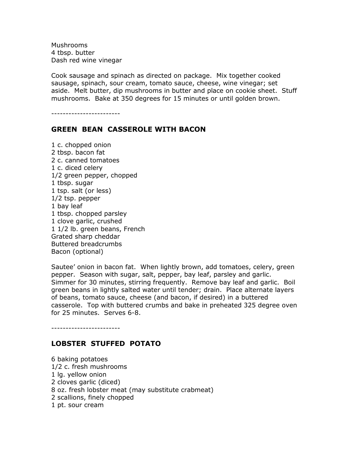Mushrooms 4 tbsp. butter Dash red wine vinegar

Cook sausage and spinach as directed on package. Mix together cooked sausage, spinach, sour cream, tomato sauce, cheese, wine vinegar; set aside. Melt butter, dip mushrooms in butter and place on cookie sheet. Stuff mushrooms. Bake at 350 degrees for 15 minutes or until golden brown.

------------------------

### GREEN BEAN CASSEROLE WITH BACON

1 c. chopped onion 2 tbsp. bacon fat 2 c. canned tomatoes 1 c. diced celery 1/2 green pepper, chopped 1 tbsp. sugar 1 tsp. salt (or less) 1/2 tsp. pepper 1 bay leaf 1 tbsp. chopped parsley 1 clove garlic, crushed 1 1/2 lb. green beans, French Grated sharp cheddar Buttered breadcrumbs Bacon (optional)

Sautee' onion in bacon fat. When lightly brown, add tomatoes, celery, green pepper. Season with sugar, salt, pepper, bay leaf, parsley and garlic. Simmer for 30 minutes, stirring frequently. Remove bay leaf and garlic. Boil green beans in lightly salted water until tender; drain. Place alternate layers of beans, tomato sauce, cheese (and bacon, if desired) in a buttered casserole. Top with buttered crumbs and bake in preheated 325 degree oven for 25 minutes. Serves 6-8.

------------------------

## LOBSTER STUFFED POTATO

6 baking potatoes 1/2 c. fresh mushrooms 1 lg. yellow onion 2 cloves garlic (diced) 8 oz. fresh lobster meat (may substitute crabmeat) 2 scallions, finely chopped 1 pt. sour cream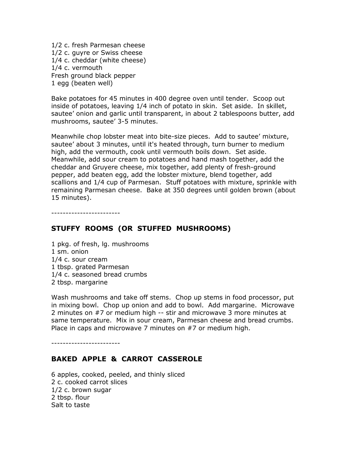1/2 c. fresh Parmesan cheese 1/2 c. guyre or Swiss cheese 1/4 c. cheddar (white cheese) 1/4 c. vermouth Fresh ground black pepper 1 egg (beaten well)

Bake potatoes for 45 minutes in 400 degree oven until tender. Scoop out inside of potatoes, leaving 1/4 inch of potato in skin. Set aside. In skillet, sautee' onion and garlic until transparent, in about 2 tablespoons butter, add mushrooms, sautee' 3-5 minutes.

Meanwhile chop lobster meat into bite-size pieces. Add to sautee' mixture, sautee' about 3 minutes, until it's heated through, turn burner to medium high, add the vermouth, cook until vermouth boils down. Set aside. Meanwhile, add sour cream to potatoes and hand mash together, add the cheddar and Gruyere cheese, mix together, add plenty of fresh-ground pepper, add beaten egg, add the lobster mixture, blend together, add scallions and 1/4 cup of Parmesan. Stuff potatoes with mixture, sprinkle with remaining Parmesan cheese. Bake at 350 degrees until golden brown (about 15 minutes).

------------------------

## STUFFY ROOMS (OR STUFFED MUSHROOMS)

1 pkg. of fresh, lg. mushrooms 1 sm. onion 1/4 c. sour cream 1 tbsp. grated Parmesan 1/4 c. seasoned bread crumbs 2 tbsp. margarine

Wash mushrooms and take off stems. Chop up stems in food processor, put in mixing bowl. Chop up onion and add to bowl. Add margarine. Microwave 2 minutes on #7 or medium high -- stir and microwave 3 more minutes at same temperature. Mix in sour cream, Parmesan cheese and bread crumbs. Place in caps and microwave 7 minutes on #7 or medium high.

------------------------

#### BAKED APPLE & CARROT CASSEROLE

6 apples, cooked, peeled, and thinly sliced 2 c. cooked carrot slices 1/2 c. brown sugar 2 tbsp. flour Salt to taste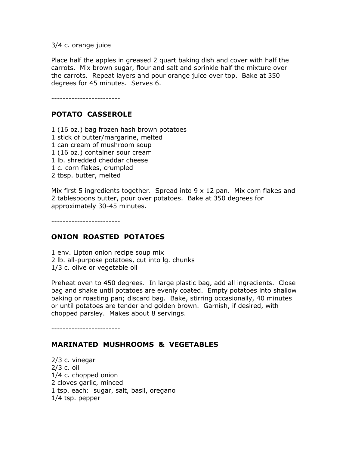3/4 c. orange juice

Place half the apples in greased 2 quart baking dish and cover with half the carrots. Mix brown sugar, flour and salt and sprinkle half the mixture over the carrots. Repeat layers and pour orange juice over top. Bake at 350 degrees for 45 minutes. Serves 6.

------------------------

# POTATO CASSEROLE

1 (16 oz.) bag frozen hash brown potatoes

- 1 stick of butter/margarine, melted
- 1 can cream of mushroom soup
- 1 (16 oz.) container sour cream
- 1 lb. shredded cheddar cheese
- 1 c. corn flakes, crumpled
- 2 tbsp. butter, melted

Mix first 5 ingredients together. Spread into  $9 \times 12$  pan. Mix corn flakes and 2 tablespoons butter, pour over potatoes. Bake at 350 degrees for approximately 30-45 minutes.

------------------------

## ONION ROASTED POTATOES

1 env. Lipton onion recipe soup mix 2 lb. all-purpose potatoes, cut into lg. chunks 1/3 c. olive or vegetable oil

Preheat oven to 450 degrees. In large plastic bag, add all ingredients. Close bag and shake until potatoes are evenly coated. Empty potatoes into shallow baking or roasting pan; discard bag. Bake, stirring occasionally, 40 minutes or until potatoes are tender and golden brown. Garnish, if desired, with chopped parsley. Makes about 8 servings.

------------------------

## MARINATED MUSHROOMS & VEGETABLES

2/3 c. vinegar 2/3 c. oil 1/4 c. chopped onion 2 cloves garlic, minced 1 tsp. each: sugar, salt, basil, oregano 1/4 tsp. pepper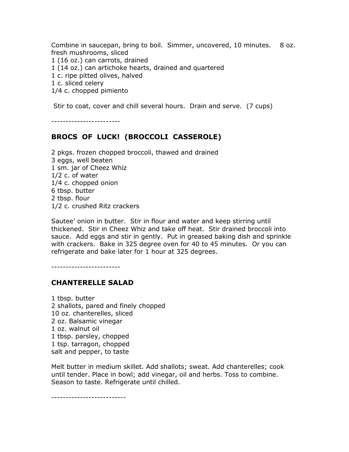Combine in saucepan, bring to boil. Simmer, uncovered, 10 minutes. 8 oz. fresh mushrooms, sliced 1 (16 oz.) can carrots, drained 1 (14 oz.) can artichoke hearts, drained and quartered 1 c. ripe pitted olives, halved 1 c. sliced celery 1/4 c. chopped pimiento

Stir to coat, cover and chill several hours. Drain and serve. (7 cups)

------------------------

## BROCS OF LUCK! (BROCCOLI CASSEROLE)

2 pkgs. frozen chopped broccoli, thawed and drained 3 eggs, well beaten 1 sm. jar of Cheez Whiz 1/2 c. of water 1/4 c. chopped onion 6 tbsp. butter 2 tbsp. flour 1/2 c. crushed Ritz crackers

Sautee' onion in butter. Stir in flour and water and keep stirring until thickened. Stir in Cheez Whiz and take off heat. Stir drained broccoli into sauce. Add eggs and stir in gently. Put in greased baking dish and sprinkle with crackers. Bake in 325 degree oven for 40 to 45 minutes. Or you can refrigerate and bake later for 1 hour at 325 degrees.

------------------------

#### CHANTERELLE SALAD

1 tbsp. butter 2 shallots, pared and finely chopped 10 oz. chanterelles, sliced 2 oz. Balsamic vinegar 1 oz. walnut oil 1 tbsp. parsley, chopped 1 tsp. tarragon, chopped salt and pepper, to taste

Melt butter in medium skillet. Add shallots; sweat. Add chanterelles; cook until tender. Place in bowl; add vinegar, oil and herbs. Toss to combine. Season to taste. Refrigerate until chilled.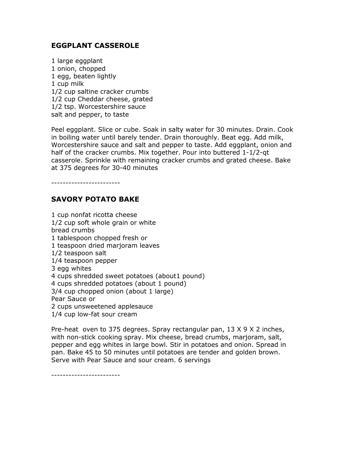### EGGPLANT CASSEROLE

1 large eggplant 1 onion, chopped 1 egg, beaten lightly 1 cup milk 1/2 cup saltine cracker crumbs 1/2 cup Cheddar cheese, grated 1/2 tsp. Worcestershire sauce salt and pepper, to taste

Peel eggplant. Slice or cube. Soak in salty water for 30 minutes. Drain. Cook in boiling water until barely tender. Drain thoroughly. Beat egg. Add milk, Worcestershire sauce and salt and pepper to taste. Add eggplant, onion and half of the cracker crumbs. Mix together. Pour into buttered 1-1/2-qt casserole. Sprinkle with remaining cracker crumbs and grated cheese. Bake at 375 degrees for 30-40 minutes

------------------------

### SAVORY POTATO BAKE

1 cup nonfat ricotta cheese 1/2 cup soft whole grain or white bread crumbs 1 tablespoon chopped fresh or 1 teaspoon dried marjoram leaves 1/2 teaspoon salt 1/4 teaspoon pepper 3 egg whites 4 cups shredded sweet potatoes (about1 pound) 4 cups shredded potatoes (about 1 pound) 3/4 cup chopped onion (about 1 large) Pear Sauce or 2 cups unsweetened applesauce 1/4 cup low-fat sour cream

Pre-heat oven to 375 degrees. Spray rectangular pan, 13 X 9 X 2 inches, with non-stick cooking spray. Mix cheese, bread crumbs, marjoram, salt, pepper and egg whites in large bowl. Stir in potatoes and onion. Spread in pan. Bake 45 to 50 minutes until potatoes are tender and golden brown. Serve with Pear Sauce and sour cream. 6 servings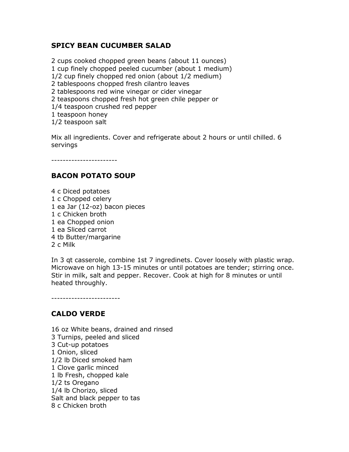## SPICY BEAN CUCUMBER SALAD

2 cups cooked chopped green beans (about 11 ounces) 1 cup finely chopped peeled cucumber (about 1 medium) 1/2 cup finely chopped red onion (about 1/2 medium) 2 tablespoons chopped fresh cilantro leaves 2 tablespoons red wine vinegar or cider vinegar 2 teaspoons chopped fresh hot green chile pepper or 1/4 teaspoon crushed red pepper 1 teaspoon honey

1/2 teaspoon salt

Mix all ingredients. Cover and refrigerate about 2 hours or until chilled. 6 servings

-----------------------

## BACON POTATO SOUP

4 c Diced potatoes 1 c Chopped celery 1 ea Jar (12-oz) bacon pieces 1 c Chicken broth 1 ea Chopped onion 1 ea Sliced carrot 4 tb Butter/margarine 2 c Milk

In 3 qt casserole, combine 1st 7 ingredinets. Cover loosely with plastic wrap. Microwave on high 13-15 minutes or until potatoes are tender; stirring once. Stir in milk, salt and pepper. Recover. Cook at high for 8 minutes or until heated throughly.

------------------------

## CALDO VERDE

16 oz White beans, drained and rinsed 3 Turnips, peeled and sliced 3 Cut-up potatoes 1 Onion, sliced 1/2 lb Diced smoked ham 1 Clove garlic minced 1 lb Fresh, chopped kale 1/2 ts Oregano 1/4 lb Chorizo, sliced Salt and black pepper to tas 8 c Chicken broth